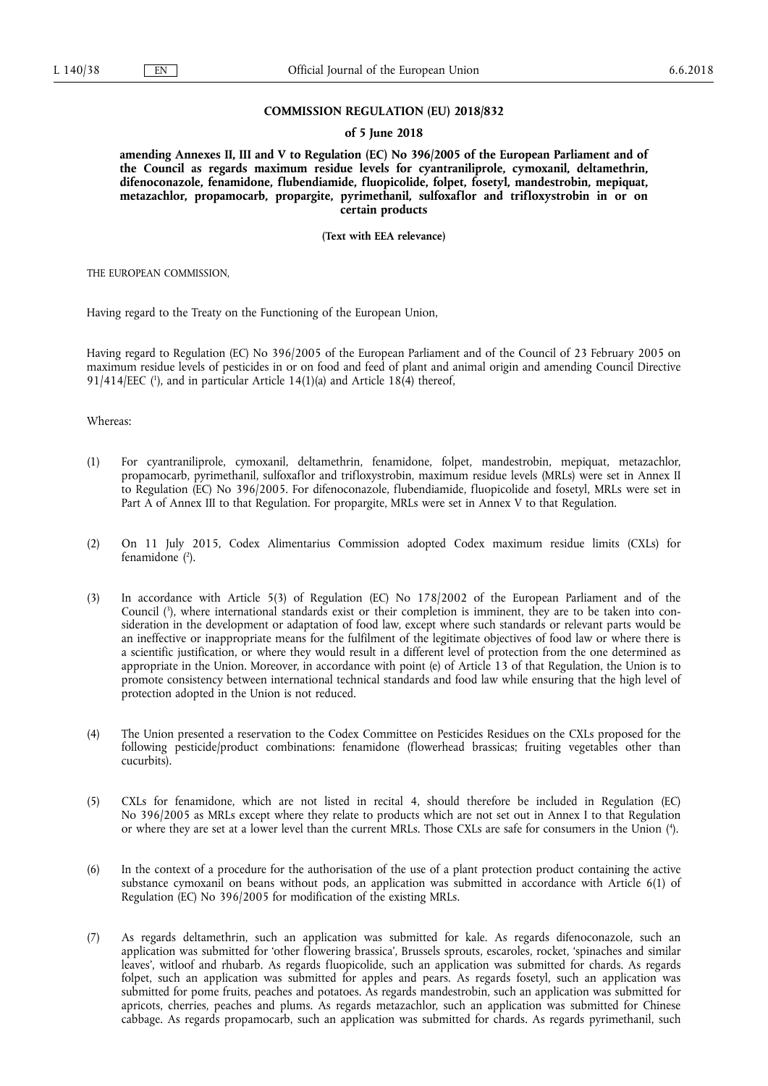### **COMMISSION REGULATION (EU) 2018/832**

#### **of 5 June 2018**

**amending Annexes II, III and V to Regulation (EC) No 396/2005 of the European Parliament and of the Council as regards maximum residue levels for cyantraniliprole, cymoxanil, deltamethrin, difenoconazole, fenamidone, flubendiamide, fluopicolide, folpet, fosetyl, mandestrobin, mepiquat, metazachlor, propamocarb, propargite, pyrimethanil, sulfoxaflor and trifloxystrobin in or on certain products** 

**(Text with EEA relevance)** 

THE EUROPEAN COMMISSION,

Having regard to the Treaty on the Functioning of the European Union,

Having regard to Regulation (EC) No 396/2005 of the European Parliament and of the Council of 23 February 2005 on maximum residue levels of pesticides in or on food and feed of plant and animal origin and amending Council Directive  $91/414/EEC$  ( $\cdot$ ), and in particular Article 14(1)(a) and Article 18(4) thereof,

Whereas:

- (1) For cyantraniliprole, cymoxanil, deltamethrin, fenamidone, folpet, mandestrobin, mepiquat, metazachlor, propamocarb, pyrimethanil, sulfoxaflor and trifloxystrobin, maximum residue levels (MRLs) were set in Annex II to Regulation (EC) No 396/2005. For difenoconazole, flubendiamide, fluopicolide and fosetyl, MRLs were set in Part A of Annex III to that Regulation. For propargite, MRLs were set in Annex V to that Regulation.
- (2) On 11 July 2015, Codex Alimentarius Commission adopted Codex maximum residue limits (CXLs) for fenamidone ( 2 ).
- (3) In accordance with Article 5(3) of Regulation (EC) No 178/2002 of the European Parliament and of the Council ( 3 ), where international standards exist or their completion is imminent, they are to be taken into consideration in the development or adaptation of food law, except where such standards or relevant parts would be an ineffective or inappropriate means for the fulfilment of the legitimate objectives of food law or where there is a scientific justification, or where they would result in a different level of protection from the one determined as appropriate in the Union. Moreover, in accordance with point (e) of Article 13 of that Regulation, the Union is to promote consistency between international technical standards and food law while ensuring that the high level of protection adopted in the Union is not reduced.
- (4) The Union presented a reservation to the Codex Committee on Pesticides Residues on the CXLs proposed for the following pesticide/product combinations: fenamidone (flowerhead brassicas; fruiting vegetables other than cucurbits).
- (5) CXLs for fenamidone, which are not listed in recital 4, should therefore be included in Regulation (EC) No 396/2005 as MRLs except where they relate to products which are not set out in Annex I to that Regulation or where they are set at a lower level than the current MRLs. Those CXLs are safe for consumers in the Union ( 4 ).
- (6) In the context of a procedure for the authorisation of the use of a plant protection product containing the active substance cymoxanil on beans without pods, an application was submitted in accordance with Article 6(1) of Regulation (EC) No 396/2005 for modification of the existing MRLs.
- (7) As regards deltamethrin, such an application was submitted for kale. As regards difenoconazole, such an application was submitted for 'other flowering brassica', Brussels sprouts, escaroles, rocket, 'spinaches and similar leaves', witloof and rhubarb. As regards fluopicolide, such an application was submitted for chards. As regards folpet, such an application was submitted for apples and pears. As regards fosetyl, such an application was submitted for pome fruits, peaches and potatoes. As regards mandestrobin, such an application was submitted for apricots, cherries, peaches and plums. As regards metazachlor, such an application was submitted for Chinese cabbage. As regards propamocarb, such an application was submitted for chards. As regards pyrimethanil, such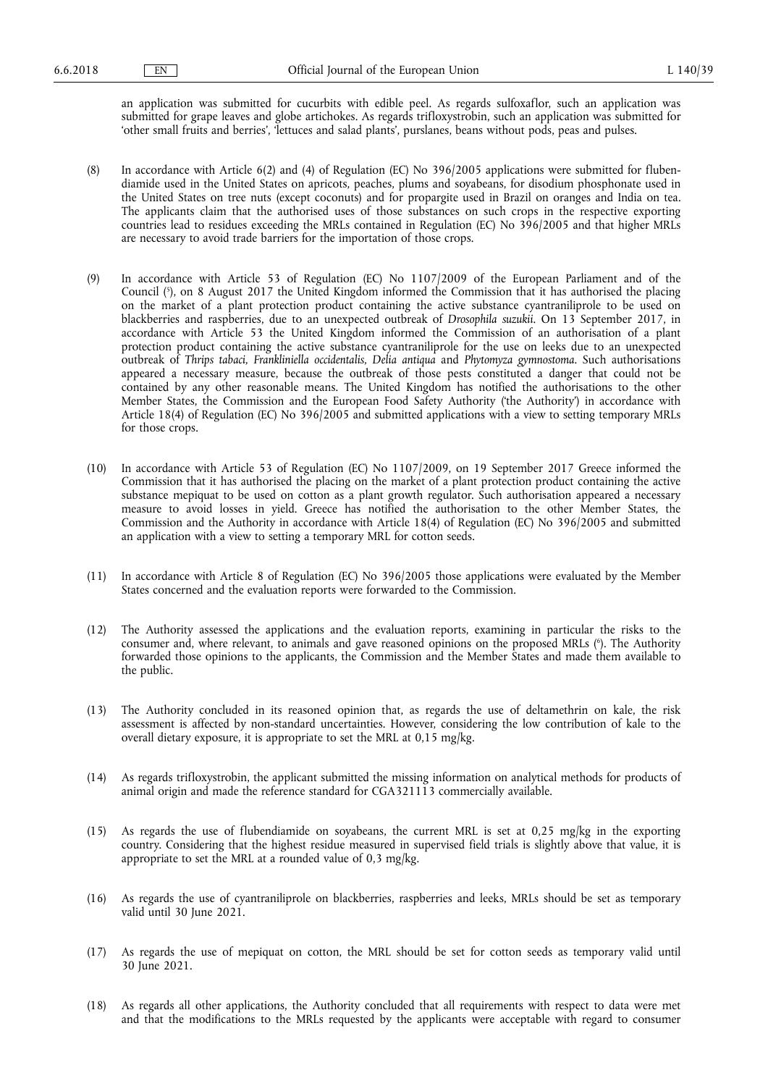an application was submitted for cucurbits with edible peel. As regards sulfoxaflor, such an application was submitted for grape leaves and globe artichokes. As regards trifloxystrobin, such an application was submitted for 'other small fruits and berries', 'lettuces and salad plants', purslanes, beans without pods, peas and pulses.

- (8) In accordance with Article 6(2) and (4) of Regulation (EC) No 396/2005 applications were submitted for flubendiamide used in the United States on apricots, peaches, plums and soyabeans, for disodium phosphonate used in the United States on tree nuts (except coconuts) and for propargite used in Brazil on oranges and India on tea. The applicants claim that the authorised uses of those substances on such crops in the respective exporting countries lead to residues exceeding the MRLs contained in Regulation (EC) No 396/2005 and that higher MRLs are necessary to avoid trade barriers for the importation of those crops.
- (9) In accordance with Article 53 of Regulation (EC) No 1107/2009 of the European Parliament and of the Council ( 5 ), on 8 August 2017 the United Kingdom informed the Commission that it has authorised the placing on the market of a plant protection product containing the active substance cyantraniliprole to be used on blackberries and raspberries, due to an unexpected outbreak of *Drosophila suzukii*. On 13 September 2017, in accordance with Article 53 the United Kingdom informed the Commission of an authorisation of a plant protection product containing the active substance cyantraniliprole for the use on leeks due to an unexpected outbreak of *Thrips tabaci, Frankliniella occidentalis, Delia antiqua* and *Phytomyza gymnostoma*. Such authorisations appeared a necessary measure, because the outbreak of those pests constituted a danger that could not be contained by any other reasonable means. The United Kingdom has notified the authorisations to the other Member States, the Commission and the European Food Safety Authority ('the Authority') in accordance with Article 18(4) of Regulation (EC) No 396/2005 and submitted applications with a view to setting temporary MRLs for those crops.
- (10) In accordance with Article 53 of Regulation (EC) No 1107/2009, on 19 September 2017 Greece informed the Commission that it has authorised the placing on the market of a plant protection product containing the active substance mepiquat to be used on cotton as a plant growth regulator. Such authorisation appeared a necessary measure to avoid losses in yield. Greece has notified the authorisation to the other Member States, the Commission and the Authority in accordance with Article 18(4) of Regulation (EC) No 396/2005 and submitted an application with a view to setting a temporary MRL for cotton seeds.
- (11) In accordance with Article 8 of Regulation (EC) No 396/2005 those applications were evaluated by the Member States concerned and the evaluation reports were forwarded to the Commission.
- (12) The Authority assessed the applications and the evaluation reports, examining in particular the risks to the consumer and, where relevant, to animals and gave reasoned opinions on the proposed MRLs (°). The Authority forwarded those opinions to the applicants, the Commission and the Member States and made them available to the public.
- (13) The Authority concluded in its reasoned opinion that, as regards the use of deltamethrin on kale, the risk assessment is affected by non-standard uncertainties. However, considering the low contribution of kale to the overall dietary exposure, it is appropriate to set the MRL at 0,15 mg/kg.
- (14) As regards trifloxystrobin, the applicant submitted the missing information on analytical methods for products of animal origin and made the reference standard for CGA321113 commercially available.
- (15) As regards the use of flubendiamide on soyabeans, the current MRL is set at 0,25 mg/kg in the exporting country. Considering that the highest residue measured in supervised field trials is slightly above that value, it is appropriate to set the MRL at a rounded value of 0,3 mg/kg.
- (16) As regards the use of cyantraniliprole on blackberries, raspberries and leeks, MRLs should be set as temporary valid until 30 June 2021.
- (17) As regards the use of mepiquat on cotton, the MRL should be set for cotton seeds as temporary valid until 30 June 2021.
- (18) As regards all other applications, the Authority concluded that all requirements with respect to data were met and that the modifications to the MRLs requested by the applicants were acceptable with regard to consumer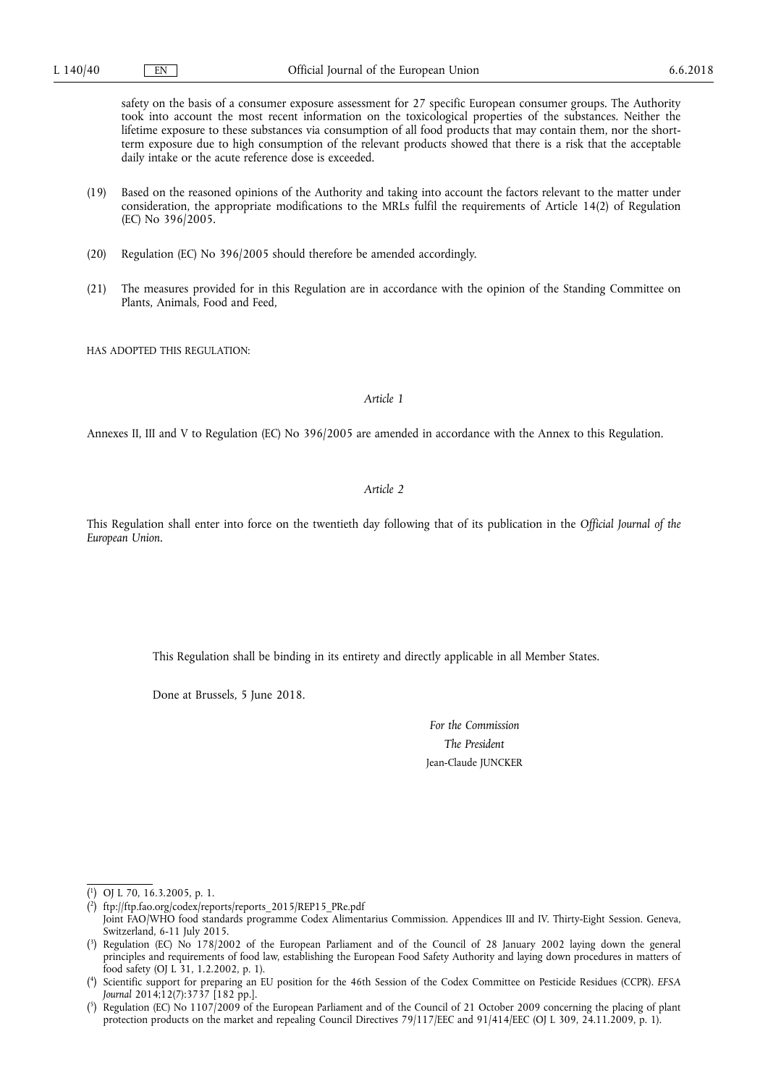safety on the basis of a consumer exposure assessment for 27 specific European consumer groups. The Authority took into account the most recent information on the toxicological properties of the substances. Neither the lifetime exposure to these substances via consumption of all food products that may contain them, nor the shortterm exposure due to high consumption of the relevant products showed that there is a risk that the acceptable daily intake or the acute reference dose is exceeded.

- (19) Based on the reasoned opinions of the Authority and taking into account the factors relevant to the matter under consideration, the appropriate modifications to the MRLs fulfil the requirements of Article 14(2) of Regulation (EC) No 396/2005.
- (20) Regulation (EC) No 396/2005 should therefore be amended accordingly.
- (21) The measures provided for in this Regulation are in accordance with the opinion of the Standing Committee on Plants, Animals, Food and Feed,

HAS ADOPTED THIS REGULATION:

### *Article 1*

Annexes II, III and V to Regulation (EC) No 396/2005 are amended in accordance with the Annex to this Regulation.

## *Article 2*

This Regulation shall enter into force on the twentieth day following that of its publication in the *Official Journal of the European Union*.

This Regulation shall be binding in its entirety and directly applicable in all Member States.

Done at Brussels, 5 June 2018.

*For the Commission The President*  Jean-Claude JUNCKER

<sup>(</sup> 1 ) OJ L 70, 16.3.2005, p. 1.

<sup>(</sup> 2 ) ftp://ftp.fao.org/codex/reports/reports\_2015/REP15\_PRe.pdf

Joint FAO/WHO food standards programme Codex Alimentarius Commission. Appendices III and IV. Thirty-Eight Session. Geneva, Switzerland, 6-11 July 2015.

<sup>(</sup> 3 ) Regulation (EC) No 178/2002 of the European Parliament and of the Council of 28 January 2002 laying down the general principles and requirements of food law, establishing the European Food Safety Authority and laying down procedures in matters of food safety (OJ L 31, 1.2.2002, p. 1).

<sup>(</sup> 4 ) Scientific support for preparing an EU position for the 46th Session of the Codex Committee on Pesticide Residues (CCPR). *EFSA Journal* 2014;12(7):3737 [182 pp.].

<sup>(</sup> 5 ) Regulation (EC) No 1107/2009 of the European Parliament and of the Council of 21 October 2009 concerning the placing of plant protection products on the market and repealing Council Directives 79/117/EEC and 91/414/EEC (OJ L 309, 24.11.2009, p. 1).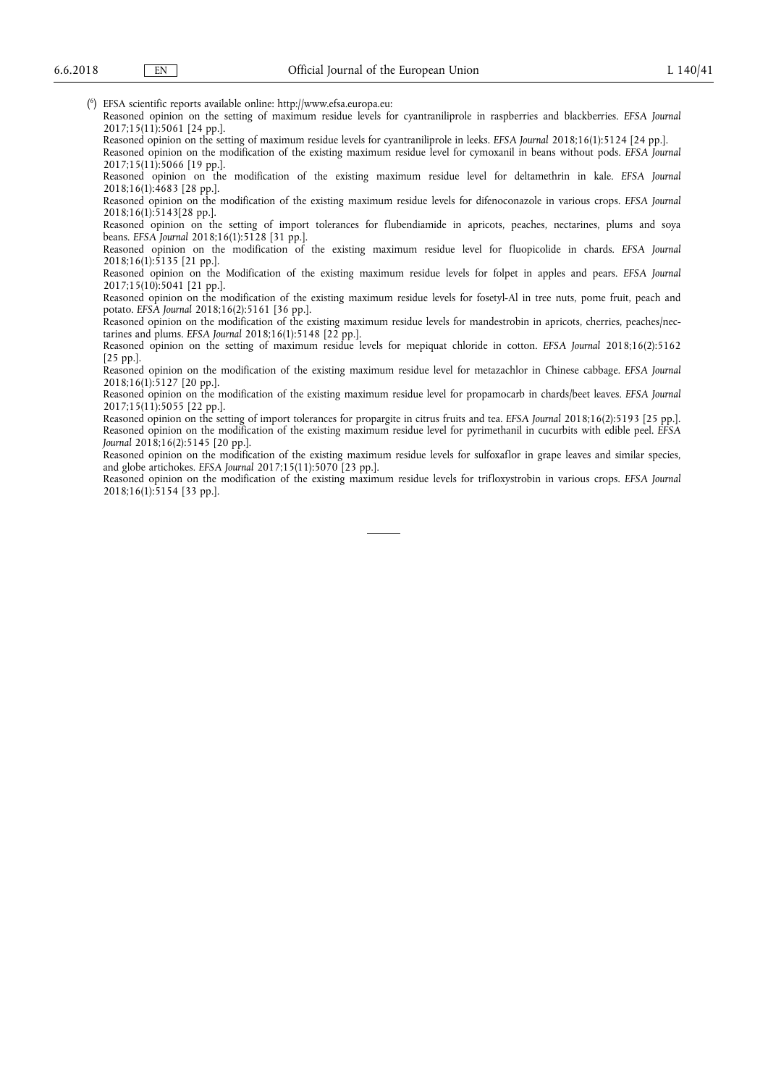( 6 ) EFSA scientific reports available online: http://www.efsa.europa.eu:

Reasoned opinion on the setting of maximum residue levels for cyantraniliprole in raspberries and blackberries. *EFSA Journal*  2017;15(11):5061 [24 pp.].

Reasoned opinion on the setting of maximum residue levels for cyantraniliprole in leeks. *EFSA Journal* 2018;16(1):5124 [24 pp.]. Reasoned opinion on the modification of the existing maximum residue level for cymoxanil in beans without pods. *EFSA Journal* 

2017;15(11):5066 [19 pp.].

Reasoned opinion on the modification of the existing maximum residue level for deltamethrin in kale. *EFSA Journal*  2018;16(1):4683 [28 pp.].

Reasoned opinion on the modification of the existing maximum residue levels for difenoconazole in various crops. *EFSA Journal*  2018;16(1):5143[28 pp.].

Reasoned opinion on the setting of import tolerances for flubendiamide in apricots, peaches, nectarines, plums and soya beans. *EFSA Journal* 2018;16(1):5128 [31 pp.].

Reasoned opinion on the modification of the existing maximum residue level for fluopicolide in chards. *EFSA Journal*  2018;16(1):5135 [21 pp.].

Reasoned opinion on the Modification of the existing maximum residue levels for folpet in apples and pears. *EFSA Journal*  2017;15(10):5041 [21 pp.].

Reasoned opinion on the modification of the existing maximum residue levels for fosetyl-Al in tree nuts, pome fruit, peach and potato. *EFSA Journal* 2018;16(2):5161 [36 pp.].

Reasoned opinion on the modification of the existing maximum residue levels for mandestrobin in apricots, cherries, peaches/nectarines and plums. *EFSA Journal* 2018;16(1):5148 [22 pp.].

Reasoned opinion on the setting of maximum residue levels for mepiquat chloride in cotton. *EFSA Journal* 2018;16(2):5162 [25 pp.].

Reasoned opinion on the modification of the existing maximum residue level for metazachlor in Chinese cabbage. *EFSA Journal*  2018;16(1):5127 [20 pp.].

Reasoned opinion on the modification of the existing maximum residue level for propamocarb in chards/beet leaves. *EFSA Journal*  2017;15(11):5055 [22 pp.].

Reasoned opinion on the setting of import tolerances for propargite in citrus fruits and tea. *EFSA Journal* 2018;16(2):5193 [25 pp.]. Reasoned opinion on the modification of the existing maximum residue level for pyrimethanil in cucurbits with edible peel. *EFSA Journal* 2018;16(2):5145 [20 pp.].

Reasoned opinion on the modification of the existing maximum residue levels for sulfoxaflor in grape leaves and similar species, and globe artichokes. *EFSA Journal* 2017;15(11):5070 [23 pp.].

Reasoned opinion on the modification of the existing maximum residue levels for trifloxystrobin in various crops. *EFSA Journal*  2018;16(1):5154 [33 pp.].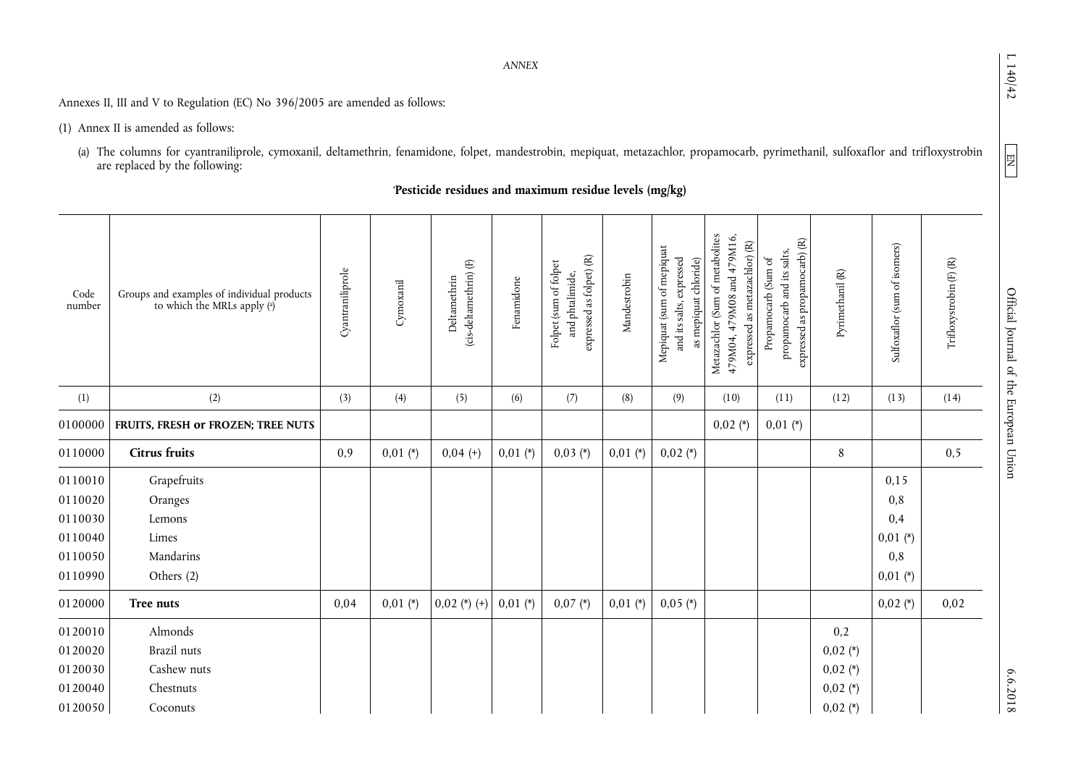$L140/42$ 

 $\boxed{\text{NE}}$ 

6.6.2018

*ANNEX* 

Annexes II, III and V to Regulation (EC) No 396/2005 are amended as follows:

(1) Annex II is amended as follows:

(a) The columns for cyantraniliprole, cymoxanil, deltamethrin, fenamidone, folpet, mandestrobin, mepiquat, metazachlor, propamocarb, pyrimethanil, sulfoxaflor and trifloxystrobin are replaced by the following:

# '**Pesticide residues and maximum residue levels (mg/kg)**

| Code<br>number | Groups and examples of individual products<br>to which the MRLs apply (a) | Cyantraniliprole | Cymoxanil  | (cis-deltamethrin) (F)<br>Deltamethrin | Fenamidone | $expressed$ as folpet) $(R)$<br>Folpet (sum of folpet<br>and phtalimide, | Mandestrobin | Mepiquat (sum of mepiquat<br>and its salts, expressed<br>as mepiquat chloride) | Metazachlor (Sum of metabolites<br>479M04, 479M08 and 479M16,<br>expressed as metazachlor) (R) | expressed as propamocarb) (R)<br>propamocarb and its salts,<br>Propamocarb (Sum of | Pyrimethanil (R) | Sulfoxaflor (sum of isomers) | $\operatorname{Trifloxystrobin}\left(\mathbb{F}\right)\left(\mathbb{R}\right)$ |
|----------------|---------------------------------------------------------------------------|------------------|------------|----------------------------------------|------------|--------------------------------------------------------------------------|--------------|--------------------------------------------------------------------------------|------------------------------------------------------------------------------------------------|------------------------------------------------------------------------------------|------------------|------------------------------|--------------------------------------------------------------------------------|
| (1)            | (2)                                                                       | (3)              | (4)        | (5)                                    | (6)        | (7)                                                                      | (8)          | (9)                                                                            | (10)                                                                                           | (11)                                                                               | (12)             | (13)                         | (14)                                                                           |
| 0100000        | FRUITS, FRESH or FROZEN; TREE NUTS                                        |                  |            |                                        |            |                                                                          |              |                                                                                | $0,02$ (*)                                                                                     | $0,01$ (*)                                                                         |                  |                              |                                                                                |
| 0110000        | <b>Citrus fruits</b>                                                      | 0,9              | $0,01$ (*) | $0,04 (+)$                             | $0,01$ (*) | $0,03 (*)$                                                               | $0,01$ (*)   | $0,02$ (*)                                                                     |                                                                                                |                                                                                    | 8                |                              | 0,5                                                                            |
| 0110010        | Grapefruits                                                               |                  |            |                                        |            |                                                                          |              |                                                                                |                                                                                                |                                                                                    |                  | 0,15                         |                                                                                |
| 0110020        | Oranges                                                                   |                  |            |                                        |            |                                                                          |              |                                                                                |                                                                                                |                                                                                    |                  | 0,8                          |                                                                                |
| 0110030        | Lemons                                                                    |                  |            |                                        |            |                                                                          |              |                                                                                |                                                                                                |                                                                                    |                  | 0,4                          |                                                                                |
| 0110040        | Limes                                                                     |                  |            |                                        |            |                                                                          |              |                                                                                |                                                                                                |                                                                                    |                  | $0,01$ (*)                   |                                                                                |
| 0110050        | Mandarins                                                                 |                  |            |                                        |            |                                                                          |              |                                                                                |                                                                                                |                                                                                    |                  | 0,8                          |                                                                                |
| 0110990        | Others (2)                                                                |                  |            |                                        |            |                                                                          |              |                                                                                |                                                                                                |                                                                                    |                  | $0,01$ (*)                   |                                                                                |
| 0120000        | Tree nuts                                                                 | 0,04             | $0,01$ (*) | $0,02$ (*) (+)                         | $0,01$ (*) | $0,07$ (*)                                                               | $0,01$ (*)   | $0,05$ (*)                                                                     |                                                                                                |                                                                                    |                  | $0,02$ (*)                   | 0,02                                                                           |
| 0120010        | Almonds                                                                   |                  |            |                                        |            |                                                                          |              |                                                                                |                                                                                                |                                                                                    | 0,2              |                              |                                                                                |
| 0120020        | Brazil nuts                                                               |                  |            |                                        |            |                                                                          |              |                                                                                |                                                                                                |                                                                                    | $0,02$ (*)       |                              |                                                                                |
| 0120030        | Cashew nuts                                                               |                  |            |                                        |            |                                                                          |              |                                                                                |                                                                                                |                                                                                    | $0,02$ (*)       |                              |                                                                                |
| 0120040        | Chestnuts                                                                 |                  |            |                                        |            |                                                                          |              |                                                                                |                                                                                                |                                                                                    | $0,02$ (*)       |                              |                                                                                |
| 0120050        | Coconuts                                                                  |                  |            |                                        |            |                                                                          |              |                                                                                |                                                                                                |                                                                                    | $0,02$ (*)       |                              |                                                                                |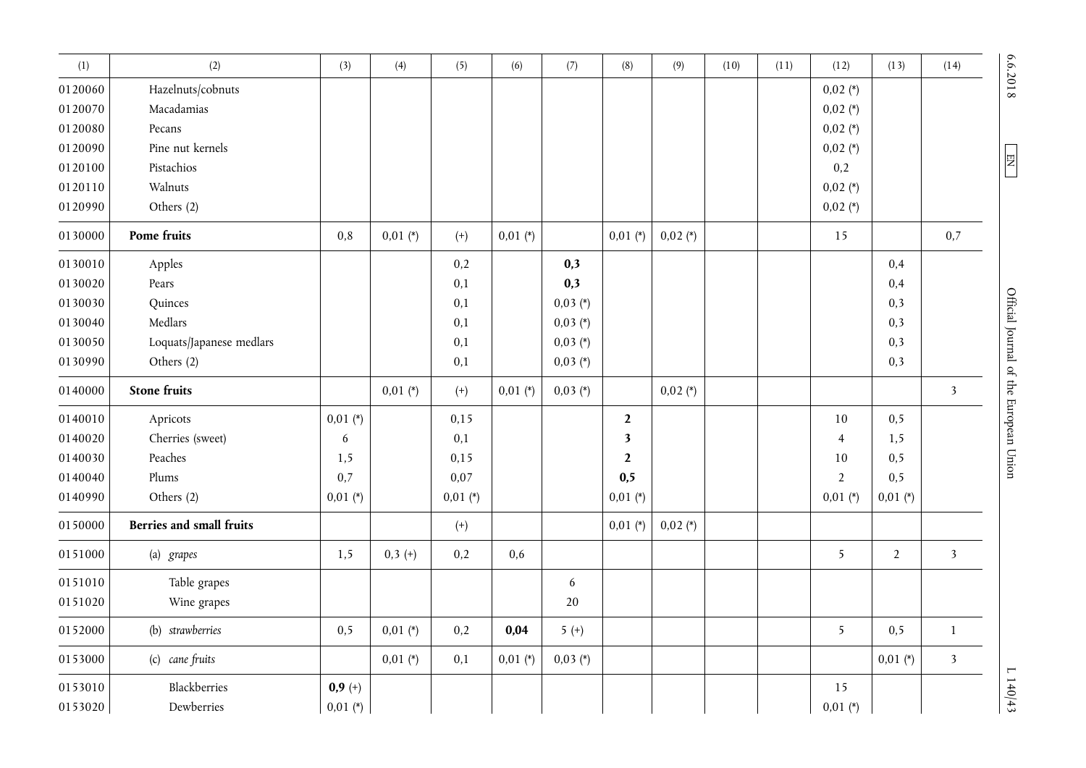| (1)     | (2)                             | (3)        | (4)        | (5)        | (6)        | (7)        | (8)          | (9)        | (10) | (11) | (12)           | (13)           | (14)                    |  |
|---------|---------------------------------|------------|------------|------------|------------|------------|--------------|------------|------|------|----------------|----------------|-------------------------|--|
| 0120060 | Hazelnuts/cobnuts               |            |            |            |            |            |              |            |      |      | $0,02$ (*)     |                |                         |  |
| 0120070 | Macadamias                      |            |            |            |            |            |              |            |      |      | $0,02$ (*)     |                |                         |  |
| 0120080 | Pecans                          |            |            |            |            |            |              |            |      |      | $0,02 (*)$     |                |                         |  |
| 0120090 | Pine nut kernels                |            |            |            |            |            |              |            |      |      | $0,02 (*)$     |                |                         |  |
| 0120100 | Pistachios                      |            |            |            |            |            |              |            |      |      | 0,2            |                |                         |  |
| 0120110 | Walnuts                         |            |            |            |            |            |              |            |      |      | $0,02$ (*)     |                |                         |  |
| 0120990 | Others (2)                      |            |            |            |            |            |              |            |      |      | $0,02$ (*)     |                |                         |  |
| 0130000 | Pome fruits                     | $\rm 0.8$  | $0,01 (*)$ | $^{(+)}$   | $0,01$ (*) |            | $0,01 (*)$   | $0,02$ (*) |      |      | 15             |                | 0,7                     |  |
| 0130010 | Apples                          |            |            | 0,2        |            | 0,3        |              |            |      |      |                | 0,4            |                         |  |
| 0130020 | Pears                           |            |            | 0,1        |            | 0,3        |              |            |      |      |                | 0,4            |                         |  |
| 0130030 | Quinces                         |            |            | 0,1        |            | $0,03 (*)$ |              |            |      |      |                | 0,3            |                         |  |
| 0130040 | Medlars                         |            |            | 0,1        |            | $0,03 (*)$ |              |            |      |      |                | 0,3            |                         |  |
| 0130050 | Loquats/Japanese medlars        |            |            | 0,1        |            | $0,03 (*)$ |              |            |      |      |                | 0,3            |                         |  |
| 0130990 | Others (2)                      |            |            | 0,1        |            | $0,03 (*)$ |              |            |      |      |                | 0,3            |                         |  |
| 0140000 | <b>Stone fruits</b>             |            | $0,01$ (*) | $^{(+)}$   | $0,01$ (*) | $0,03 (*)$ |              | $0,02$ (*) |      |      |                |                | $\overline{\mathbf{3}}$ |  |
| 0140010 | Apricots                        | $0,01$ (*) |            | 0,15       |            |            | $\mathbf{2}$ |            |      |      | 10             | 0,5            |                         |  |
| 0140020 | Cherries (sweet)                | 6          |            | 0,1        |            |            | 3            |            |      |      | $\overline{4}$ | 1,5            |                         |  |
| 0140030 | Peaches                         | 1,5        |            | 0,15       |            |            | $\mathbf{2}$ |            |      |      | 10             | 0,5            |                         |  |
| 0140040 | Plums                           | 0,7        |            | 0,07       |            |            | 0,5          |            |      |      | $\overline{2}$ | 0,5            |                         |  |
| 0140990 | Others (2)                      | $0,01$ (*) |            | $0,01$ (*) |            |            | $0,01$ (*)   |            |      |      | $0,01 (*)$     | $0,01$ (*)     |                         |  |
| 0150000 | <b>Berries and small fruits</b> |            |            | $(+)$      |            |            | $0,01$ (*)   | $0,02$ (*) |      |      |                |                |                         |  |
| 0151000 | (a) grapes                      | 1,5        | $0,3 (+)$  | 0,2        | 0,6        |            |              |            |      |      | 5 <sup>1</sup> | $\overline{2}$ | $\overline{\mathbf{3}}$ |  |
| 0151010 | Table grapes                    |            |            |            |            | 6          |              |            |      |      |                |                |                         |  |
| 0151020 | Wine grapes                     |            |            |            |            | 20         |              |            |      |      |                |                |                         |  |
| 0152000 | (b) strawberries                | 0, 5       | $0,01$ (*) | 0,2        | 0,04       | $5 (+)$    |              |            |      |      | 5              | 0,5            | $1\,$                   |  |
| 0153000 | (c) cane fruits                 |            | $0,01 (*)$ | 0,1        | $0,01$ (*) | $0,03 (*)$ |              |            |      |      |                | $0,01$ (*)     | $\overline{3}$          |  |
| 0153010 | Blackberries                    | $0,9 (+)$  |            |            |            |            |              |            |      |      | 15             |                |                         |  |
| 0153020 | Dewberries                      | $0,01$ (*) |            |            |            |            |              |            |      |      | $0,01 (*)$     |                |                         |  |

6.6.2018

 $E$ 

6.6.2018 L  $\Box$  L 140  $\Box$  Official Journal of the European Union END for  $\Box$  COMP  $\Box$  L 140  $\Box$  L 140  $\Box$ Official Journal of the European Union

 $\frac{1140}{43}$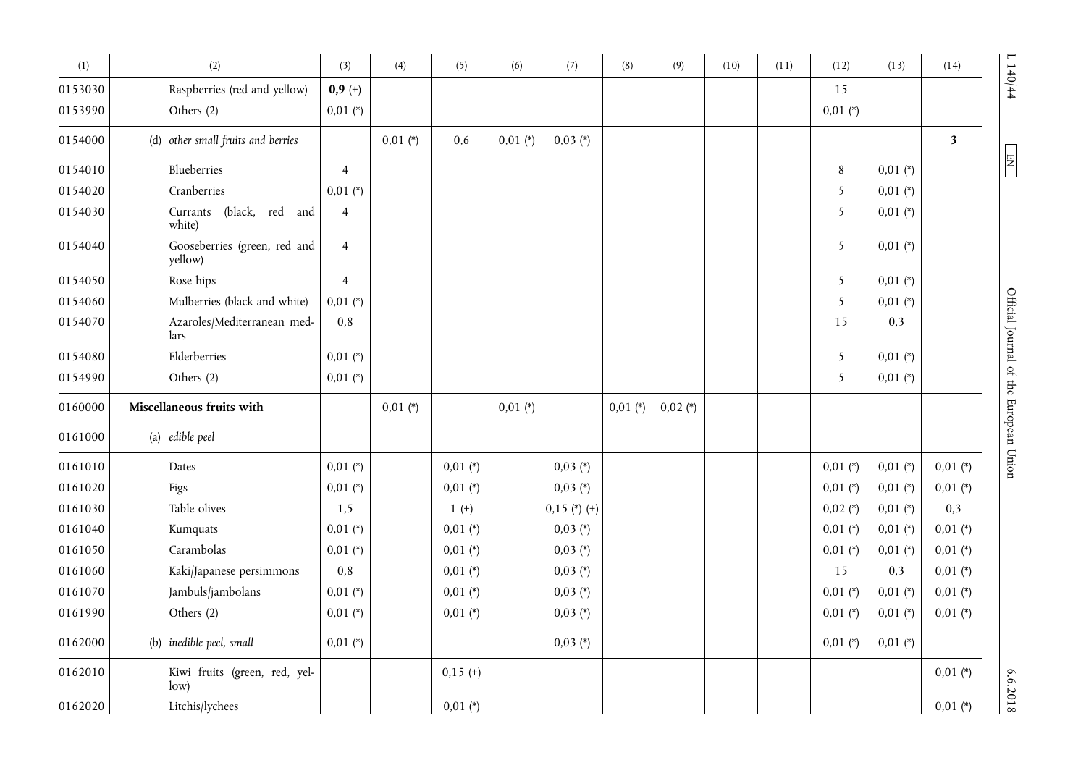| (1)     | (2)                                     | (3)            | (4)        | (5)        | (6)        | (7)            | (8)        | (9)        | (10) | (11) | (12)           | (13)       | (14)                    |
|---------|-----------------------------------------|----------------|------------|------------|------------|----------------|------------|------------|------|------|----------------|------------|-------------------------|
| 0153030 | Raspberries (red and yellow)            | $0,9 (+)$      |            |            |            |                |            |            |      |      | 15             |            |                         |
| 0153990 | Others (2)                              | $0,01$ (*)     |            |            |            |                |            |            |      |      | $0,01$ (*)     |            |                         |
| 0154000 | (d) other small fruits and berries      |                | $0,01$ (*) | 0,6        | $0,01$ (*) | $0,03 (*)$     |            |            |      |      |                |            | $\overline{\mathbf{3}}$ |
| 0154010 | Blueberries                             | $\overline{4}$ |            |            |            |                |            |            |      |      | $\,8\,$        | $0,01$ (*) |                         |
| 0154020 | Cranberries                             | $0,01$ (*)     |            |            |            |                |            |            |      |      | 5              | $0,01$ (*) |                         |
| 0154030 | (black, red and<br>Currants<br>white)   | $\overline{4}$ |            |            |            |                |            |            |      |      | 5              | $0,01$ (*) |                         |
| 0154040 | Gooseberries (green, red and<br>yellow) | $\overline{4}$ |            |            |            |                |            |            |      |      | 5              | $0,01$ (*) |                         |
| 0154050 | Rose hips                               | $\overline{4}$ |            |            |            |                |            |            |      |      | $\overline{5}$ | $0,01$ (*) |                         |
| 0154060 | Mulberries (black and white)            | $0,01$ (*)     |            |            |            |                |            |            |      |      | 5              | $0,01$ (*) |                         |
| 0154070 | Azaroles/Mediterranean med-<br>lars     | 0,8            |            |            |            |                |            |            |      |      | 15             | 0,3        |                         |
| 0154080 | Elderberries                            | $0,01$ (*)     |            |            |            |                |            |            |      |      | 5              | $0,01$ (*) |                         |
| 0154990 | Others (2)                              | $0,01$ (*)     |            |            |            |                |            |            |      |      | 5              | $0,01$ (*) |                         |
| 0160000 | Miscellaneous fruits with               |                | $0,01$ (*) |            | $0,01$ (*) |                | $0,01$ (*) | $0,02$ (*) |      |      |                |            |                         |
| 0161000 | (a) edible peel                         |                |            |            |            |                |            |            |      |      |                |            |                         |
| 0161010 | Dates                                   | $0,01$ (*)     |            | $0,01$ (*) |            | $0,03$ (*)     |            |            |      |      | $0,01 (*)$     | $0,01$ (*) | $0,01$ (*)              |
| 0161020 | Figs                                    | $0,01$ (*)     |            | $0,01$ (*) |            | $0,03$ (*)     |            |            |      |      | $0,01$ (*)     | $0,01$ (*) | $0,01$ (*)              |
| 0161030 | Table olives                            | 1,5            |            | $1 (+)$    |            | $0,15$ (*) (+) |            |            |      |      | $0,02$ (*)     | $0,01$ (*) | 0,3                     |
| 0161040 | Kumquats                                | $0,01$ (*)     |            | $0,01$ (*) |            | $0,03$ (*)     |            |            |      |      | $0,01$ (*)     | $0,01$ (*) | $0,01$ (*)              |
| 0161050 | Carambolas                              | $0,01$ (*)     |            | $0,01$ (*) |            | $0,03(*)$      |            |            |      |      | $0,01$ (*)     | $0,01$ (*) | $0,01$ (*)              |
| 0161060 | Kaki/Japanese persimmons                | 0,8            |            | $0,01$ (*) |            | $0,03$ (*)     |            |            |      |      | 15             | 0,3        | $0,01$ (*)              |
| 0161070 | Jambuls/jambolans                       | $0,01$ (*)     |            | $0,01$ (*) |            | $0,03$ (*)     |            |            |      |      | $0,01$ (*)     | $0,01$ (*) | $0,01$ (*)              |
| 0161990 | Others (2)                              | $0,01$ (*)     |            | $0,01 (*)$ |            | $0,03$ (*)     |            |            |      |      | $0,01$ (*)     | $0,01$ (*) | $0,01$ (*)              |
| 0162000 | (b) inedible peel, small                | $0,01$ (*)     |            |            |            | $0,03 (*)$     |            |            |      |      | $0,01$ (*)     | $0,01$ (*) |                         |
| 0162010 | Kiwi fruits (green, red, yel-<br>low)   |                |            | $0,15$ (+) |            |                |            |            |      |      |                |            | $0,01$ (*)              |
| 0162020 | Litchis/lychees                         |                |            | $0,01$ (*) |            |                |            |            |      |      |                |            | $0,01$ (*)              |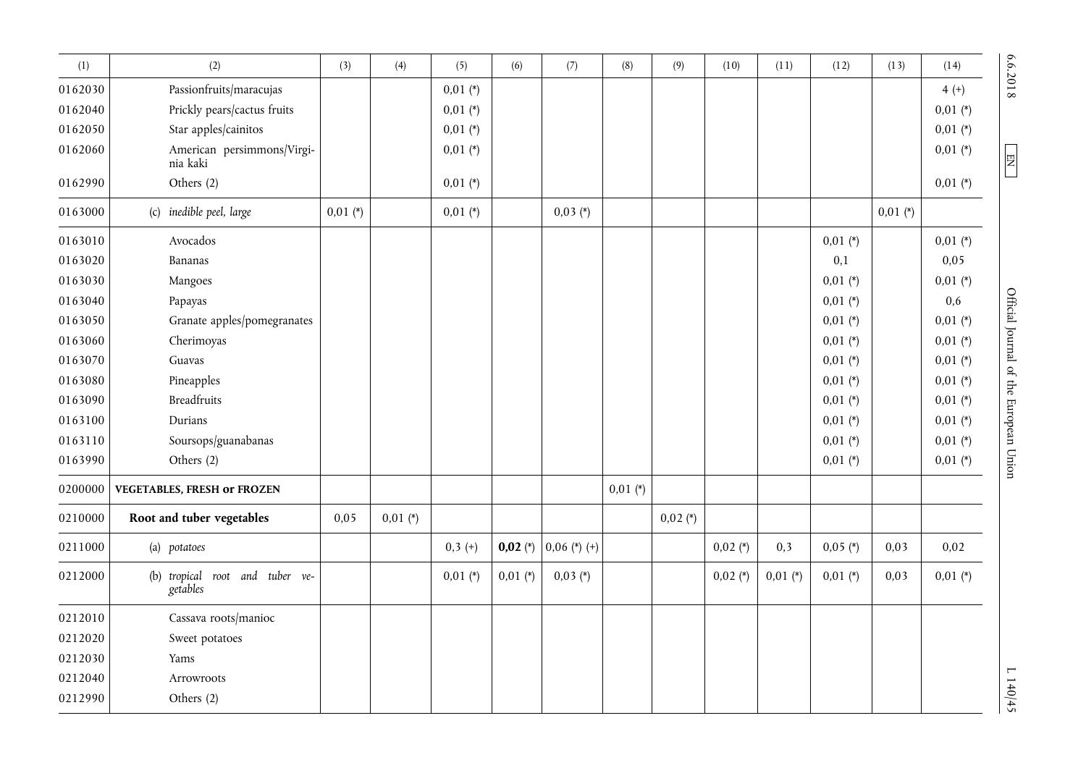| (1)     | (2)                                         | (3)        | (4)        | (5)        | (6)        | (7)            | (8)        | (9)        | (10)       | (11)       | (12)       | (13)       | (14)       | 6.6.2018                               |
|---------|---------------------------------------------|------------|------------|------------|------------|----------------|------------|------------|------------|------------|------------|------------|------------|----------------------------------------|
| 0162030 | Passionfruits/maracujas                     |            |            | $0.01$ (*) |            |                |            |            |            |            |            |            | $4 (+)$    |                                        |
| 0162040 | Prickly pears/cactus fruits                 |            |            | $0,01$ (*) |            |                |            |            |            |            |            |            | $0,01$ (*) |                                        |
| 0162050 | Star apples/cainitos                        |            |            | $0,01$ (*) |            |                |            |            |            |            |            |            | $0,01$ (*) |                                        |
| 0162060 | American persimmons/Virgi-<br>nia kaki      |            |            | $0,01$ (*) |            |                |            |            |            |            |            |            | $0,01 (*)$ | $\frac{EM}{1}$                         |
| 0162990 | Others (2)                                  |            |            | $0,01$ (*) |            |                |            |            |            |            |            |            | $0.01$ (*) |                                        |
| 0163000 | (c) inedible peel, large                    | $0,01$ (*) |            | $0,01 (*)$ |            | $0,03 (*)$     |            |            |            |            |            | $0,01$ (*) |            |                                        |
| 0163010 | Avocados                                    |            |            |            |            |                |            |            |            |            | $0,01$ (*) |            | $0,01$ (*) |                                        |
| 0163020 | Bananas                                     |            |            |            |            |                |            |            |            |            | 0,1        |            | 0,05       |                                        |
| 0163030 | Mangoes                                     |            |            |            |            |                |            |            |            |            | $0,01 (*)$ |            | $0,01$ (*) |                                        |
| 0163040 | Papayas                                     |            |            |            |            |                |            |            |            |            | $0,01$ (*) |            | 0,6        |                                        |
| 0163050 | Granate apples/pomegranates                 |            |            |            |            |                |            |            |            |            | $0,01$ (*) |            | $0,01$ (*) |                                        |
| 0163060 | Cherimoyas                                  |            |            |            |            |                |            |            |            |            | $0,01 (*)$ |            | $0,01$ (*) |                                        |
| 0163070 | Guavas                                      |            |            |            |            |                |            |            |            |            | $0,01 (*)$ |            | $0,01$ (*) |                                        |
| 0163080 | Pineapples                                  |            |            |            |            |                |            |            |            |            | $0,01$ (*) |            | $0,01$ (*) |                                        |
| 0163090 | <b>Breadfruits</b>                          |            |            |            |            |                |            |            |            |            | $0,01$ (*) |            | $0,01$ (*) |                                        |
| 0163100 | Durians                                     |            |            |            |            |                |            |            |            |            | $0,01 (*)$ |            | $0,01 (*)$ |                                        |
| 0163110 | Soursops/guanabanas                         |            |            |            |            |                |            |            |            |            | $0,01$ (*) |            | $0,01 (*)$ |                                        |
| 0163990 | Others (2)                                  |            |            |            |            |                |            |            |            |            | $0,01 (*)$ |            | $0,01$ (*) | Official Journal of the European Union |
| 0200000 | <b>VEGETABLES, FRESH or FROZEN</b>          |            |            |            |            |                | $0,01 (*)$ |            |            |            |            |            |            |                                        |
| 0210000 | Root and tuber vegetables                   | 0,05       | $0,01$ (*) |            |            |                |            | $0,02$ (*) |            |            |            |            |            |                                        |
| 0211000 | (a) potatoes                                |            |            | $0,3 (+)$  | $0,02 (*)$ | $0,06$ (*) (+) |            |            | $0,02$ (*) | 0,3        | $0,05$ (*) | 0,03       | 0,02       |                                        |
| 0212000 | (b) tropical root and tuber ve-<br>getables |            |            | $0,01$ (*) | $0,01$ (*) | $0,03 (*)$     |            |            | $0,02 (*)$ | $0,01$ (*) | $0,01$ (*) | 0,03       | $0,01$ (*) |                                        |
| 0212010 | Cassava roots/manioc                        |            |            |            |            |                |            |            |            |            |            |            |            |                                        |
| 0212020 | Sweet potatoes                              |            |            |            |            |                |            |            |            |            |            |            |            |                                        |
| 0212030 | Yams                                        |            |            |            |            |                |            |            |            |            |            |            |            |                                        |
| 0212040 | Arrowroots                                  |            |            |            |            |                |            |            |            |            |            |            |            |                                        |
| 0212990 | Others (2)                                  |            |            |            |            |                |            |            |            |            |            |            |            | 1140/45                                |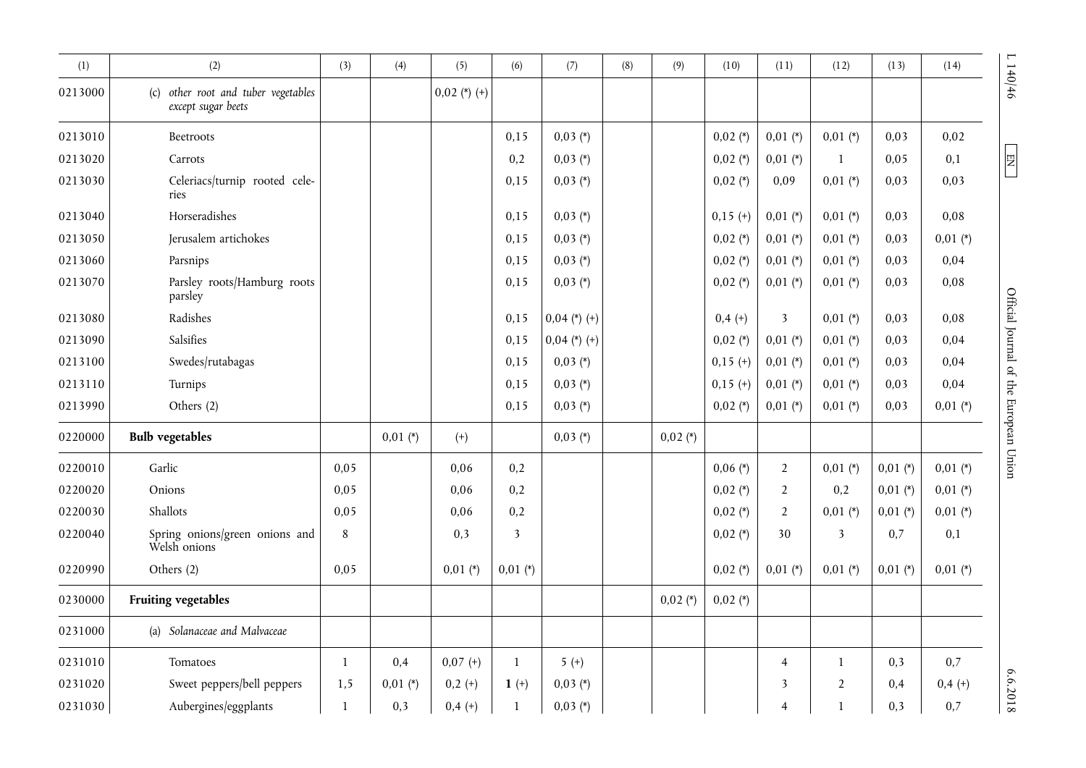| (1)     | (2)                                                          | (3)  | (4)        | (5)            | (6)          | (7)            | (8) | (9)        | (10)       | (11)                    | (12)                    | (13)       | (14)       | 1140/46                                |
|---------|--------------------------------------------------------------|------|------------|----------------|--------------|----------------|-----|------------|------------|-------------------------|-------------------------|------------|------------|----------------------------------------|
| 0213000 | other root and tuber vegetables<br>(c)<br>except sugar beets |      |            | $0,02$ (*) (+) |              |                |     |            |            |                         |                         |            |            |                                        |
| 0213010 | Beetroots                                                    |      |            |                | 0,15         | $0,03(*)$      |     |            | $0,02$ (*) | $0,01$ (*)              | $0,01$ (*)              | 0,03       | 0,02       |                                        |
| 0213020 | Carrots                                                      |      |            |                | 0,2          | $0,03(*)$      |     |            | $0,02$ (*) | $0,01$ (*)              | $\mathbf{1}$            | 0,05       | 0,1        | 四                                      |
| 0213030 | Celeriacs/turnip rooted cele-<br>ries                        |      |            |                | 0,15         | $0,03 (*)$     |     |            | $0,02$ (*) | 0,09                    | $0,01$ (*)              | 0,03       | 0,03       |                                        |
| 0213040 | Horseradishes                                                |      |            |                | 0,15         | $0,03(*)$      |     |            | $0,15(+)$  | $0,01$ (*)              | $0,01 (*)$              | 0,03       | 0,08       |                                        |
| 0213050 | Jerusalem artichokes                                         |      |            |                | 0,15         | $0,03(*)$      |     |            | $0,02$ (*) | $0,01$ (*)              | $0,01$ (*)              | 0,03       | $0,01$ (*) |                                        |
| 0213060 | Parsnips                                                     |      |            |                | 0,15         | $0,03 (*)$     |     |            | $0,02$ (*) | $0,01$ (*)              | $0,01 (*)$              | 0,03       | 0,04       |                                        |
| 0213070 | Parsley roots/Hamburg roots<br>parsley                       |      |            |                | 0,15         | $0,03 (*)$     |     |            | $0,02$ (*) | $0,01$ (*)              | $0,01 (*)$              | 0,03       | 0,08       |                                        |
| 0213080 | Radishes                                                     |      |            |                | 0,15         | $0,04$ (*) (+) |     |            | $0,4 (+)$  | $\overline{\mathbf{3}}$ | $0,01$ (*)              | 0,03       | 0,08       |                                        |
| 0213090 | Salsifies                                                    |      |            |                | 0,15         | $0,04$ (*) (+) |     |            | $0,02$ (*) | $0,01$ (*)              | $0,01 (*)$              | 0,03       | 0,04       |                                        |
| 0213100 | Swedes/rutabagas                                             |      |            |                | 0,15         | $0,03(*)$      |     |            | $0,15(+)$  | $0,01$ (*)              | $0,01$ (*)              | 0,03       | 0,04       |                                        |
| 0213110 | Turnips                                                      |      |            |                | 0,15         | $0,03(*)$      |     |            | $0,15(+)$  | $0,01$ (*)              | $0,01 (*)$              | 0,03       | 0,04       |                                        |
| 0213990 | Others (2)                                                   |      |            |                | 0,15         | $0,03 (*)$     |     |            | $0,02$ (*) | $0,01$ (*)              | $0,01$ (*)              | 0,03       | $0,01$ (*) |                                        |
| 0220000 | <b>Bulb vegetables</b>                                       |      | $0,01$ (*) | $^{(+)}$       |              | $0,03 (*)$     |     | $0,02$ (*) |            |                         |                         |            |            | Official Journal of the European Union |
| 0220010 | Garlic                                                       | 0,05 |            | 0,06           | 0,2          |                |     |            | $0,06(*)$  | $\overline{2}$          | $0,01$ (*)              | $0,01$ (*) | $0,01$ (*) |                                        |
| 0220020 | Onions                                                       | 0,05 |            | 0,06           | 0,2          |                |     |            | $0,02$ (*) | $\overline{2}$          | 0,2                     | $0,01$ (*) | $0,01$ (*) |                                        |
| 0220030 | Shallots                                                     | 0,05 |            | 0,06           | 0,2          |                |     |            | $0,02$ (*) | $\overline{2}$          | $0,01 (*)$              | $0,01$ (*) | $0,01$ (*) |                                        |
| 0220040 | Spring onions/green onions and<br>Welsh onions               | 8    |            | 0,3            | 3            |                |     |            | $0,02$ (*) | 30                      | $\overline{\mathbf{3}}$ | 0,7        | 0,1        |                                        |
| 0220990 | Others (2)                                                   | 0,05 |            | $0,01$ (*)     | $0,01$ (*)   |                |     |            | $0,02$ (*) | $0,01$ (*)              | $0,01$ (*)              | $0,01$ (*) | $0,01$ (*) |                                        |
| 0230000 | <b>Fruiting vegetables</b>                                   |      |            |                |              |                |     | $0,02$ (*) | $0,02$ (*) |                         |                         |            |            |                                        |
| 0231000 | (a) Solanaceae and Malvaceae                                 |      |            |                |              |                |     |            |            |                         |                         |            |            |                                        |
| 0231010 | Tomatoes                                                     | 1    | 0,4        | $0,07 (+)$     | $\mathbf{1}$ | $5 (+)$        |     |            |            | $\overline{4}$          | $\mathbf{1}$            | 0,3        | 0,7        |                                        |
| 0231020 | Sweet peppers/bell peppers                                   | 1,5  | $0,01$ (*) | $0,2 (+)$      | $1 (+)$      | $0,03 (*)$     |     |            |            | 3                       | $\overline{2}$          | 0,4        | $0,4 (+)$  | 6.6.2018                               |
| 0231030 | Aubergines/eggplants                                         | 1    | 0,3        | $0,4(+)$       | $\mathbf{1}$ | $0,03 (*)$     |     |            |            | $\overline{4}$          | $\mathbf{1}$            | 0,3        | 0,7        |                                        |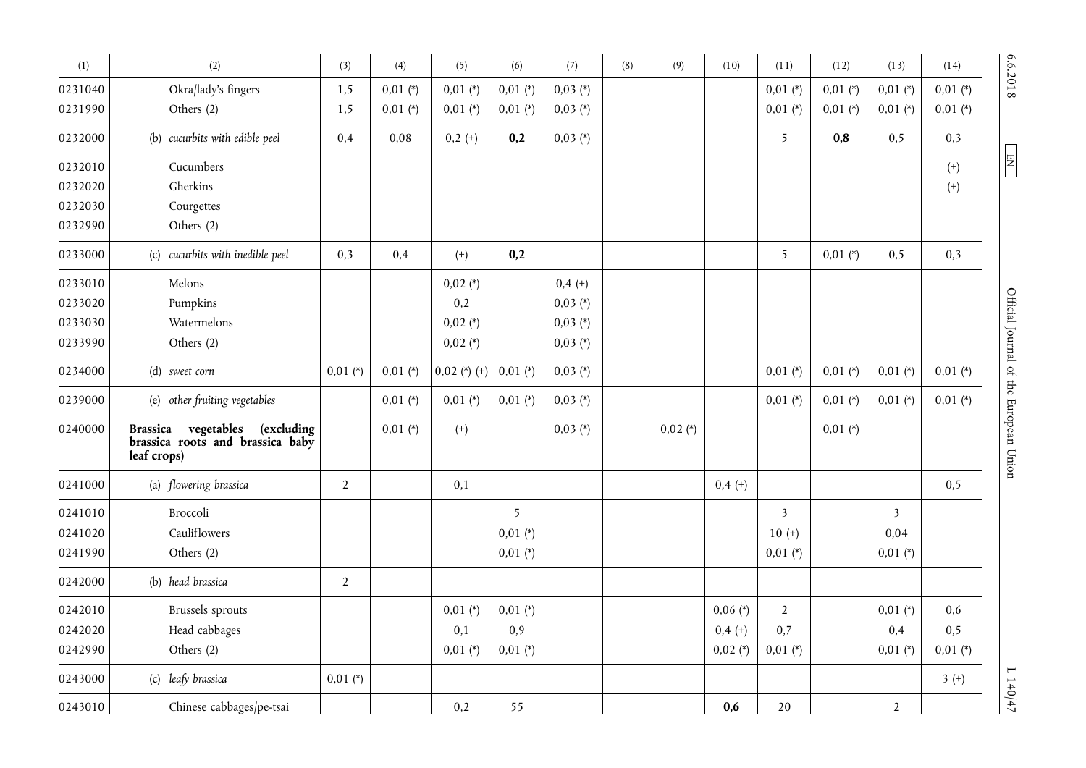| (1)     | (2)                                                                                                   | (3)            | (4)        | (5)            | (6)        | (7)        | (8) | (9)        | (10)       | (11)                    | (12)       | (13)                    | (14)       |
|---------|-------------------------------------------------------------------------------------------------------|----------------|------------|----------------|------------|------------|-----|------------|------------|-------------------------|------------|-------------------------|------------|
| 0231040 | Okra/lady's fingers                                                                                   | 1,5            | $0,01$ (*) | $0,01$ (*)     | $0,01$ (*) | $0,03$ (*) |     |            |            | $0,01$ (*)              | $0,01$ (*) | $0,01$ (*)              | $0,01$ (*) |
| 0231990 | Others (2)                                                                                            | 1,5            | $0,01$ (*) | $0,01 (*)$     | $0,01$ (*) | $0,03 (*)$ |     |            |            | $0,01$ (*)              | $0,01 (*)$ | $0,01$ (*)              | $0,01$ (*) |
| 0232000 | (b) cucurbits with edible peel                                                                        | 0,4            | 0,08       | $0,2 (+)$      | 0,2        | $0,03 (*)$ |     |            |            | 5                       | 0,8        | 0, 5                    | 0,3        |
| 0232010 | Cucumbers                                                                                             |                |            |                |            |            |     |            |            |                         |            |                         | $^{(+)}$   |
| 0232020 | Gherkins                                                                                              |                |            |                |            |            |     |            |            |                         |            |                         | $^{(+)}$   |
| 0232030 | Courgettes                                                                                            |                |            |                |            |            |     |            |            |                         |            |                         |            |
| 0232990 | Others (2)                                                                                            |                |            |                |            |            |     |            |            |                         |            |                         |            |
| 0233000 | (c) cucurbits with inedible peel                                                                      | 0,3            | 0,4        | $^{(+)}$       | 0,2        |            |     |            |            | 5                       | $0,01$ (*) | 0, 5                    | 0,3        |
| 0233010 | Melons                                                                                                |                |            | $0,02$ (*)     |            | $0,4 (+)$  |     |            |            |                         |            |                         |            |
| 0233020 | Pumpkins                                                                                              |                |            | 0,2            |            | $0,03$ (*) |     |            |            |                         |            |                         |            |
| 0233030 | Watermelons                                                                                           |                |            | $0,02$ (*)     |            | $0,03(*)$  |     |            |            |                         |            |                         |            |
| 0233990 | Others (2)                                                                                            |                |            | $0,02$ (*)     |            | $0,03$ (*) |     |            |            |                         |            |                         |            |
| 0234000 | (d) sweet corn                                                                                        | $0,01$ (*)     | $0,01$ (*) | $0,02$ (*) (+) | $0,01$ (*) | $0,03$ (*) |     |            |            | $0,01$ (*)              | $0,01$ (*) | $0,01$ (*)              | $0,01$ (*) |
| 0239000 | (e) other fruiting vegetables                                                                         |                | $0,01$ (*) | $0,01$ (*)     | $0,01$ (*) | $0,03$ (*) |     |            |            | $0,01$ (*)              | $0,01$ (*) | $0,01$ (*)              | $0,01$ (*) |
| 0240000 | <b>Brassica</b><br>vegetables<br><i>(excluding</i><br>brassica roots and brassica baby<br>leaf crops) |                | $0,01$ (*) | $^{(+)}$       |            | $0,03 (*)$ |     | $0,02$ (*) |            |                         | $0,01$ (*) |                         |            |
| 0241000 | (a) flowering brassica                                                                                | $\overline{2}$ |            | 0,1            |            |            |     |            | $0,4 (+)$  |                         |            |                         | 0,5        |
| 0241010 | Broccoli                                                                                              |                |            |                | 5          |            |     |            |            | $\overline{\mathbf{3}}$ |            | $\overline{\mathbf{3}}$ |            |
| 0241020 | Cauliflowers                                                                                          |                |            |                | $0,01$ (*) |            |     |            |            | $10 (+)$                |            | 0,04                    |            |
| 0241990 | Others (2)                                                                                            |                |            |                | $0,01$ (*) |            |     |            |            | $0,01$ (*)              |            | $0,01$ (*)              |            |
| 0242000 | (b) head brassica                                                                                     | $\overline{2}$ |            |                |            |            |     |            |            |                         |            |                         |            |
| 0242010 | <b>Brussels</b> sprouts                                                                               |                |            | $0,01$ (*)     | $0,01$ (*) |            |     |            | $0,06 (*)$ | $\overline{2}$          |            | $0,01$ (*)              | 0,6        |
| 0242020 | Head cabbages                                                                                         |                |            | 0,1            | 0,9        |            |     |            | $0,4(+)$   | 0,7                     |            | 0,4                     | 0, 5       |
| 0242990 | Others (2)                                                                                            |                |            | $0,01$ (*)     | $0,01$ (*) |            |     |            | $0,02$ (*) | $0,01$ (*)              |            | $0,01$ (*)              | $0,01$ (*) |
| 0243000 | (c) leafy brassica                                                                                    | $0,01$ (*)     |            |                |            |            |     |            |            |                         |            |                         | $3 (+)$    |
| 0243010 | Chinese cabbages/pe-tsai                                                                              |                |            | 0,2            | 55         |            |     |            | 0,6        | 20                      |            | $\overline{2}$          |            |

6.6.2018

 $\boxed{\text{EN}}$ 

6.6.2018 L 140 L 140 M 140 M 140 M 140 M 140 M 140 M 140 M 140 M 140 M 140 M 140 M 140 M 140 M 140 M 140 M 140 M 140 M 140 M 140 M 140 M 140 M 140 M 140 M 140 M 140 M 140 M 140 M 140 M 140 M 140 M 140 M 140 M 140 M 140 M Official Journal of the European Union

 $L$  140/47  $\,$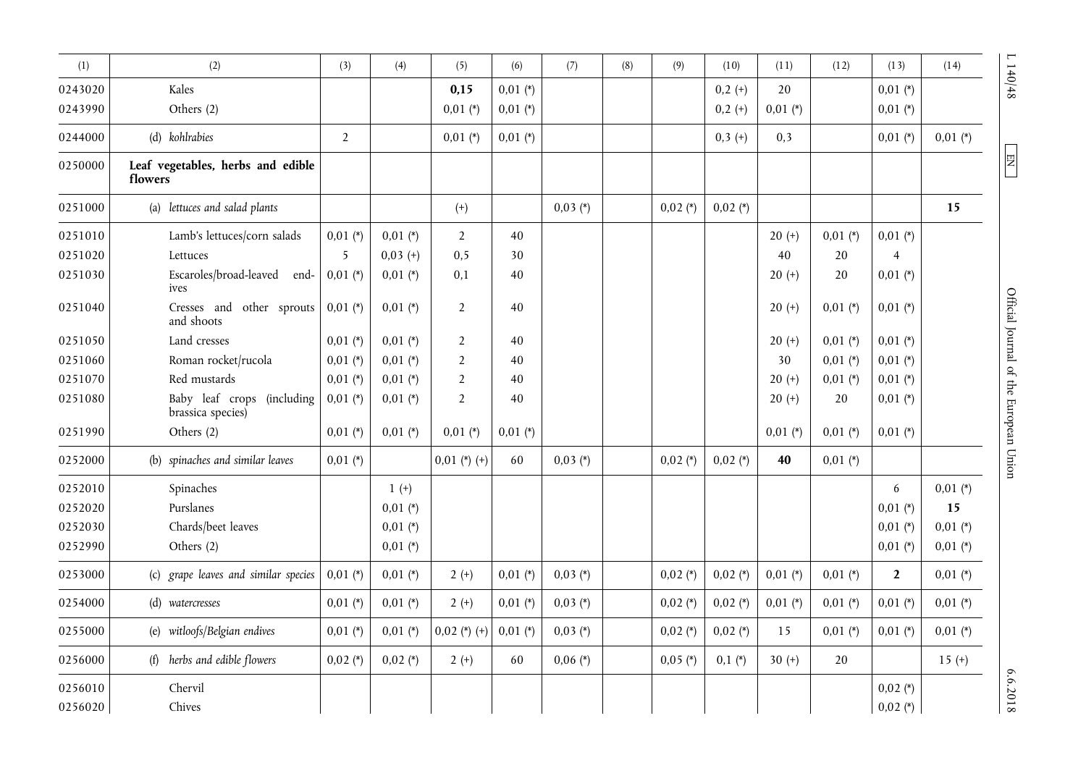| (1)     | (2)                                             | (3)            | (4)        | (5)            | (6)        | (7)        | (8) | (9)        | (10)       | (11)       | (12)       | (13)           | (14)       | L140/48                                |
|---------|-------------------------------------------------|----------------|------------|----------------|------------|------------|-----|------------|------------|------------|------------|----------------|------------|----------------------------------------|
| 0243020 | Kales                                           |                |            | 0,15           | $0,01$ (*) |            |     |            | $0,2 (+)$  | 20         |            | $0,01$ (*)     |            |                                        |
| 0243990 | Others (2)                                      |                |            | $0,01$ (*)     | $0,01$ (*) |            |     |            | $0,2 (+)$  | $0,01$ (*) |            | $0,01$ (*)     |            |                                        |
| 0244000 | (d) kohlrabies                                  | $\overline{2}$ |            | $0,01$ (*)     | $0,01$ (*) |            |     |            | $0,3 (+)$  | 0,3        |            | $0,01 (*)$     | $0,01$ (*) |                                        |
| 0250000 | Leaf vegetables, herbs and edible<br>flowers    |                |            |                |            |            |     |            |            |            |            |                |            | $\boxed{\phantom{1}}$                  |
| 0251000 | (a) lettuces and salad plants                   |                |            | $^{(+)}$       |            | $0,03(*)$  |     | $0,02$ (*) | $0,02$ (*) |            |            |                | 15         |                                        |
| 0251010 | Lamb's lettuces/corn salads                     | $0,01$ (*)     | $0,01$ (*) | $\overline{2}$ | 40         |            |     |            |            | $20 (+)$   | $0,01$ (*) | $0,01$ (*)     |            |                                        |
| 0251020 | Lettuces                                        | 5              | $0,03 (+)$ | 0, 5           | 30         |            |     |            |            | 40         | 20         | 4              |            |                                        |
| 0251030 | Escaroles/broad-leaved end-<br>ives             | $0,01$ (*)     | $0,01$ (*) | 0,1            | 40         |            |     |            |            | $20 (+)$   | 20         | $0,01$ (*)     |            |                                        |
| 0251040 | Cresses and other sprouts<br>and shoots         | $0,01$ (*)     | $0,01$ (*) | $\overline{2}$ | 40         |            |     |            |            | $20 (+)$   | $0,01$ (*) | $0,01$ (*)     |            |                                        |
| 0251050 | Land cresses                                    | $0,01$ (*)     | $0,01$ (*) | $\overline{2}$ | 40         |            |     |            |            | $20 (+)$   | $0,01$ (*) | $0,01$ (*)     |            |                                        |
| 0251060 | Roman rocket/rucola                             | $0,01$ (*)     | $0,01$ (*) | $\overline{2}$ | 40         |            |     |            |            | 30         | $0,01$ (*) | $0,01$ (*)     |            |                                        |
| 0251070 | Red mustards                                    | $0,01$ (*)     | $0,01$ (*) | $\overline{2}$ | 40         |            |     |            |            | $20 (+)$   | $0,01$ (*) | $0,01$ (*)     |            |                                        |
| 0251080 | Baby leaf crops (including<br>brassica species) | $0,01$ (*)     | $0,01$ (*) | $\overline{2}$ | 40         |            |     |            |            | $20 (+)$   | 20         | $0,01$ (*)     |            | Official Journal of the European Union |
| 0251990 | Others (2)                                      | $0,01$ (*)     | $0,01$ (*) | $0,01$ (*)     | $0,01$ (*) |            |     |            |            | $0,01$ (*) | $0,01$ (*) | $0,01$ (*)     |            |                                        |
| 0252000 | (b) spinaches and similar leaves                | $0,01$ (*)     |            | $0,01$ (*) (+) | 60         | $0,03 (*)$ |     | $0,02$ (*) | $0,02$ (*) | 40         | $0,01$ (*) |                |            |                                        |
| 0252010 | Spinaches                                       |                | $1 (+)$    |                |            |            |     |            |            |            |            | 6              | $0,01$ (*) |                                        |
| 0252020 | Purslanes                                       |                | $0,01$ (*) |                |            |            |     |            |            |            |            | $0,01$ (*)     | 15         |                                        |
| 0252030 | Chards/beet leaves                              |                | $0,01$ (*) |                |            |            |     |            |            |            |            | $0,01$ (*)     | $0,01$ (*) |                                        |
| 0252990 | Others (2)                                      |                | $0,01$ (*) |                |            |            |     |            |            |            |            | $0,01$ (*)     | $0,01 (*)$ |                                        |
| 0253000 | (c) grape leaves and similar species            | $0,01$ (*)     | $0,01$ (*) | $2 (+)$        | $0,01$ (*) | $0,03 (*)$ |     | $0,02$ (*) | $0,02$ (*) | $0,01$ (*) | $0,01$ (*) | $\overline{2}$ | $0,01$ (*) |                                        |
| 0254000 | (d) watercresses                                | $0,01$ (*)     | $0,01$ (*) | $2 (+)$        | $0,01$ (*) | $0,03 (*)$ |     | $0,02$ (*) | $0,02$ (*) | $0,01$ (*) | $0,01$ (*) | $0,01$ (*)     | $0,01$ (*) |                                        |
| 0255000 | (e) witloofs/Belgian endives                    | $0,01$ (*)     | $0,01$ (*) | $0,02$ (*) (+) | $0,01$ (*) | $0,03 (*)$ |     | $0,02 (*)$ | $0,02$ (*) | 15         | $0,01$ (*) | $0,01$ (*)     | $0,01$ (*) |                                        |
| 0256000 | herbs and edible flowers<br>(f)                 | $0,02$ (*)     | $0,02$ (*) | $2 (+)$        | 60         | $0,06 (*)$ |     | $0,05$ (*) | $0,1(*)$   | 30 $(+)$   | 20         |                | $15 (+)$   |                                        |
| 0256010 | Chervil                                         |                |            |                |            |            |     |            |            |            |            | $0,02$ (*)     |            | 6.6.2018                               |
| 0256020 | Chives                                          |                |            |                |            |            |     |            |            |            |            | $0,02$ (*)     |            |                                        |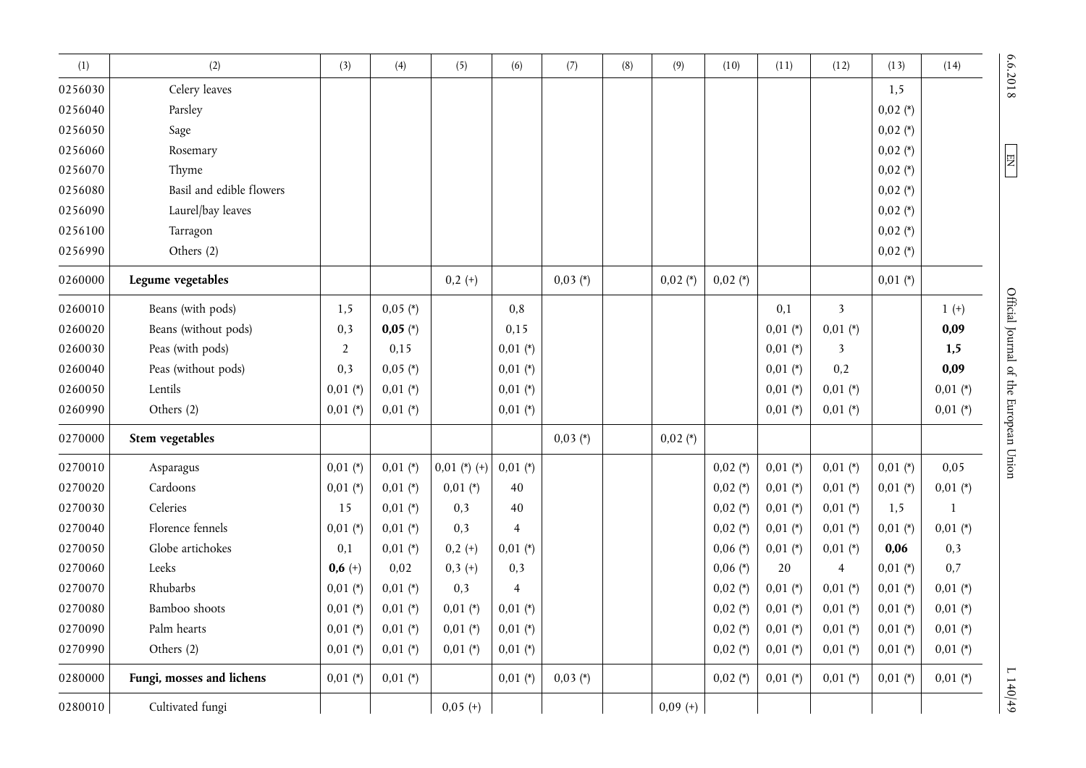| (1)     | (2)                       | (3)            | (4)        | (5)            | (6)            | (7)        | (8) | (9)        | (10)       | (11)       | (12)                    | (13)       | (14)         | 6.6.2018                |
|---------|---------------------------|----------------|------------|----------------|----------------|------------|-----|------------|------------|------------|-------------------------|------------|--------------|-------------------------|
| 0256030 | Celery leaves             |                |            |                |                |            |     |            |            |            |                         | 1,5        |              |                         |
| 0256040 | Parsley                   |                |            |                |                |            |     |            |            |            |                         | $0,02$ (*) |              |                         |
| 0256050 | Sage                      |                |            |                |                |            |     |            |            |            |                         | $0,02$ (*) |              |                         |
| 0256060 | Rosemary                  |                |            |                |                |            |     |            |            |            |                         | $0,02$ (*) |              |                         |
| 0256070 | Thyme                     |                |            |                |                |            |     |            |            |            |                         | $0,02$ (*) |              | E                       |
| 0256080 | Basil and edible flowers  |                |            |                |                |            |     |            |            |            |                         | $0,02$ (*) |              |                         |
| 0256090 | Laurel/bay leaves         |                |            |                |                |            |     |            |            |            |                         | $0,02$ (*) |              |                         |
| 0256100 | Tarragon                  |                |            |                |                |            |     |            |            |            |                         | $0,02$ (*) |              |                         |
| 0256990 | Others (2)                |                |            |                |                |            |     |            |            |            |                         | $0,02$ (*) |              |                         |
| 0260000 | Legume vegetables         |                |            | $0,2 (+)$      |                | $0,03$ (*) |     | $0,02$ (*) | $0,02$ (*) |            |                         | $0,01$ (*) |              |                         |
| 0260010 | Beans (with pods)         | 1,5            | $0,05$ (*) |                | 0,8            |            |     |            |            | 0,1        | $\overline{\mathbf{3}}$ |            | $1 (+)$      | Official Journal of the |
| 0260020 | Beans (without pods)      | 0,3            | $0,05 (*)$ |                | 0,15           |            |     |            |            | $0,01$ (*) | $0,01$ (*)              |            | 0,09         |                         |
| 0260030 | Peas (with pods)          | $\overline{2}$ | 0,15       |                | $0,01$ (*)     |            |     |            |            | $0,01$ (*) | 3                       |            | 1,5          |                         |
| 0260040 | Peas (without pods)       | 0,3            | $0,05$ (*) |                | $0,01$ (*)     |            |     |            |            | $0,01$ (*) | 0,2                     |            | 0,09         |                         |
| 0260050 | Lentils                   | $0,01$ (*)     | $0,01$ (*) |                | $0,01 (*)$     |            |     |            |            | $0,01$ (*) | $0,01$ (*)              |            | $0,01$ (*)   |                         |
| 0260990 | Others (2)                | $0,01$ (*)     | $0,01$ (*) |                | $0,01$ (*)     |            |     |            |            | $0,01$ (*) | $0,01$ (*)              |            | $0,01$ (*)   |                         |
| 0270000 | Stem vegetables           |                |            |                |                | $0,03$ (*) |     | $0,02$ (*) |            |            |                         |            |              | European Union          |
| 0270010 | Asparagus                 | $0,01$ (*)     | $0,01$ (*) | $0.01$ (*) (+) | $0,01$ (*)     |            |     |            | $0,02$ (*) | $0,01$ (*) | $0,01$ (*)              | $0,01$ (*) | 0,05         |                         |
| 0270020 | Cardoons                  | $0,01$ (*)     | $0,01$ (*) | $0,01$ (*)     | 40             |            |     |            | $0,02$ (*) | $0,01$ (*) | $0,01$ (*)              | $0,01$ (*) | $0,01$ (*)   |                         |
| 0270030 | Celeries                  | 15             | $0,01$ (*) | 0,3            | 40             |            |     |            | $0,02$ (*) | $0,01$ (*) | $0,01$ (*)              | 1,5        | $\mathbf{1}$ |                         |
| 0270040 | Florence fennels          | $0,01$ (*)     | $0.01$ (*) | 0,3            | $\overline{4}$ |            |     |            | $0,02$ (*) | $0,01$ (*) | $0,01$ (*)              | $0,01$ (*) | $0,01$ (*)   |                         |
| 0270050 | Globe artichokes          | 0,1            | $0,01$ (*) | $0,2 (+)$      | $0,01$ (*)     |            |     |            | $0,06 (*)$ | $0,01$ (*) | $0,01$ (*)              | 0,06       | 0,3          |                         |
| 0270060 | Leeks                     | $0,6 (+)$      | 0,02       | $0,3 (+)$      | 0,3            |            |     |            | $0,06 (*)$ | 20         | $\overline{4}$          | $0,01$ (*) | 0,7          |                         |
| 0270070 | Rhubarbs                  | $0,01 (*)$     | $0,01$ (*) | 0,3            | $\overline{4}$ |            |     |            | $0,02$ (*) | $0,01$ (*) | $0,01$ (*)              | $0,01$ (*) | $0,01$ (*)   |                         |
| 0270080 | Bamboo shoots             | $0,01$ (*)     | $0,01$ (*) | $0,01$ (*)     | $0,01$ (*)     |            |     |            | $0,02$ (*) | $0,01$ (*) | $0,01$ (*)              | $0,01$ (*) | $0,01$ (*)   |                         |
| 0270090 | Palm hearts               | $0,01$ (*)     | $0,01$ (*) | $0,01$ (*)     | $0,01$ (*)     |            |     |            | $0,02$ (*) | $0,01$ (*) | $0,01$ (*)              | $0,01$ (*) | $0,01$ (*)   |                         |
| 0270990 | Others (2)                | $0,01$ (*)     | $0,01$ (*) | $0,01$ (*)     | $0,01$ (*)     |            |     |            | $0,02$ (*) | $0,01$ (*) | $0,01$ (*)              | $0,01$ (*) | $0,01$ (*)   |                         |
| 0280000 | Fungi, mosses and lichens | $0,01$ (*)     | $0,01$ (*) |                | $0,01$ (*)     | $0,03$ (*) |     |            | $0,02$ (*) | $0,01$ (*) | $0,01$ (*)              | $0,01$ (*) | $0,01 (*)$   | $6+0+17$                |
| 0280010 | Cultivated fungi          |                |            | $0,05 (+)$     |                |            |     | $0,09 (+)$ |            |            |                         |            |              |                         |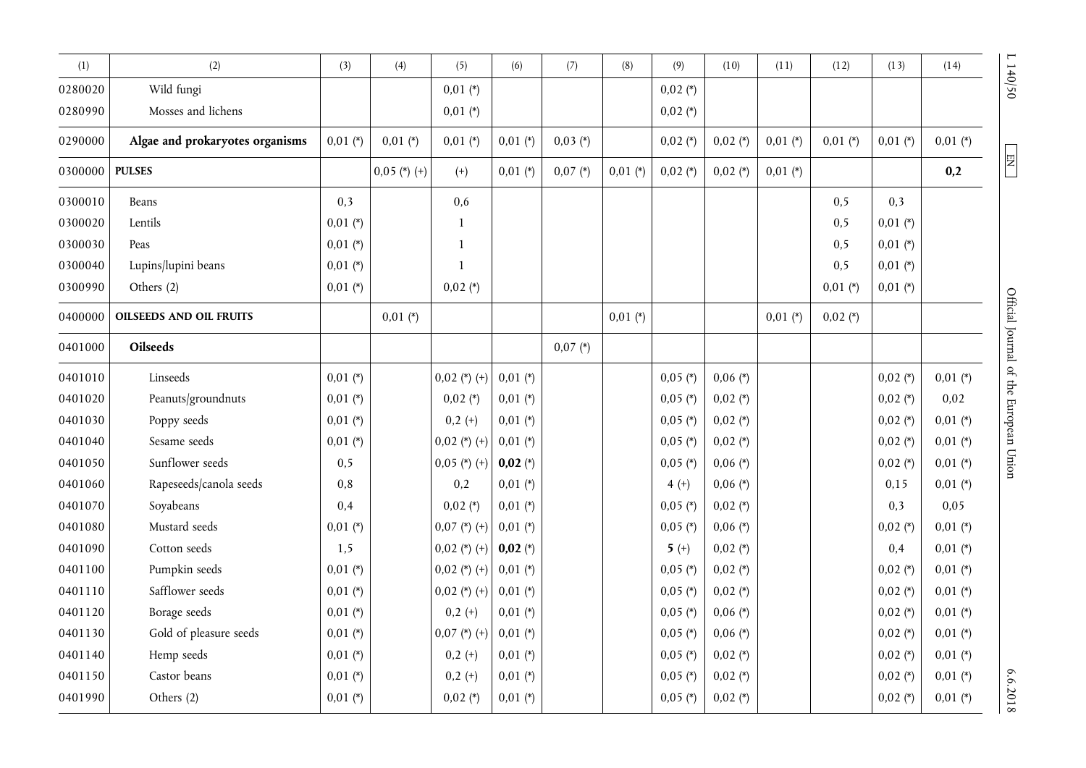| (1)     | (2)                             | (3)        | (4)            | (5)            | (6)        | (7)        | (8)        | (9)        | (10)       | (11)       | (12)       | (13)       | (14)       | 140/50                                     |
|---------|---------------------------------|------------|----------------|----------------|------------|------------|------------|------------|------------|------------|------------|------------|------------|--------------------------------------------|
| 0280020 | Wild fungi                      |            |                | $0,01$ (*)     |            |            |            | $0,02$ (*) |            |            |            |            |            |                                            |
| 0280990 | Mosses and lichens              |            |                | $0,01$ (*)     |            |            |            | $0,02$ (*) |            |            |            |            |            |                                            |
| 0290000 | Algae and prokaryotes organisms | $0,01$ (*) | $0,01$ (*)     | $0,01$ (*)     | $0,01$ (*) | $0,03 (*)$ |            | $0,02$ (*) | $0,02$ (*) | $0,01$ (*) | $0,01$ (*) | $0,01$ (*) | $0,01$ (*) |                                            |
| 0300000 | <b>PULSES</b>                   |            | $0,05$ (*) (+) | $(+)$          | $0,01$ (*) | $0,07 (*)$ | $0,01$ (*) | $0,02$ (*) | $0,02$ (*) | $0,01$ (*) |            |            | 0,2        | $\boxed{\phantom{000} \text{N} \text{H} }$ |
| 0300010 | Beans                           | 0,3        |                | 0,6            |            |            |            |            |            |            | 0, 5       | 0,3        |            |                                            |
| 0300020 | Lentils                         | $0,01$ (*) |                | $\mathbf{1}$   |            |            |            |            |            |            | 0, 5       | $0,01$ (*) |            |                                            |
| 0300030 | Peas                            | $0,01$ (*) |                | $\mathbf{1}$   |            |            |            |            |            |            | 0, 5       | $0,01$ (*) |            |                                            |
| 0300040 | Lupins/lupini beans             | $0,01$ (*) |                | $\mathbf{1}$   |            |            |            |            |            |            | 0, 5       | $0,01$ (*) |            |                                            |
| 0300990 | Others (2)                      | $0,01$ (*) |                | $0,02$ (*)     |            |            |            |            |            |            | $0,01$ (*) | $0,01$ (*) |            |                                            |
| 0400000 | <b>OILSEEDS AND OIL FRUITS</b>  |            | $0,01$ (*)     |                |            |            | $0,01$ (*) |            |            | $0,01$ (*) | $0,02$ (*) |            |            |                                            |
| 0401000 | <b>Oilseeds</b>                 |            |                |                |            | $0,07 (*)$ |            |            |            |            |            |            |            | Official Journal of the European Union     |
| 0401010 | Linseeds                        | $0,01$ (*) |                | $0,02$ (*) (+) | $0,01$ (*) |            |            | $0,05$ (*) | $0,06 (*)$ |            |            | $0,02$ (*) | $0,01$ (*) |                                            |
| 0401020 | Peanuts/groundnuts              | $0,01$ (*) |                | $0,02 (*)$     | $0,01$ (*) |            |            | $0,05$ (*) | $0,02$ (*) |            |            | $0,02$ (*) | 0,02       |                                            |
| 0401030 | Poppy seeds                     | $0,01$ (*) |                | $0,2 (+)$      | $0,01$ (*) |            |            | $0,05$ (*) | $0,02$ (*) |            |            | $0,02$ (*) | $0,01$ (*) |                                            |
| 0401040 | Sesame seeds                    | $0,01$ (*) |                | $0,02$ (*) (+) | $0,01$ (*) |            |            | $0,05$ (*) | $0,02$ (*) |            |            | $0,02$ (*) | $0,01$ (*) |                                            |
| 0401050 | Sunflower seeds                 | 0, 5       |                | $0,05$ (*) (+) | $0,02 (*)$ |            |            | $0,05$ (*) | $0,06$ (*) |            |            | $0,02$ (*) | $0,01$ (*) |                                            |
| 0401060 | Rapeseeds/canola seeds          | 0,8        |                | 0,2            | $0,01$ (*) |            |            | $4 (+)$    | $0,06$ (*) |            |            | 0,15       | $0,01$ (*) |                                            |
| 0401070 | Soyabeans                       | 0,4        |                | $0,02$ (*)     | $0,01$ (*) |            |            | $0,05$ (*) | $0,02$ (*) |            |            | 0,3        | 0,05       |                                            |
| 0401080 | Mustard seeds                   | $0,01$ (*) |                | $0,07$ (*) (+) | $0,01$ (*) |            |            | $0,05$ (*) | $0,06$ (*) |            |            | $0,02$ (*) | $0,01$ (*) |                                            |
| 0401090 | Cotton seeds                    | 1,5        |                | $0.02$ (*) (+) | $0,02 (*)$ |            |            | $5 (+)$    | $0,02$ (*) |            |            | 0,4        | $0,01$ (*) |                                            |
| 0401100 | Pumpkin seeds                   | $0,01$ (*) |                | $0,02$ (*) (+) | $0,01$ (*) |            |            | $0,05$ (*) | $0,02 (*)$ |            |            | $0,02$ (*) | $0,01$ (*) |                                            |
| 0401110 | Safflower seeds                 | $0,01$ (*) |                | $0,02$ (*) (+) | $0,01$ (*) |            |            | $0,05$ (*) | $0,02$ (*) |            |            | $0,02$ (*) | $0,01$ (*) |                                            |
| 0401120 | Borage seeds                    | $0,01$ (*) |                | $0,2 (+)$      | $0,01$ (*) |            |            | $0,05$ (*) | $0,06 (*)$ |            |            | $0,02$ (*) | $0,01$ (*) |                                            |
| 0401130 | Gold of pleasure seeds          | $0,01$ (*) |                | $0,07$ (*) (+) | $0,01$ (*) |            |            | $0,05$ (*) | $0,06 (*)$ |            |            | $0,02$ (*) | $0,01$ (*) |                                            |
| 0401140 | Hemp seeds                      | $0,01$ (*) |                | $0,2 (+)$      | $0,01$ (*) |            |            | $0,05$ (*) | $0,02$ (*) |            |            | $0,02$ (*) | $0,01$ (*) |                                            |
| 0401150 | Castor beans                    | $0,01$ (*) |                | $0,2 (+)$      | $0,01$ (*) |            |            | $0,05$ (*) | $0,02$ (*) |            |            | $0,02$ (*) | $0,01$ (*) |                                            |
| 0401990 | Others (2)                      | $0,01$ (*) |                | $0,02 (*)$     | $0,01$ (*) |            |            | $0,05$ (*) | $0,02$ (*) |            |            | $0,02$ (*) | $0,01$ (*) | 6.6.2018                                   |

 $\begin{bmatrix} E \\ E \end{bmatrix}$ 

 $6.6.2018$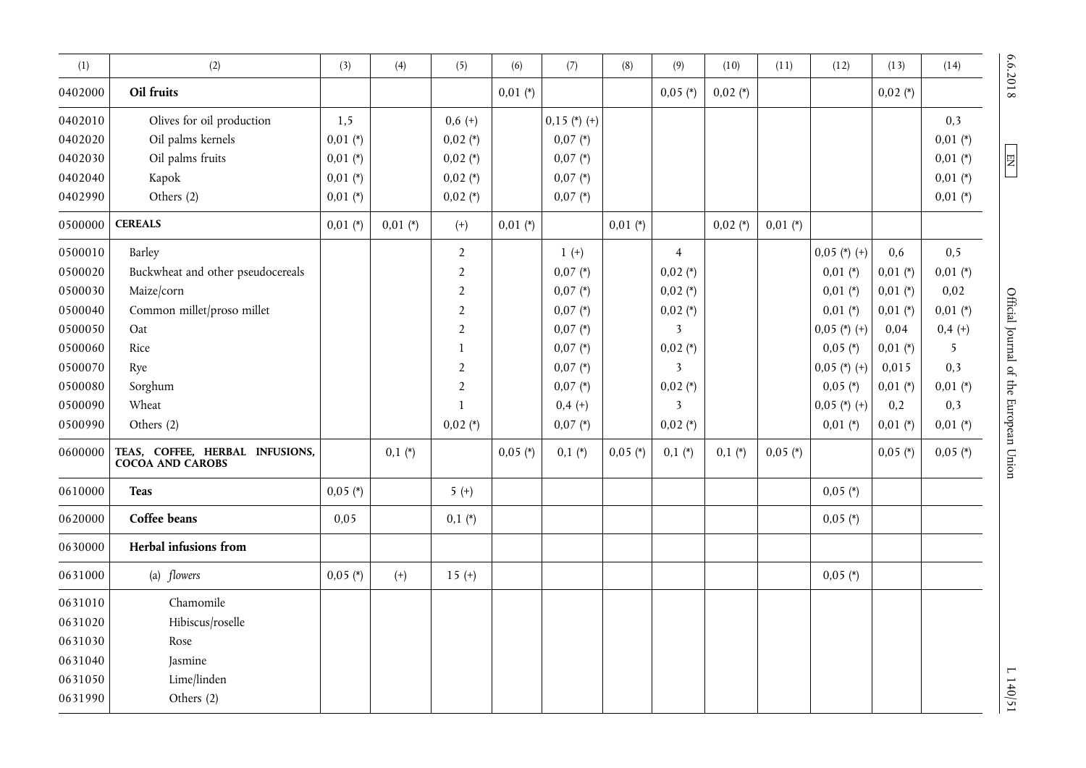| (1)                                                                                                                   | (2)                                                                                                                                                                                                           | (3)                             | (4)        | (5)                                                                                                                                                                      | (6)        | (7)                                                                                                                                             | (8)        | (9)                                                                                                                                                                                             | (10)       | (11)       | (12)                                                                                                                                                     | (13)                                                                                                                          | (14)                                                                                                               | 6.6.2018                               |
|-----------------------------------------------------------------------------------------------------------------------|---------------------------------------------------------------------------------------------------------------------------------------------------------------------------------------------------------------|---------------------------------|------------|--------------------------------------------------------------------------------------------------------------------------------------------------------------------------|------------|-------------------------------------------------------------------------------------------------------------------------------------------------|------------|-------------------------------------------------------------------------------------------------------------------------------------------------------------------------------------------------|------------|------------|----------------------------------------------------------------------------------------------------------------------------------------------------------|-------------------------------------------------------------------------------------------------------------------------------|--------------------------------------------------------------------------------------------------------------------|----------------------------------------|
| 0402000                                                                                                               | Oil fruits                                                                                                                                                                                                    |                                 |            |                                                                                                                                                                          | $0,01$ (*) |                                                                                                                                                 |            | $0,05$ (*)                                                                                                                                                                                      | $0,02$ (*) |            |                                                                                                                                                          | $0,02$ (*)                                                                                                                    |                                                                                                                    |                                        |
| 0402010<br>0402020<br>0402030                                                                                         | Olives for oil production<br>Oil palms kernels<br>Oil palms fruits                                                                                                                                            | 1,5<br>$0,01$ (*)<br>$0,01$ (*) |            | $0,6 (+)$<br>$0,02$ (*)<br>$0,02$ (*)                                                                                                                                    |            | $0,15$ (*) (+)<br>$0,07 (*)$<br>$0,07 (*)$                                                                                                      |            |                                                                                                                                                                                                 |            |            |                                                                                                                                                          |                                                                                                                               | 0,3<br>$0,01$ (*)<br>$0,01$ (*)                                                                                    | EN                                     |
| 0402040<br>0402990                                                                                                    | Kapok<br>Others (2)                                                                                                                                                                                           | $0,01$ (*)<br>$0,01 (*)$        |            | $0,02$ (*)<br>$0,02$ (*)                                                                                                                                                 |            | $0,07 (*)$<br>$0,07 (*)$                                                                                                                        |            |                                                                                                                                                                                                 |            |            |                                                                                                                                                          |                                                                                                                               | $0,01$ (*)<br>$0,01 (*)$                                                                                           |                                        |
| 0500000                                                                                                               | <b>CEREALS</b>                                                                                                                                                                                                | $0,01$ (*)                      | $0,01$ (*) | $^{(+)}$                                                                                                                                                                 | $0,01$ (*) |                                                                                                                                                 | $0,01 (*)$ |                                                                                                                                                                                                 | $0,02$ (*) | $0,01$ (*) |                                                                                                                                                          |                                                                                                                               |                                                                                                                    |                                        |
| 0500010<br>0500020<br>0500030<br>0500040<br>0500050<br>0500060<br>0500070<br>0500080<br>0500090<br>0500990<br>0600000 | Barley<br>Buckwheat and other pseudocereals<br>Maize/corn<br>Common millet/proso millet<br>Oat<br>Rice<br>Rye<br>Sorghum<br>Wheat<br>Others (2)<br>TEAS, COFFEE, HERBAL INFUSIONS,<br><b>COCOA AND CAROBS</b> |                                 | $0,1(*)$   | $\overline{2}$<br>$\overline{2}$<br>$\overline{2}$<br>$\overline{2}$<br>$\overline{2}$<br>$\mathbf{1}$<br>$\overline{2}$<br>$\overline{2}$<br>$\mathbf{1}$<br>$0,02 (*)$ | $0,05$ (*) | $1 (+)$<br>$0,07 (*)$<br>$0,07 (*)$<br>$0,07 (*)$<br>$0,07 (*)$<br>$0,07 (*)$<br>$0,07 (*)$<br>$0,07 (*)$<br>$0,4(+)$<br>$0,07 (*)$<br>$0,1(*)$ | $0,05$ (*) | $\overline{4}$<br>$0,02$ (*)<br>$0,02$ (*)<br>$0,02$ (*)<br>$\overline{\mathbf{3}}$<br>$0,02$ (*)<br>$\overline{\mathbf{3}}$<br>$0,02 (*)$<br>$\overline{\mathbf{3}}$<br>$0,02 (*)$<br>$0,1(*)$ | $0,1(*)$   | $0,05$ (*) | $0,05$ (*) (+)<br>$0,01 (*)$<br>$0,01$ (*)<br>$0,01$ (*)<br>$0,05$ (*) (+)<br>$0,05$ (*)<br>$0,05$ (*) (+)<br>$0,05$ (*)<br>$0,05$ (*) (+)<br>$0,01 (*)$ | 0,6<br>$0,01$ (*)<br>$0,01 (*)$<br>$0,01$ (*)<br>0,04<br>$0,01 (*)$<br>0,015<br>$0,01 (*)$<br>0,2<br>$0,01 (*)$<br>$0,05$ (*) | 0, 5<br>$0,01$ (*)<br>0,02<br>$0,01$ (*)<br>$0,4 (+)$<br>5<br>0,3<br>$0,01$ (*)<br>0,3<br>$0,01$ (*)<br>$0,05$ (*) | Official Journal of the European Union |
| 0610000                                                                                                               | <b>Teas</b>                                                                                                                                                                                                   | $0,05$ (*)                      |            | $5 (+)$                                                                                                                                                                  |            |                                                                                                                                                 |            |                                                                                                                                                                                                 |            |            | $0,05$ (*)                                                                                                                                               |                                                                                                                               |                                                                                                                    |                                        |
| 0620000                                                                                                               | Coffee beans                                                                                                                                                                                                  | 0,05                            |            | $0,1(*)$                                                                                                                                                                 |            |                                                                                                                                                 |            |                                                                                                                                                                                                 |            |            | $0,05$ (*)                                                                                                                                               |                                                                                                                               |                                                                                                                    |                                        |
| 0630000                                                                                                               | Herbal infusions from                                                                                                                                                                                         |                                 |            |                                                                                                                                                                          |            |                                                                                                                                                 |            |                                                                                                                                                                                                 |            |            |                                                                                                                                                          |                                                                                                                               |                                                                                                                    |                                        |
| 0631000                                                                                                               | (a) flowers                                                                                                                                                                                                   | $0,05$ (*)                      | $^{(+)}$   | $15 (+)$                                                                                                                                                                 |            |                                                                                                                                                 |            |                                                                                                                                                                                                 |            |            | $0,05$ (*)                                                                                                                                               |                                                                                                                               |                                                                                                                    |                                        |
| 0631010<br>0631020<br>0631030<br>0631040<br>0631050<br>0631990                                                        | Chamomile<br>Hibiscus/roselle<br>Rose<br>Jasmine<br>Lime/linden<br>Others (2)                                                                                                                                 |                                 |            |                                                                                                                                                                          |            |                                                                                                                                                 |            |                                                                                                                                                                                                 |            |            |                                                                                                                                                          |                                                                                                                               |                                                                                                                    | 1140/51                                |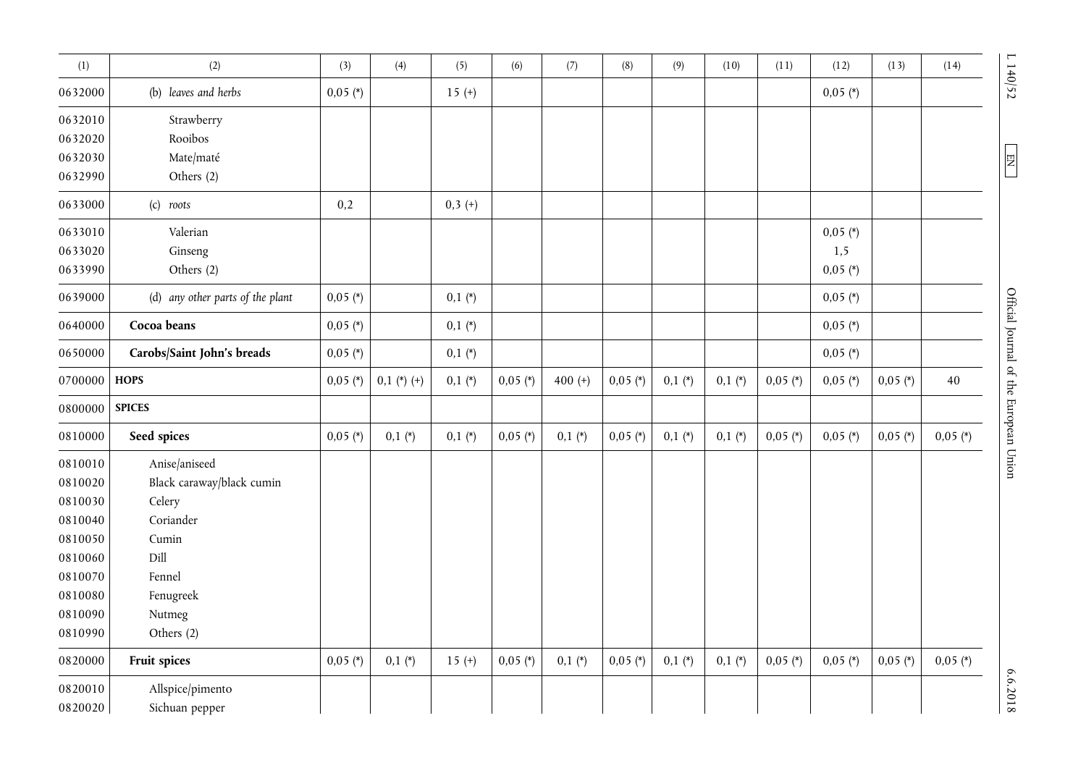| (1)     | (2)                              | (3)        | (4)           | (5)       | (6)        | (7)       | (8)        | (9)      | (10)     | (11)       | (12)       | (13)       | (14)       |                                        |
|---------|----------------------------------|------------|---------------|-----------|------------|-----------|------------|----------|----------|------------|------------|------------|------------|----------------------------------------|
| 0632000 | (b) leaves and herbs             | $0,05$ (*) |               | $15 (+)$  |            |           |            |          |          |            | $0,05$ (*) |            |            | L 140/52                               |
| 0632010 | Strawberry                       |            |               |           |            |           |            |          |          |            |            |            |            |                                        |
| 0632020 | Rooibos                          |            |               |           |            |           |            |          |          |            |            |            |            |                                        |
| 0632030 | Mate/maté                        |            |               |           |            |           |            |          |          |            |            |            |            | $\overline{\mathbb{E}}$                |
| 0632990 | Others (2)                       |            |               |           |            |           |            |          |          |            |            |            |            |                                        |
| 0633000 | (c) roots                        | 0,2        |               | $0,3 (+)$ |            |           |            |          |          |            |            |            |            |                                        |
| 0633010 | Valerian                         |            |               |           |            |           |            |          |          |            | $0,05$ (*) |            |            |                                        |
| 0633020 | Ginseng                          |            |               |           |            |           |            |          |          |            | 1,5        |            |            |                                        |
| 0633990 | Others (2)                       |            |               |           |            |           |            |          |          |            | $0,05$ (*) |            |            |                                        |
| 0639000 | (d) any other parts of the plant | $0,05$ (*) |               | $0,1(*)$  |            |           |            |          |          |            | $0,05$ (*) |            |            |                                        |
| 0640000 | Cocoa beans                      | $0,05$ (*) |               | $0,1(*)$  |            |           |            |          |          |            | $0,05$ (*) |            |            |                                        |
| 0650000 | Carobs/Saint John's breads       | $0,05$ (*) |               | $0,1(*)$  |            |           |            |          |          |            | $0,05$ (*) |            |            |                                        |
| 0700000 | <b>HOPS</b>                      | $0,05$ (*) | $0,1$ (*) (+) | $0,1(*)$  | $0,05$ (*) | 400 $(+)$ | $0,05$ (*) | $0,1(*)$ | $0,1(*)$ | $0,05$ (*) | $0,05$ (*) | $0,05$ (*) | 40         |                                        |
| 0800000 | <b>SPICES</b>                    |            |               |           |            |           |            |          |          |            |            |            |            |                                        |
| 0810000 | Seed spices                      | $0,05$ (*) | $0,1(*)$      | $0,1(*)$  | $0,05$ (*) | $0,1(*)$  | $0,05$ (*) | $0,1(*)$ | $0,1(*)$ | $0,05$ (*) | $0,05$ (*) | $0,05$ (*) | $0,05$ (*) | Official Journal of the European Union |
| 0810010 | Anise/aniseed                    |            |               |           |            |           |            |          |          |            |            |            |            |                                        |
| 0810020 | Black caraway/black cumin        |            |               |           |            |           |            |          |          |            |            |            |            |                                        |
| 0810030 | Celery                           |            |               |           |            |           |            |          |          |            |            |            |            |                                        |
| 0810040 | Coriander                        |            |               |           |            |           |            |          |          |            |            |            |            |                                        |
| 0810050 | Cumin                            |            |               |           |            |           |            |          |          |            |            |            |            |                                        |
| 0810060 | Dill                             |            |               |           |            |           |            |          |          |            |            |            |            |                                        |
| 0810070 | Fennel                           |            |               |           |            |           |            |          |          |            |            |            |            |                                        |
| 0810080 | Fenugreek                        |            |               |           |            |           |            |          |          |            |            |            |            |                                        |
| 0810090 | Nutmeg                           |            |               |           |            |           |            |          |          |            |            |            |            |                                        |
| 0810990 | Others (2)                       |            |               |           |            |           |            |          |          |            |            |            |            |                                        |
| 0820000 | Fruit spices                     | $0,05$ (*) | $0,1(*)$      | $15 (+)$  | $0,05$ (*) | $0,1(*)$  | $0,05$ (*) | $0,1(*)$ | $0,1(*)$ | $0,05$ (*) | $0,05$ (*) | $0,05$ (*) | $0,05$ (*) |                                        |
| 0820010 | Allspice/pimento                 |            |               |           |            |           |            |          |          |            |            |            |            | 6.6.2018                               |
| 0820020 | Sichuan pepper                   |            |               |           |            |           |            |          |          |            |            |            |            |                                        |

 $\boxed{\text{EN}}$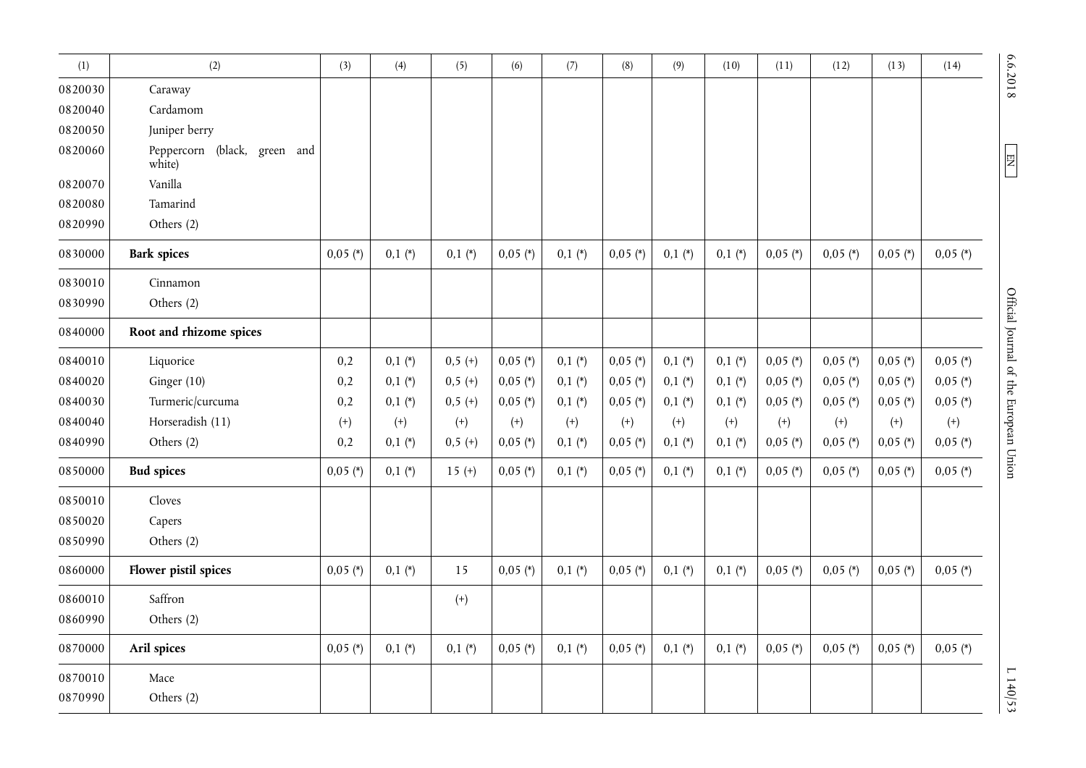| (1)     | (2)                                    | (3)        | (4)      | (5)       | (6)        | (7)      | (8)        | (9)      | (10)     | (11)       | (12)       | (13)       | (14)       |                                        |
|---------|----------------------------------------|------------|----------|-----------|------------|----------|------------|----------|----------|------------|------------|------------|------------|----------------------------------------|
| 0820030 | Caraway                                |            |          |           |            |          |            |          |          |            |            |            |            | 6.6.2018                               |
| 0820040 | Cardamom                               |            |          |           |            |          |            |          |          |            |            |            |            |                                        |
| 0820050 | Juniper berry                          |            |          |           |            |          |            |          |          |            |            |            |            |                                        |
| 0820060 | Peppercorn (black, green and<br>white) |            |          |           |            |          |            |          |          |            |            |            |            | $\overline{\textrm{H}}$                |
| 0820070 | Vanilla                                |            |          |           |            |          |            |          |          |            |            |            |            |                                        |
| 0820080 | Tamarind                               |            |          |           |            |          |            |          |          |            |            |            |            |                                        |
| 0820990 | Others (2)                             |            |          |           |            |          |            |          |          |            |            |            |            |                                        |
| 0830000 | <b>Bark spices</b>                     | $0,05$ (*) | $0,1(*)$ | $0,1(*)$  | $0,05$ (*) | $0,1(*)$ | $0,05$ (*) | $0,1(*)$ | $0,1(*)$ | $0,05$ (*) | $0,05$ (*) | $0,05$ (*) | $0,05$ (*) |                                        |
| 0830010 | Cinnamon                               |            |          |           |            |          |            |          |          |            |            |            |            |                                        |
| 0830990 | Others (2)                             |            |          |           |            |          |            |          |          |            |            |            |            |                                        |
| 0840000 | Root and rhizome spices                |            |          |           |            |          |            |          |          |            |            |            |            | Official Journal of the European Union |
| 0840010 | Liquorice                              | 0,2        | $0,1(*)$ | $0,5(+)$  | $0,05$ (*) | $0,1(*)$ | $0,05$ (*) | $0,1(*)$ | $0,1(*)$ | $0,05$ (*) | $0,05$ (*) | $0,05$ (*) | $0,05$ (*) |                                        |
| 0840020 | Ginger $(10)$                          | 0,2        | $0,1(*)$ | $0,5 (+)$ | $0,05$ (*) | $0,1(*)$ | $0,05$ (*) | $0,1(*)$ | $0,1(*)$ | $0,05$ (*) | $0,05$ (*) | $0,05$ (*) | $0,05$ (*) |                                        |
| 0840030 | Turmeric/curcuma                       | 0,2        | $0,1(*)$ | $0,5 (+)$ | $0,05$ (*) | $0,1(*)$ | $0,05$ (*) | $0,1(*)$ | $0,1(*)$ | $0,05$ (*) | $0,05$ (*) | $0,05$ (*) | $0,05$ (*) |                                        |
| 0840040 | Horseradish (11)                       | $^{(+)}$   | $^{(+)}$ | $^{(+)}$  | $^{(+)}$   | $^{(+)}$ | $(+)$      | $^{(+)}$ | $^{(+)}$ | $^{(+)}$   | $^{(+)}$   | $^{(+)}$   | $^{(+)}$   |                                        |
| 0840990 | Others (2)                             | 0,2        | $0,1(*)$ | $0,5(+)$  | $0,05$ (*) | $0,1(*)$ | $0,05$ (*) | $0,1(*)$ | $0,1(*)$ | $0,05$ (*) | $0,05$ (*) | $0,05$ (*) | $0,05$ (*) |                                        |
| 0850000 | <b>Bud spices</b>                      | $0,05$ (*) | $0,1(*)$ | $15 (+)$  | $0,05$ (*) | $0,1(*)$ | $0,05$ (*) | $0,1(*)$ | $0,1(*)$ | $0,05$ (*) | $0,05$ (*) | $0,05$ (*) | $0,05$ (*) |                                        |
| 0850010 | Cloves                                 |            |          |           |            |          |            |          |          |            |            |            |            |                                        |
| 0850020 | Capers                                 |            |          |           |            |          |            |          |          |            |            |            |            |                                        |
| 0850990 | Others (2)                             |            |          |           |            |          |            |          |          |            |            |            |            |                                        |
| 0860000 | Flower pistil spices                   | $0,05$ (*) | $0,1(*)$ | 15        | $0,05$ (*) | $0,1(*)$ | $0,05$ (*) | $0,1(*)$ | $0,1(*)$ | $0,05$ (*) | $0,05$ (*) | $0,05$ (*) | $0,05$ (*) |                                        |
| 0860010 | Saffron                                |            |          | $^{(+)}$  |            |          |            |          |          |            |            |            |            |                                        |
| 0860990 | Others (2)                             |            |          |           |            |          |            |          |          |            |            |            |            |                                        |
| 0870000 | Aril spices                            | $0,05$ (*) | $0,1(*)$ | $0,1(*)$  | $0,05$ (*) | $0,1(*)$ | $0,05$ (*) | $0,1(*)$ | $0,1(*)$ | $0,05$ (*) | $0,05$ (*) | $0,05$ (*) | $0,05$ (*) |                                        |
| 0870010 | Mace                                   |            |          |           |            |          |            |          |          |            |            |            |            |                                        |
| 0870990 | Others (2)                             |            |          |           |            |          |            |          |          |            |            |            |            | L140/53                                |

6.6.2018

6.6.2018 L 140/53  $\mu$  140  $\mu$  140  $\mu$  140  $\mu$  140  $\mu$  140  $\mu$  140  $\mu$  140  $\mu$  140  $\mu$  140  $\mu$  140  $\mu$  140  $\mu$  140  $\mu$  140  $\mu$  140  $\mu$  140  $\mu$  140  $\mu$  140  $\mu$  140  $\mu$  140  $\mu$  140  $\mu$  140  $\mu$  140  $\mu$  Official Journal of the European Union

 $L$  140/53  $\,$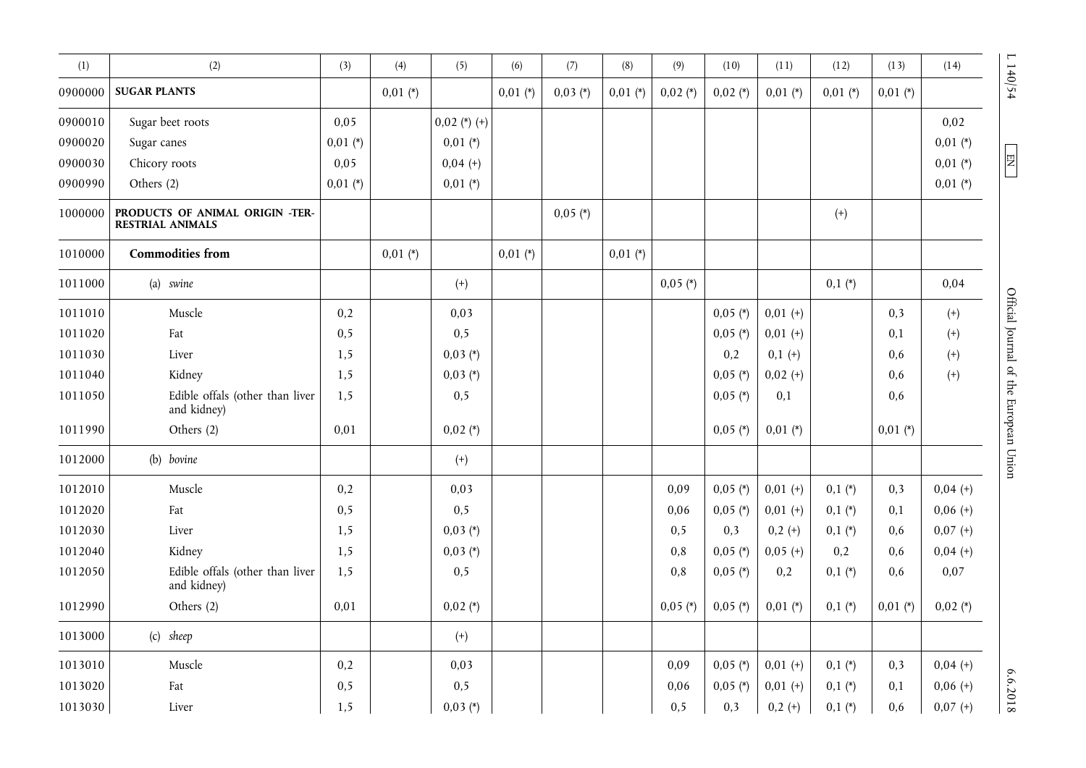| (1)     | (2)                                                        | (3)        | (4)        | (5)            | (6)        | (7)        | (8)        | (9)        | (10)       | (11)       | (12)       | (13)       | (14)       |                                  |
|---------|------------------------------------------------------------|------------|------------|----------------|------------|------------|------------|------------|------------|------------|------------|------------|------------|----------------------------------|
| 0900000 | <b>SUGAR PLANTS</b>                                        |            | $0,01$ (*) |                | $0,01$ (*) | $0,03(*)$  | $0,01$ (*) | $0,02$ (*) | $0,02$ (*) | $0,01$ (*) | $0,01$ (*) | $0,01$ (*) |            | 1140/54                          |
| 0900010 | Sugar beet roots                                           | 0,05       |            | $0.02$ (*) (+) |            |            |            |            |            |            |            |            | 0,02       |                                  |
| 0900020 | Sugar canes                                                | $0,01$ (*) |            | $0,01$ (*)     |            |            |            |            |            |            |            |            | $0,01$ (*) |                                  |
| 0900030 | Chicory roots                                              | 0,05       |            | $0,04 (+)$     |            |            |            |            |            |            |            |            | $0,01$ (*) | $\overline{z}$                   |
| 0900990 | Others (2)                                                 | $0,01$ (*) |            | $0.01$ (*)     |            |            |            |            |            |            |            |            | $0,01$ (*) |                                  |
| 1000000 | PRODUCTS OF ANIMAL ORIGIN -TER-<br><b>RESTRIAL ANIMALS</b> |            |            |                |            | $0,05$ (*) |            |            |            |            | $(+)$      |            |            |                                  |
| 1010000 | <b>Commodities from</b>                                    |            | $0,01 (*)$ |                | $0,01$ (*) |            | $0,01$ (*) |            |            |            |            |            |            |                                  |
| 1011000 | (a) swine                                                  |            |            | $^{(+)}$       |            |            |            | $0,05$ (*) |            |            | $0,1(*)$   |            | 0,04       |                                  |
| 1011010 | Muscle                                                     | 0,2        |            | 0,03           |            |            |            |            | $0,05$ (*) | $0,01 (+)$ |            | 0,3        | $^{(+)}$   |                                  |
| 1011020 | Fat                                                        | 0,5        |            | 0, 5           |            |            |            |            | $0,05$ (*) | $0,01 (+)$ |            | 0,1        | $^{(+)}$   |                                  |
| 1011030 | Liver                                                      | 1,5        |            | $0,03(*)$      |            |            |            |            | 0,2        | $0,1 (+)$  |            | 0,6        | $^{(+)}$   |                                  |
| 1011040 | Kidney                                                     | 1,5        |            | $0,03 (*)$     |            |            |            |            | $0,05$ (*) | $0,02 (+)$ |            | 0,6        | $^{(+)}$   |                                  |
| 1011050 | Edible offals (other than liver<br>and kidney)             | 1,5        |            | 0, 5           |            |            |            |            | $0,05$ (*) | 0,1        |            | 0,6        |            | Official Journal of the European |
| 1011990 | Others (2)                                                 | 0,01       |            | $0,02$ (*)     |            |            |            |            | $0,05$ (*) | $0,01$ (*) |            | $0,01$ (*) |            |                                  |
| 1012000 | (b) bovine                                                 |            |            | $^{(+)}$       |            |            |            |            |            |            |            |            |            | Union                            |
| 1012010 | Muscle                                                     | 0,2        |            | 0,03           |            |            |            | 0,09       | $0,05$ (*) | $0,01 (+)$ | $0,1(*)$   | 0,3        | $0,04 (+)$ |                                  |
| 1012020 | Fat                                                        | 0,5        |            | 0, 5           |            |            |            | 0,06       | $0,05$ (*) | $0,01 (+)$ | $0,1(*)$   | 0,1        | $0,06 (+)$ |                                  |
| 1012030 | Liver                                                      | 1,5        |            | $0,03 (*)$     |            |            |            | 0, 5       | 0,3        | $0,2 (+)$  | $0,1(*)$   | 0,6        | $0,07 (+)$ |                                  |
| 1012040 | Kidney                                                     | 1,5        |            | $0,03 (*)$     |            |            |            | 0,8        | $0,05$ (*) | $0,05 (+)$ | 0,2        | 0,6        | $0,04 (+)$ |                                  |
| 1012050 | Edible offals (other than liver<br>and kidney)             | 1,5        |            | 0, 5           |            |            |            | 0,8        | $0,05$ (*) | 0,2        | $0,1(*)$   | 0,6        | 0,07       |                                  |
| 1012990 | Others (2)                                                 | 0,01       |            | $0,02$ (*)     |            |            |            | $0,05$ (*) | $0,05$ (*) | $0,01$ (*) | $0,1(*)$   | $0,01$ (*) | $0,02$ (*) |                                  |
| 1013000 | (c) sheep                                                  |            |            | $^{(+)}$       |            |            |            |            |            |            |            |            |            |                                  |
| 1013010 | Muscle                                                     | 0,2        |            | 0,03           |            |            |            | 0,09       | $0,05$ (*) | $0,01 (+)$ | $0,1(*)$   | 0,3        | $0,04 (+)$ |                                  |
| 1013020 | Fat                                                        | 0, 5       |            | 0, 5           |            |            |            | 0,06       | $0,05$ (*) | $0,01 (+)$ | $0,1(*)$   | 0,1        | $0,06 (+)$ | 6.6.2018                         |
| 1013030 | Liver                                                      | 1,5        |            | $0,03 (*)$     |            |            |            | 0, 5       | 0,3        | $0,2 (+)$  | $0,1(*)$   | 0,6        | $0,07 (+)$ |                                  |

 $L 140/54$ 

EN

Official Journal of the European Union

 $6.6.2018$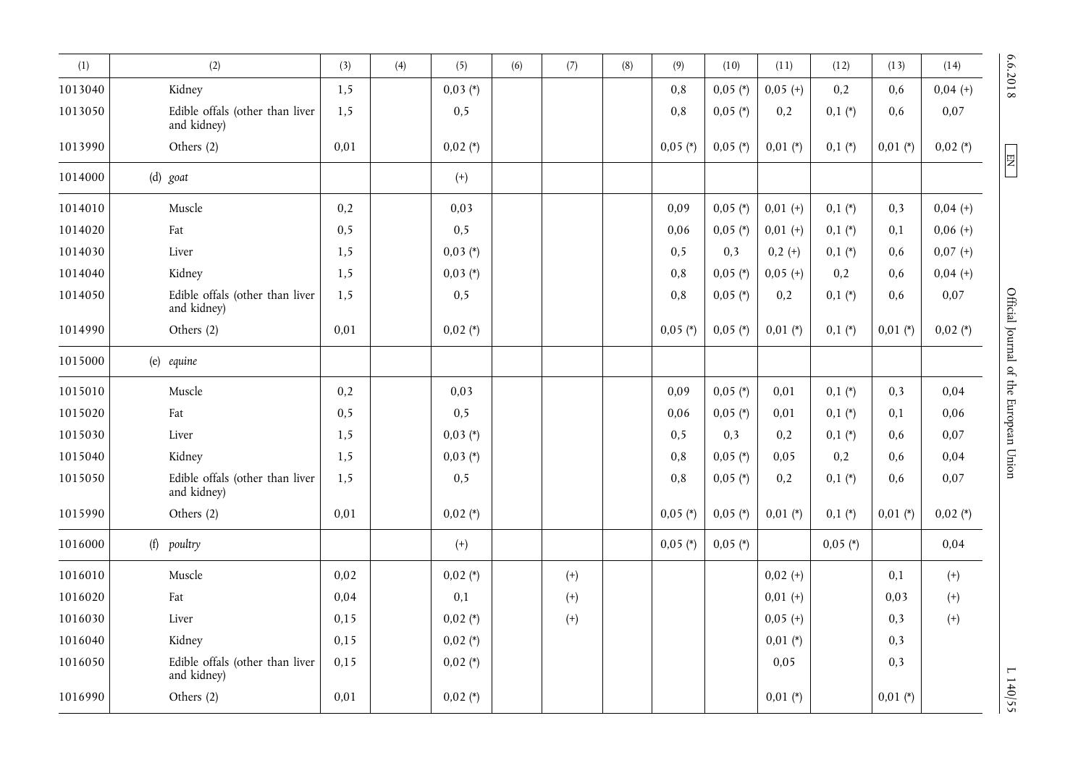| (1)     | (2)                                            | (3)  | (4) | (5)        | (6) | (7)      | (8) | (9)        | (10)       | (11)       | (12)       | (13)       | (14)       | 6.6.2018                               |
|---------|------------------------------------------------|------|-----|------------|-----|----------|-----|------------|------------|------------|------------|------------|------------|----------------------------------------|
| 1013040 | Kidney                                         | 1,5  |     | $0,03 (*)$ |     |          |     | 0,8        | $0,05$ (*) | $0,05 (+)$ | 0,2        | 0,6        | $0,04 (+)$ |                                        |
| 1013050 | Edible offals (other than liver<br>and kidney) | 1,5  |     | 0, 5       |     |          |     | 0,8        | $0,05$ (*) | 0,2        | $0,1(*)$   | 0,6        | 0,07       |                                        |
| 1013990 | Others (2)                                     | 0,01 |     | $0,02$ (*) |     |          |     | $0,05$ (*) | $0,05$ (*) | $0,01$ (*) | $0,1(*)$   | $0,01$ (*) | $0,02$ (*) | $\boxed{\phantom{1}}$                  |
| 1014000 | (d) goat                                       |      |     | $^{(+)}$   |     |          |     |            |            |            |            |            |            |                                        |
| 1014010 | Muscle                                         | 0,2  |     | 0,03       |     |          |     | 0,09       | $0,05$ (*) | $0,01 (+)$ | $0,1(*)$   | 0,3        | $0,04 (+)$ |                                        |
| 1014020 | Fat                                            | 0, 5 |     | 0, 5       |     |          |     | 0,06       | $0,05$ (*) | $0,01 (+)$ | $0,1(*)$   | 0,1        | $0,06 (+)$ |                                        |
| 1014030 | Liver                                          | 1,5  |     | $0,03 (*)$ |     |          |     | 0,5        | 0,3        | $0,2 (+)$  | $0,1(*)$   | 0.6        | $0,07 (+)$ |                                        |
| 1014040 | Kidney                                         | 1,5  |     | $0,03 (*)$ |     |          |     | 0,8        | $0,05$ (*) | $0,05 (+)$ | 0,2        | 0.6        | $0,04 (+)$ |                                        |
| 1014050 | Edible offals (other than liver<br>and kidney) | 1,5  |     | 0, 5       |     |          |     | 0,8        | $0,05$ (*) | 0,2        | $0,1(*)$   | 0.6        | 0,07       | Official Journal of the European Union |
| 1014990 | Others (2)                                     | 0,01 |     | $0,02$ (*) |     |          |     | $0,05$ (*) | $0,05$ (*) | $0,01$ (*) | $0,1(*)$   | $0,01$ (*) | $0,02$ (*) |                                        |
| 1015000 | (e) equine                                     |      |     |            |     |          |     |            |            |            |            |            |            |                                        |
| 1015010 | Muscle                                         | 0,2  |     | 0,03       |     |          |     | 0,09       | $0,05$ (*) | 0,01       | $0,1(*)$   | 0,3        | 0,04       |                                        |
| 1015020 | Fat                                            | 0,5  |     | 0, 5       |     |          |     | 0,06       | $0,05$ (*) | 0,01       | $0,1(*)$   | 0,1        | 0,06       |                                        |
| 1015030 | Liver                                          | 1,5  |     | $0,03 (*)$ |     |          |     | 0, 5       | 0,3        | 0,2        | $0,1(*)$   | 0,6        | 0,07       |                                        |
| 1015040 | Kidney                                         | 1,5  |     | $0,03 (*)$ |     |          |     | 0,8        | $0,05$ (*) | 0,05       | 0,2        | 0,6        | 0,04       |                                        |
| 1015050 | Edible offals (other than liver<br>and kidney) | 1,5  |     | 0, 5       |     |          |     | 0,8        | $0,05$ (*) | 0,2        | $0,1(*)$   | 0,6        | 0,07       |                                        |
| 1015990 | Others (2)                                     | 0,01 |     | $0,02$ (*) |     |          |     | $0,05$ (*) | $0,05$ (*) | $0,01$ (*) | $0,1(*)$   | $0,01$ (*) | $0,02$ (*) |                                        |
| 1016000 | (f) poultry                                    |      |     | $^{(+)}$   |     |          |     | $0,05$ (*) | $0,05$ (*) |            | $0,05$ (*) |            | 0,04       |                                        |
| 1016010 | Muscle                                         | 0,02 |     | $0,02$ (*) |     | $^{(+)}$ |     |            |            | $0,02 (+)$ |            | 0,1        | $^{(+)}$   |                                        |
| 1016020 | Fat                                            | 0,04 |     | 0,1        |     | $^{(+)}$ |     |            |            | $0,01 (+)$ |            | 0,03       | $^{(+)}$   |                                        |
| 1016030 | Liver                                          | 0,15 |     | $0,02$ (*) |     | $^{(+)}$ |     |            |            | $0,05 (+)$ |            | 0,3        | $^{(+)}$   |                                        |
| 1016040 | Kidney                                         | 0,15 |     | $0,02 (*)$ |     |          |     |            |            | $0,01$ (*) |            | 0,3        |            |                                        |
| 1016050 | Edible offals (other than liver<br>and kidney) | 0,15 |     | $0,02$ (*) |     |          |     |            |            | 0,05       |            | 0,3        |            |                                        |
| 1016990 | Others (2)                                     | 0,01 |     | $0,02$ (*) |     |          |     |            |            | $0,01$ (*) |            | $0,01$ (*) |            | L140/55                                |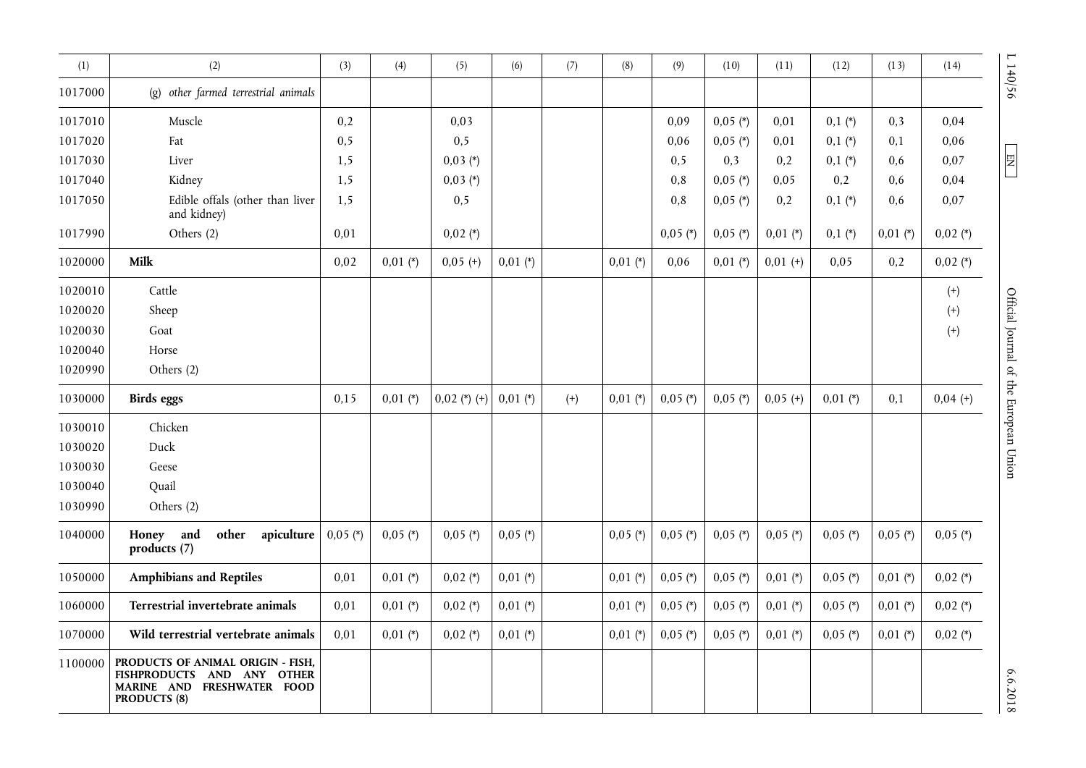| (1)     | (2)                                                                                                                  | (3)        | (4)        | (5)            | (6)        | (7)   | (8)        | (9)        | (10)       | (11)       | (12)       | (13)       | (14)       | 140/56                                 |
|---------|----------------------------------------------------------------------------------------------------------------------|------------|------------|----------------|------------|-------|------------|------------|------------|------------|------------|------------|------------|----------------------------------------|
| 1017000 | other farmed terrestrial animals<br>$\left( \rho \right)$                                                            |            |            |                |            |       |            |            |            |            |            |            |            |                                        |
| 1017010 | Muscle                                                                                                               | 0,2        |            | 0,03           |            |       |            | 0,09       | $0,05$ (*) | 0,01       | $0,1(*)$   | 0,3        | 0,04       |                                        |
| 1017020 | Fat                                                                                                                  | 0, 5       |            | 0, 5           |            |       |            | 0,06       | $0,05$ (*) | 0,01       | $0,1(*)$   | 0,1        | 0,06       |                                        |
| 1017030 | Liver                                                                                                                | 1,5        |            | $0,03(*)$      |            |       |            | 0, 5       | 0,3        | 0,2        | $0,1(*)$   | 0.6        | 0,07       | $\mathbb{E}$                           |
| 1017040 | Kidney                                                                                                               | 1,5        |            | $0,03 (*)$     |            |       |            | 0,8        | $0,05$ (*) | 0,05       | 0,2        | 0.6        | 0,04       |                                        |
| 1017050 | Edible offals (other than liver<br>and kidney)                                                                       | 1,5        |            | 0, 5           |            |       |            | 0,8        | $0,05$ (*) | 0,2        | $0,1(*)$   | 0,6        | 0,07       |                                        |
| 1017990 | Others (2)                                                                                                           | 0,01       |            | $0,02$ (*)     |            |       |            | $0,05$ (*) | $0,05$ (*) | $0,01$ (*) | $0,1(*)$   | $0,01$ (*) | $0,02$ (*) |                                        |
| 1020000 | Milk                                                                                                                 | 0,02       | $0,01 (*)$ | $0,05 (+)$     | $0,01$ (*) |       | $0,01$ (*) | 0,06       | $0,01$ (*) | $0,01 (+)$ | 0,05       | 0,2        | $0,02$ (*) |                                        |
| 1020010 | Cattle                                                                                                               |            |            |                |            |       |            |            |            |            |            |            | $^{(+)}$   |                                        |
| 1020020 | Sheep                                                                                                                |            |            |                |            |       |            |            |            |            |            |            | $^{(+)}$   |                                        |
| 1020030 | Goat                                                                                                                 |            |            |                |            |       |            |            |            |            |            |            | $^{(+)}$   |                                        |
| 1020040 | Horse                                                                                                                |            |            |                |            |       |            |            |            |            |            |            |            |                                        |
| 1020990 | Others (2)                                                                                                           |            |            |                |            |       |            |            |            |            |            |            |            |                                        |
| 1030000 | <b>Birds</b> eggs                                                                                                    | 0,15       | $0,01$ (*) | $0,02$ (*) (+) | $0,01$ (*) | $(+)$ | $0,01$ (*) | $0,05$ (*) | $0,05$ (*) | $0,05 (+)$ | $0,01$ (*) | 0,1        | $0,04 (+)$ | Official Journal of the European Union |
| 1030010 | Chicken                                                                                                              |            |            |                |            |       |            |            |            |            |            |            |            |                                        |
| 1030020 | Duck                                                                                                                 |            |            |                |            |       |            |            |            |            |            |            |            |                                        |
| 1030030 | Geese                                                                                                                |            |            |                |            |       |            |            |            |            |            |            |            |                                        |
| 1030040 | Quail                                                                                                                |            |            |                |            |       |            |            |            |            |            |            |            |                                        |
| 1030990 | Others (2)                                                                                                           |            |            |                |            |       |            |            |            |            |            |            |            |                                        |
| 1040000 | other<br>Honey and<br>apiculture<br>products (7)                                                                     | $0,05$ (*) | $0,05$ (*) | $0,05$ (*)     | $0,05$ (*) |       | $0,05$ (*) | $0,05$ (*) | $0,05$ (*) | $0,05$ (*) | $0,05$ (*) | $0,05$ (*) | $0,05$ (*) |                                        |
| 1050000 | <b>Amphibians and Reptiles</b>                                                                                       | 0,01       | $0,01$ (*) | $0,02$ (*)     | $0,01$ (*) |       | $0,01$ (*) | $0,05$ (*) | $0,05$ (*) | $0,01$ (*) | $0,05$ (*) | $0,01$ (*) | $0,02$ (*) |                                        |
| 1060000 | Terrestrial invertebrate animals                                                                                     | 0,01       | $0,01$ (*) | $0,02$ (*)     | $0,01$ (*) |       | $0,01$ (*) | $0,05$ (*) | $0,05$ (*) | $0,01$ (*) | $0,05$ (*) | $0,01$ (*) | $0,02$ (*) |                                        |
| 1070000 | Wild terrestrial vertebrate animals                                                                                  | 0,01       | $0,01$ (*) | $0,02$ (*)     | $0,01$ (*) |       | $0,01$ (*) | $0,05$ (*) | $0,05$ (*) | $0,01$ (*) | $0,05$ (*) | $0,01$ (*) | $0,02$ (*) |                                        |
| 1100000 | PRODUCTS OF ANIMAL ORIGIN - FISH,<br>FISHPRODUCTS AND ANY OTHER<br>MARINE AND FRESHWATER FOOD<br><b>PRODUCTS (8)</b> |            |            |                |            |       |            |            |            |            |            |            |            | 6.6.2018                               |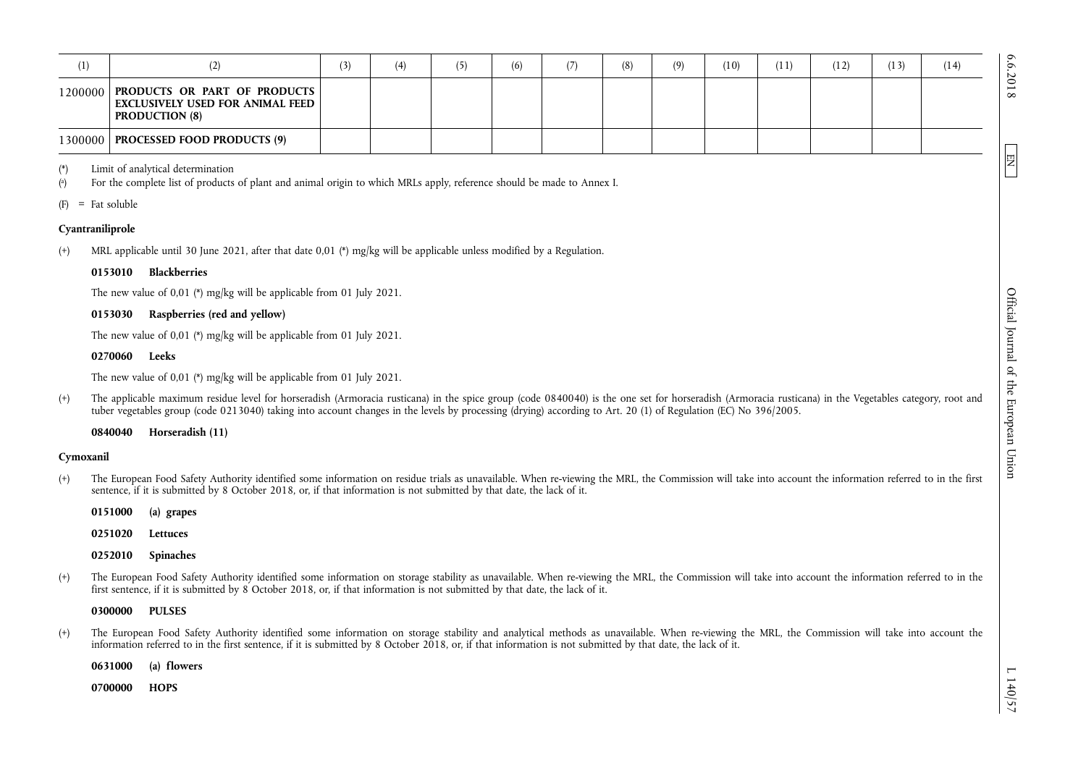| 1)    | (2)                                                                                                            | (3) | (4) | (ל | (6) | (7) | (8) | (9) | (10) | (11) | (12) | (13) | (14) | N        |
|-------|----------------------------------------------------------------------------------------------------------------|-----|-----|----|-----|-----|-----|-----|------|------|------|------|------|----------|
|       | 1200000   PRODUCTS OR PART OF PRODUCTS  <br><b>EXCLUSIVELY USED FOR ANIMAL FEED  </b><br><b>PRODUCTION (8)</b> |     |     |    |     |     |     |     |      |      |      |      |      | $\infty$ |
|       | 1300000   PROCESSED FOOD PRODUCTS (9)                                                                          |     |     |    |     |     |     |     |      |      |      |      |      |          |
| $(*)$ | Limit of analytical determination                                                                              |     |     |    |     |     |     |     |      |      |      |      |      | 陧        |

( a ) For the complete list of products of plant and animal origin to which MRLs apply, reference should be made to Annex I.

 $(F)$  = Fat soluble

## **Cyantraniliprole**

(+) MRL applicable until 30 June 2021, after that date 0,01 (\*) mg/kg will be applicable unless modified by a Regulation.

## **0153010 Blackberries**

The new value of 0,01 (\*) mg/kg will be applicable from 01 July 2021.

## **0153030 Raspberries (red and yellow)**

The new value of 0,01 (\*) mg/kg will be applicable from 01 July 2021.

## **0270060 Leeks**

The new value of 0,01 (\*) mg/kg will be applicable from 01 July 2021.

(+) The applicable maximum residue level for horseradish (Armoracia rusticana) in the spice group (code 0840040) is the one set for horseradish (Armoracia rusticana) in the Vegetables category, root and tuber vegetables group (code 0213040) taking into account changes in the levels by processing (drying) according to Art. 20 (1) of Regulation (EC) No 396/2005.

**0840040 Horseradish (11)** 

## **Cymoxanil**

(+) The European Food Safety Authority identified some information on residue trials as unavailable. When re-viewing the MRL, the Commission will take into account the information referred to in the first sentence, if it is submitted by 8 October 2018, or, if that information is not submitted by that date, the lack of it.

**0151000 (a) grapes** 

**0251020 Lettuces** 

**0252010 Spinaches** 

(+) The European Food Safety Authority identified some information on storage stability as unavailable. When re-viewing the MRL, the Commission will take into account the information referred to in the first sentence, if it is submitted by 8 October 2018, or, if that information is not submitted by that date, the lack of it.

### **0300000 PULSES**

(+) The European Food Safety Authority identified some information on storage stability and analytical methods as unavailable. When re-viewing the MRL, the Commission will take into account the information referred to in the first sentence, if it is submitted by 8 October 2018, or, if that information is not submitted by that date, the lack of it.

**0631000 (a) flowers** 

**0700000 HOPS**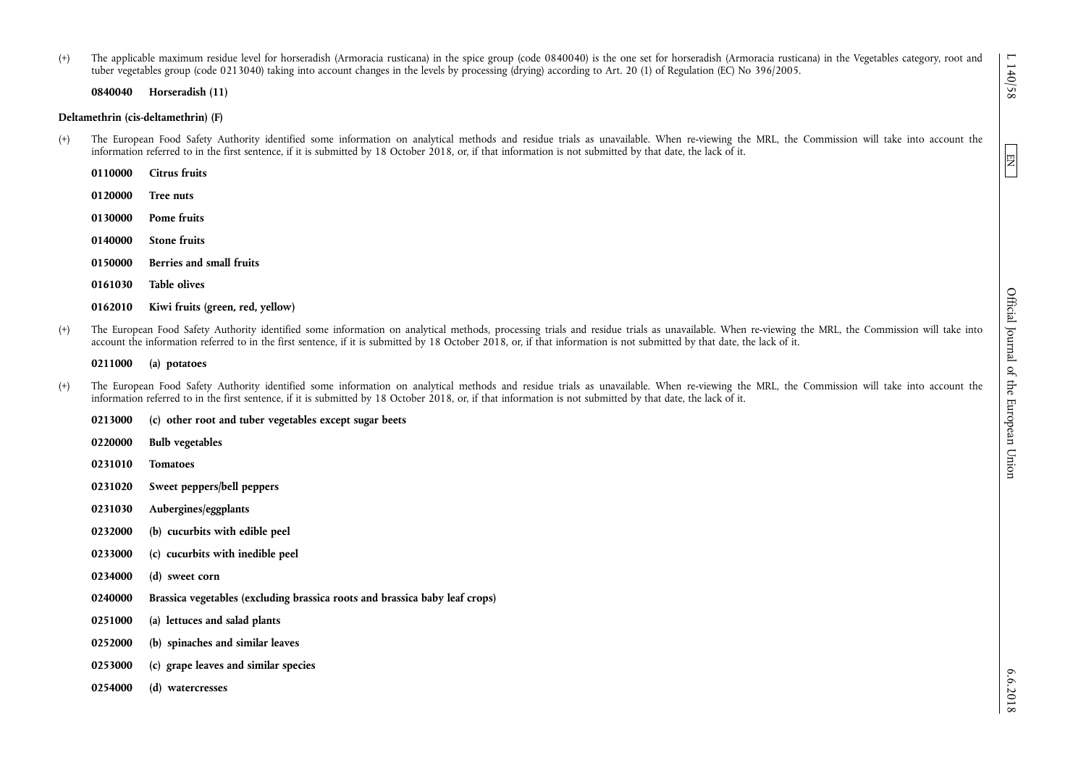(+) The applicable maximum residue level for horseradish (Armoracia rusticana) in the spice group (code 0840040) is the one set for horseradish (Armoracia rusticana) in the Vegetables category, root and tuber vegetables group (code 0213040) taking into account changes in the levels by processing (drying) according to Art. 20 (1) of Regulation (EC) No 396/2005.

**0840040 Horseradish (11)** 

#### **Deltamethrin (cis-deltamethrin) (F)**

- (+) The European Food Safety Authority identified some information on analytical methods and residue trials as unavailable. When re-viewing the MRL, the Commission will take into account the information referred to in the first sentence, if it is submitted by 18 October 2018, or, if that information is not submitted by that date, the lack of it.
	- **0110000 Citrus fruits**
	- **0120000 Tree nuts**
	- **0130000 Pome fruits**
	- **0140000 Stone fruits**
	- **0150000 Berries and small fruits**
	- **0161030 Table olives**

(+) The European Food Safety Authority identified some information on analytical methods, processing trials and residue trials as unavailable. When re-viewing the MRL, the Commission will take into account the information referred to in the first sentence, if it is submitted by 18 October 2018, or, if that information is not submitted by that date, the lack of it.

#### **0211000 (a) potatoes**

(+) The European Food Safety Authority identified some information on analytical methods and residue trials as unavailable. When re-viewing the MRL, the Commission will take into account the information referred to in the first sentence, if it is submitted by 18 October 2018, or, if that information is not submitted by that date, the lack of it.

**0213000 (c) other root and tuber vegetables except sugar beets 0220000 Bulb vegetables 0231010 Tomatoes** 

- **0231020 Sweet peppers/bell peppers**
- **0231030 Aubergines/eggplants**
- **0232000 (b) cucurbits with edible peel**
- **0233000 (c) cucurbits with inedible peel**
- **0234000 (d) sweet corn**
- **0240000 Brassica vegetables (excluding brassica roots and brassica baby leaf crops)**
- **0251000 (a) lettuces and salad plants**
- **0252000 (b) spinaches and similar leaves**
- **0253000 (c) grape leaves and similar species**
- **0254000 (d) watercresses**

 $6.6.2018$ 

**<sup>0162010</sup> Kiwi fruits (green, red, yellow)**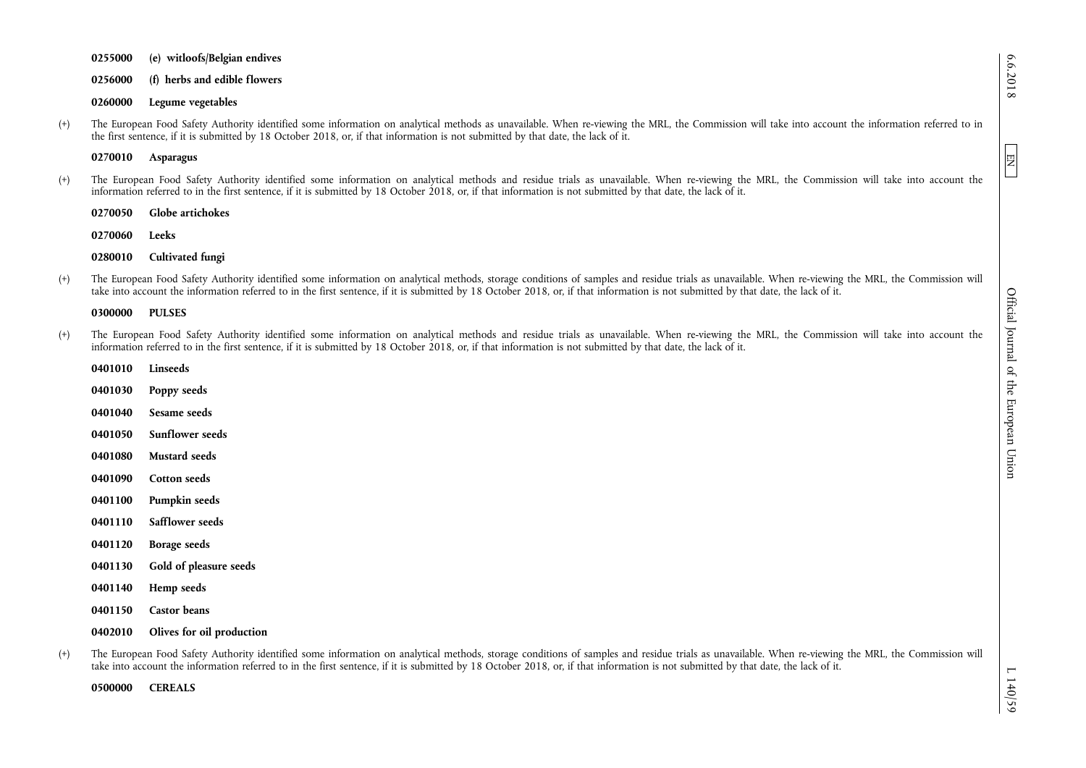**0255000 (e) witloofs/Belgian endives 0256000 (f) herbs and edible flowers 0260000 Legume vegetables** 

(+) The European Food Safety Authority identified some information on analytical methods as unavailable. When re-viewing the MRL, the Commission will take into account the information referred to in the first sentence, if it is submitted by 18 October 2018, or, if that information is not submitted by that date, the lack of it.

**0270010 Asparagus** 

(+) The European Food Safety Authority identified some information on analytical methods and residue trials as unavailable. When re-viewing the MRL, the Commission will take into account the information referred to in the first sentence, if it is submitted by 18 October 2018, or, if that information is not submitted by that date, the lack of it.

**0270050 Globe artichokes** 

**0270060 Leeks** 

**0280010 Cultivated fungi** 

(+) The European Food Safety Authority identified some information on analytical methods, storage conditions of samples and residue trials as unavailable. When re-viewing the MRL, the Commission will take into account the information referred to in the first sentence, if it is submitted by 18 October 2018, or, if that information is not submitted by that date, the lack of it.

#### **0300000 PULSES**

- (+) The European Food Safety Authority identified some information on analytical methods and residue trials as unavailable. When re-viewing the MRL, the Commission will take into account the information referred to in the first sentence, if it is submitted by 18 October 2018, or, if that information is not submitted by that date, the lack of it.
	- **0401010 Linseeds 0401030 Poppy seeds 0401040 Sesame seeds 0401050 Sunflower seeds 0401080 Mustard seeds 0401090 Cotton seeds 0401100 Pumpkin seeds 0401110 Safflower seeds 0401120 Borage seeds 0401130 Gold of pleasure seeds 0401140 Hemp seeds 0401150 Castor beans 0402010 Olives for oil production**
- (+) The European Food Safety Authority identified some information on analytical methods, storage conditions of samples and residue trials as unavailable. When re-viewing the MRL, the Commission will take into account the information referred to in the first sentence, if it is submitted by 18 October 2018, or, if that information is not submitted by that date, the lack of it.

**0500000 CEREALS** 

6.6.2018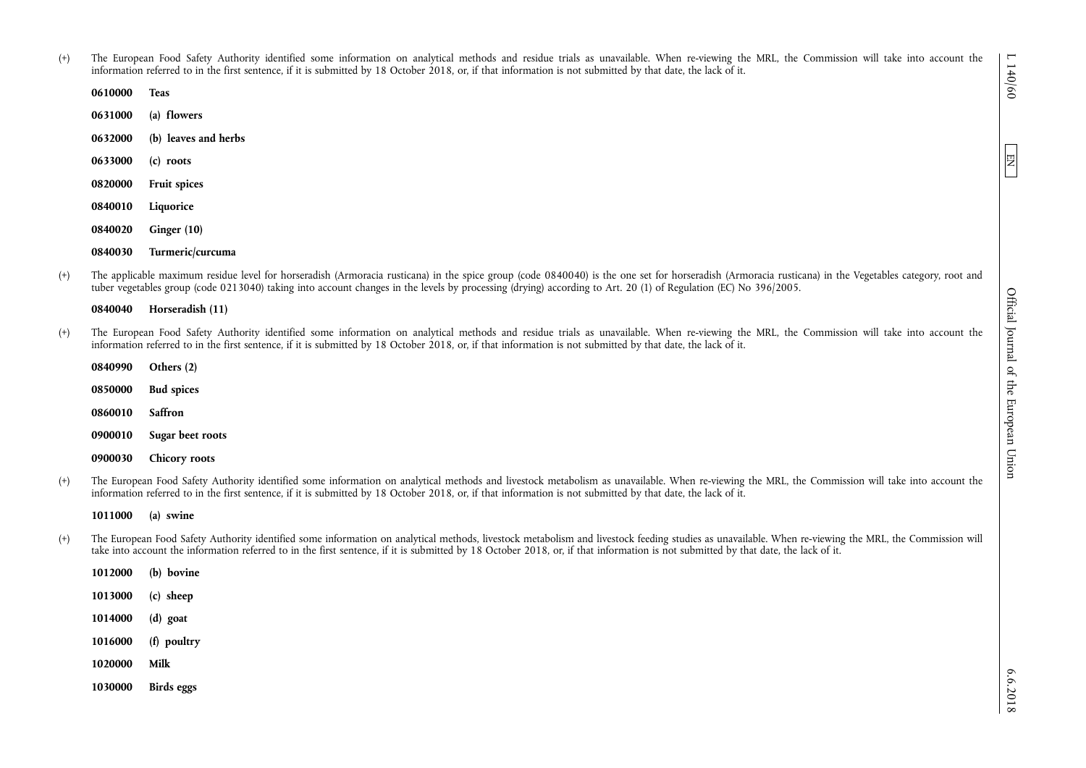EN

(+) The European Food Safety Authority identified some information on analytical methods and residue trials as unavailable. When re-viewing the MRL, the Commission will take into account the information referred to in the first sentence, if it is submitted by 18 October 2018, or, if that information is not submitted by that date, the lack of it.

| 0610000 | <b>Teas</b>          |
|---------|----------------------|
| 0631000 | (a) flowers          |
| 0632000 | (b) leaves and herbs |
| 0633000 | (c) roots            |
| 0820000 | <b>Fruit spices</b>  |
| 0840010 | Liquorice            |
| 0840020 | Ginger $(10)$        |
| 0840030 | Turmeric/curcuma     |

(+) The applicable maximum residue level for horseradish (Armoracia rusticana) in the spice group (code 0840040) is the one set for horseradish (Armoracia rusticana) in the Vegetables category, root and tuber vegetables group (code 0213040) taking into account changes in the levels by processing (drying) according to Art. 20 (1) of Regulation (EC) No 396/2005.

| Horseradish (11) |
|------------------|

(+) The European Food Safety Authority identified some information on analytical methods and residue trials as unavailable. When re-viewing the MRL, the Commission will take into account the information referred to in the first sentence, if it is submitted by 18 October 2018, or, if that information is not submitted by that date, the lack of it.

| 0840990 | Others (2)        |
|---------|-------------------|
| 0850000 | <b>Bud spices</b> |
| 0860010 | Saffron           |
| 0900010 | Sugar beet roots  |
| 0900030 | Chicory roots     |

(+) The European Food Safety Authority identified some information on analytical methods and livestock metabolism as unavailable. When re-viewing the MRL, the Commission will take into account the information referred to in the first sentence, if it is submitted by 18 October 2018, or, if that information is not submitted by that date, the lack of it.

**1011000 (a) swine** 

(+) The European Food Safety Authority identified some information on analytical methods, livestock metabolism and livestock feeding studies as unavailable. When re-viewing the MRL, the Commission will take into account the information referred to in the first sentence, if it is submitted by 18 October 2018, or, if that information is not submitted by that date, the lack of it.

| 1012000 | (b) bovine  |
|---------|-------------|
| 1013000 | $(c)$ sheep |
| 1014000 | $(d)$ goat  |
| 1016000 | (f) poultry |
| 1020000 | Milk        |
| 1030000 | Birds eggs  |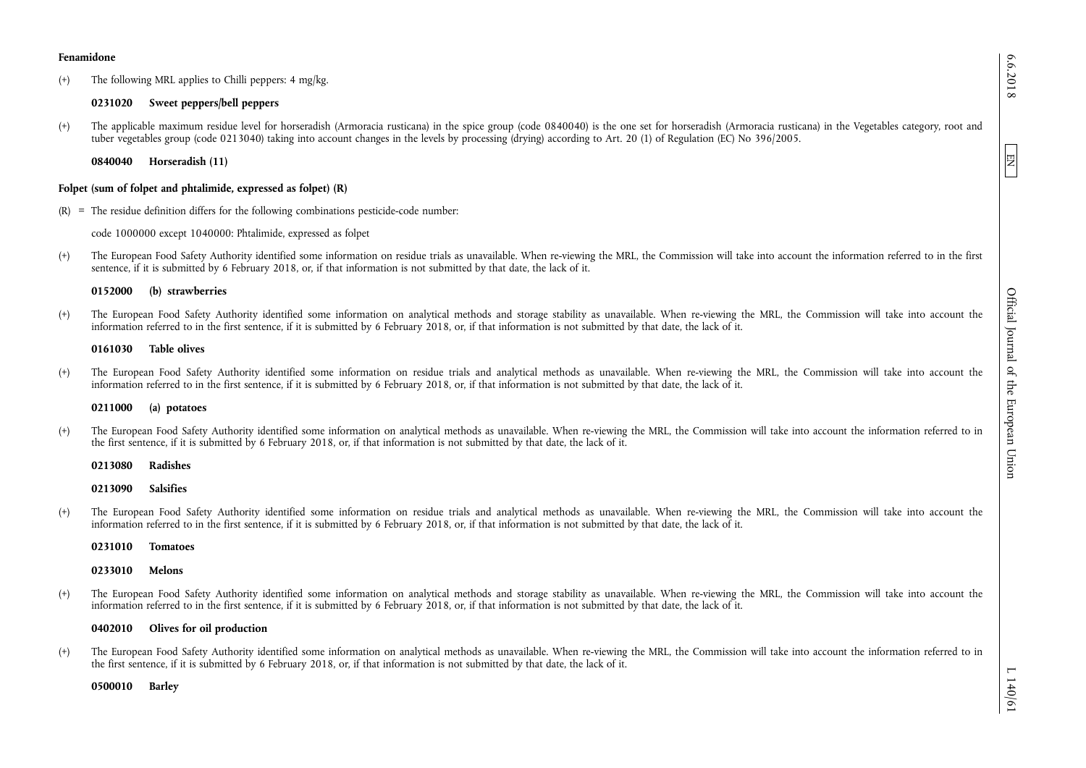(+) The following MRL applies to Chilli peppers: 4 mg/kg.

# **0231020 Sweet peppers/bell peppers**

(+) The applicable maximum residue level for horseradish (Armoracia rusticana) in the spice group (code 0840040) is the one set for horseradish (Armoracia rusticana) in the Vegetables category, root and tuber vegetables group (code 0213040) taking into account changes in the levels by processing (drying) according to Art. 20 (1) of Regulation (EC) No 396/2005.

**0840040 Horseradish (11)** 

# **Folpet (sum of folpet and phtalimide, expressed as folpet) (R)**

 $(R)$  = The residue definition differs for the following combinations pesticide-code number:

code 1000000 except 1040000: Phtalimide, expressed as folpet

(+) The European Food Safety Authority identified some information on residue trials as unavailable. When re-viewing the MRL, the Commission will take into account the information referred to in the first sentence, if it is submitted by 6 February 2018, or, if that information is not submitted by that date, the lack of it.

## **0152000 (b) strawberries**

(+) The European Food Safety Authority identified some information on analytical methods and storage stability as unavailable. When re-viewing the MRL, the Commission will take into account the information referred to in the first sentence, if it is submitted by 6 February 2018, or, if that information is not submitted by that date, the lack of it.

## **0161030 Table olives**

(+) The European Food Safety Authority identified some information on residue trials and analytical methods as unavailable. When re-viewing the MRL, the Commission will take into account the information referred to in the first sentence, if it is submitted by 6 February 2018, or, if that information is not submitted by that date, the lack of it.

## **0211000 (a) potatoes**

(+) The European Food Safety Authority identified some information on analytical methods as unavailable. When re-viewing the MRL, the Commission will take into account the information referred to in the first sentence, if it is submitted by 6 February 2018, or, if that information is not submitted by that date, the lack of it.

**0213080 Radishes** 

**0213090 Salsifies** 

(+) The European Food Safety Authority identified some information on residue trials and analytical methods as unavailable. When re-viewing the MRL, the Commission will take into account the information referred to in the first sentence, if it is submitted by 6 February 2018, or, if that information is not submitted by that date, the lack of it.

**0231010 Tomatoes** 

**0233010 Melons** 

(+) The European Food Safety Authority identified some information on analytical methods and storage stability as unavailable. When re-viewing the MRL, the Commission will take into account the information referred to in the first sentence, if it is submitted by 6 February 2018, or, if that information is not submitted by that date, the lack of it.

## **0402010 Olives for oil production**

(+) The European Food Safety Authority identified some information on analytical methods as unavailable. When re-viewing the MRL, the Commission will take into account the information referred to in the first sentence, if it is submitted by 6 February 2018, or, if that information is not submitted by that date, the lack of it.

**0500010 Barley** 

EN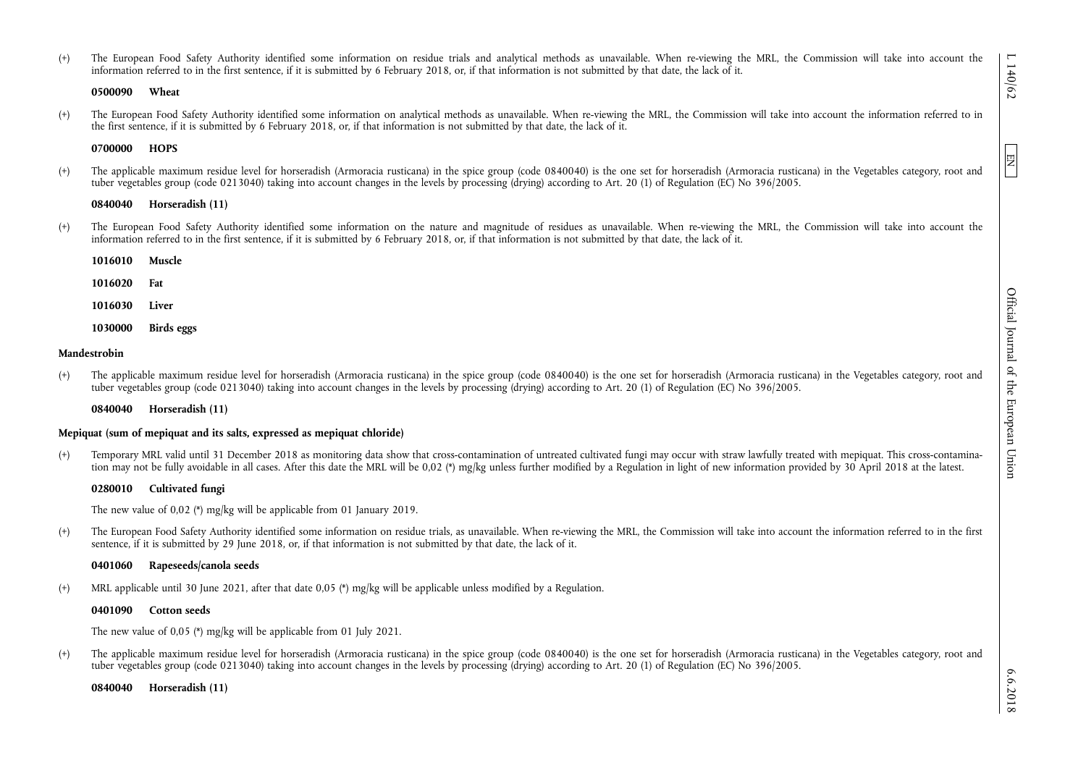(+) The European Food Safety Authority identified some information on residue trials and analytical methods as unavailable. When re-viewing the MRL, the Commission will take into account the information referred to in the first sentence, if it is submitted by 6 February 2018, or, if that information is not submitted by that date, the lack of it.

#### **0500090 Wheat**

(+) The European Food Safety Authority identified some information on analytical methods as unavailable. When re-viewing the MRL, the Commission will take into account the information referred to in the first sentence, if it is submitted by 6 February 2018, or, if that information is not submitted by that date, the lack of it.

### **0700000 HOPS**

(+) The applicable maximum residue level for horseradish (Armoracia rusticana) in the spice group (code 0840040) is the one set for horseradish (Armoracia rusticana) in the Vegetables category, root and tuber vegetables group (code 0213040) taking into account changes in the levels by processing (drying) according to Art. 20 (1) of Regulation (EC) No 396/2005.

#### **0840040 Horseradish (11)**

(+) The European Food Safety Authority identified some information on the nature and magnitude of residues as unavailable. When re-viewing the MRL, the Commission will take into account the information referred to in the first sentence, if it is submitted by 6 February 2018, or, if that information is not submitted by that date, the lack of it.

| 1016010 | Muscle     |
|---------|------------|
| 1016020 | Fat        |
| 1016030 | Liver      |
| 1030000 | Birds eggs |

#### **Mandestrobin**

(+) The applicable maximum residue level for horseradish (Armoracia rusticana) in the spice group (code 0840040) is the one set for horseradish (Armoracia rusticana) in the Vegetables category, root and tuber vegetables group (code 0213040) taking into account changes in the levels by processing (drying) according to Art. 20 (1) of Regulation (EC) No 396/2005.

**0840040 Horseradish (11)** 

### **Mepiquat (sum of mepiquat and its salts, expressed as mepiquat chloride)**

(+) Temporary MRL valid until 31 December 2018 as monitoring data show that cross-contamination of untreated cultivated fungi may occur with straw lawfully treated with mepiquat. This cross-contamination may not be fully avoidable in all cases. After this date the MRL will be 0,02 (\*) mg/kg unless further modified by a Regulation in light of new information provided by 30 April 2018 at the latest.

### **0280010 Cultivated fungi**

The new value of 0,02 (\*) mg/kg will be applicable from 01 January 2019.

(+) The European Food Safety Authority identified some information on residue trials, as unavailable. When re-viewing the MRL, the Commission will take into account the information referred to in the first sentence, if it is submitted by 29 June 2018, or, if that information is not submitted by that date, the lack of it.

### **0401060 Rapeseeds/canola seeds**

MRL applicable until 30 June 2021, after that date 0,05 (\*) mg/kg will be applicable unless modified by a Regulation.

#### **0401090 Cotton seeds**

The new value of 0,05 (\*) mg/kg will be applicable from 01 July 2021.

(+) The applicable maximum residue level for horseradish (Armoracia rusticana) in the spice group (code 0840040) is the one set for horseradish (Armoracia rusticana) in the Vegetables category, root and tuber vegetables group (code 0213040) taking into account changes in the levels by processing (drying) according to Art. 20 (1) of Regulation (EC) No 396/2005.

**0840040 Horseradish (11)**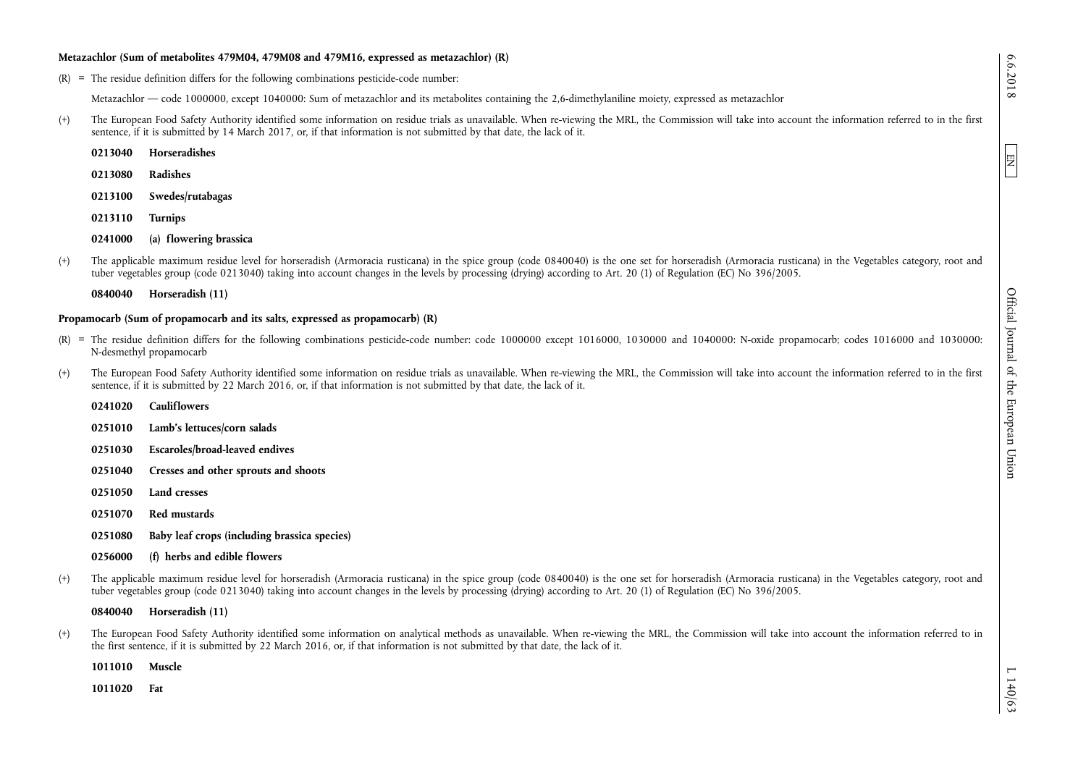#### **Metazachlor (Sum of metabolites 479M04, 479M08 and 479M16, expressed as metazachlor) (R)**

 $(R)$  = The residue definition differs for the following combinations pesticide-code number:

Metazachlor — code 1000000, except 1040000: Sum of metazachlor and its metabolites containing the 2,6-dimethylaniline moiety, expressed as metazachlor

(+) The European Food Safety Authority identified some information on residue trials as unavailable. When re-viewing the MRL, the Commission will take into account the information referred to in the first sentence, if it is submitted by 14 March 2017, or, if that information is not submitted by that date, the lack of it.

**0213080 Radishes** 

- **0213100 Swedes/rutabagas**
- **0213110 Turnips**

**0241000 (a) flowering brassica** 

(+) The applicable maximum residue level for horseradish (Armoracia rusticana) in the spice group (code 0840040) is the one set for horseradish (Armoracia rusticana) in the Vegetables category, root and tuber vegetables group (code 0213040) taking into account changes in the levels by processing (drying) according to Art. 20 (1) of Regulation (EC) No 396/2005.

**0840040 Horseradish (11)** 

## **Propamocarb (Sum of propamocarb and its salts, expressed as propamocarb) (R)**

- $(R)$  = The residue definition differs for the following combinations pesticide-code number: code 1000000 except 1016000, 1030000 and 1040000; N-oxide propamocarb; codes 1016000 and 1030000; N-desmethyl propamocarb
- (+) The European Food Safety Authority identified some information on residue trials as unavailable. When re-viewing the MRL, the Commission will take into account the information referred to in the first sentence, if it is submitted by 22 March 2016, or, if that information is not submitted by that date, the lack of it.

|         | 0241020 Cauliflowers                         |
|---------|----------------------------------------------|
| 0251010 | Lamb's lettuces/corn salads                  |
| 0251030 | Escaroles/broad-leaved endives               |
| 0251040 | Cresses and other sprouts and shoots         |
| 0251050 | Land cresses                                 |
| 0251070 | Red mustards                                 |
| 0251080 | Baby leaf crops (including brassica species) |
|         |                                              |

- **0256000 (f) herbs and edible flowers**
- (+) The applicable maximum residue level for horseradish (Armoracia rusticana) in the spice group (code 0840040) is the one set for horseradish (Armoracia rusticana) in the Vegetables category, root and tuber vegetables group (code 0213040) taking into account changes in the levels by processing (drying) according to Art. 20 (1) of Regulation (EC) No 396/2005.

**0840040 Horseradish (11)** 

(+) The European Food Safety Authority identified some information on analytical methods as unavailable. When re-viewing the MRL, the Commission will take into account the information referred to in the first sentence, if it is submitted by 22 March 2016, or, if that information is not submitted by that date, the lack of it.

**1011010 Muscle** 

**1011020 Fat** 

EN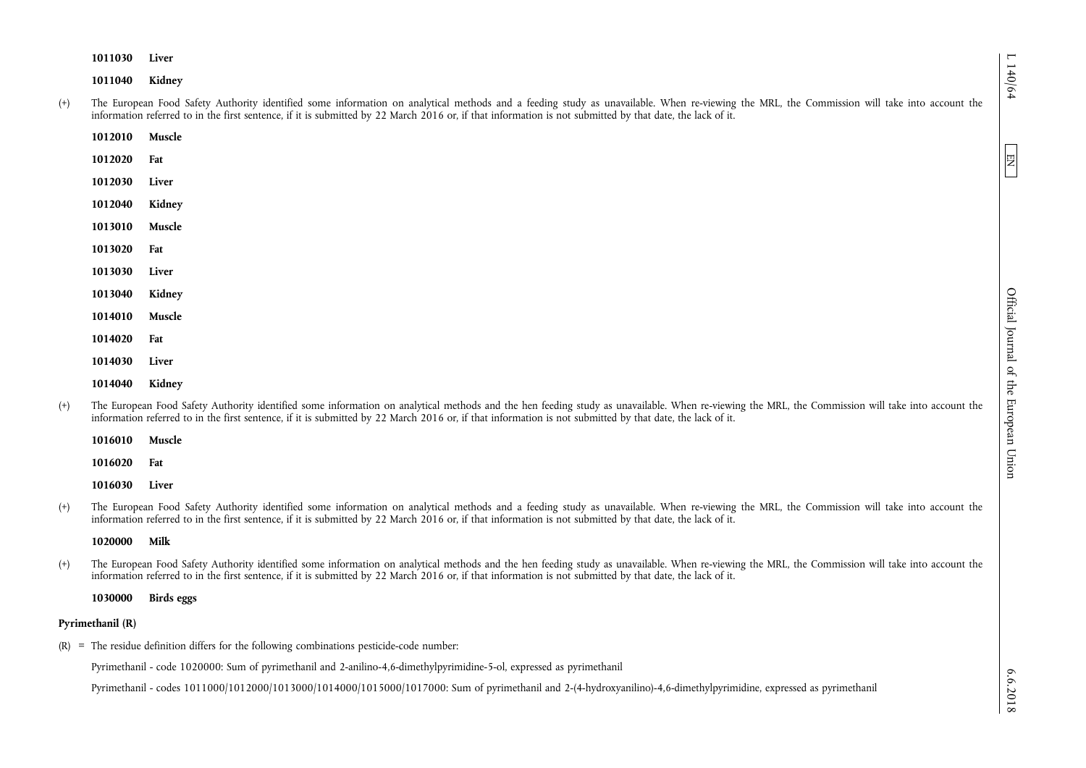**1011030 Liver** 

**1011040 Kidney** 

- (+) The European Food Safety Authority identified some information on analytical methods and a feeding study as unavailable. When re-viewing the MRL, the Commission will take into account the information referred to in the first sentence, if it is submitted by 22 March 2016 or, if that information is not submitted by that date, the lack of it.
	- **1012010 Muscle**
	- **1012020 Fat**
	- **1012030 Liver**
	- **1012040 Kidney**
	- **1013010 Muscle**
	- **1013020 Fat**
	- **1013030 Liver**
	- **1013040 Kidney**
	- **1014010 Muscle**
	- **1014020 Fat**
	- **1014030 Liver**
	- **1014040 Kidney**
- (+) The European Food Safety Authority identified some information on analytical methods and the hen feeding study as unavailable. When re-viewing the MRL, the Commission will take into account the information referred to in the first sentence, if it is submitted by 22 March 2016 or, if that information is not submitted by that date, the lack of it.

**1016010 Muscle** 

**1016020 Fat** 

**1016030 Liver** 

(+) The European Food Safety Authority identified some information on analytical methods and a feeding study as unavailable. When re-viewing the MRL, the Commission will take into account the information referred to in the first sentence, if it is submitted by 22 March 2016 or, if that information is not submitted by that date, the lack of it.

## **1020000 Milk**

(+) The European Food Safety Authority identified some information on analytical methods and the hen feeding study as unavailable. When re-viewing the MRL, the Commission will take into account the information referred to in the first sentence, if it is submitted by 22 March 2016 or, if that information is not submitted by that date, the lack of it.

**1030000 Birds eggs** 

## **Pyrimethanil (R)**

(R) = The residue definition differs for the following combinations pesticide-code number:

Pyrimethanil - code 1020000: Sum of pyrimethanil and 2-anilino-4,6-dimethylpyrimidine-5-ol, expressed as pyrimethanil

Pyrimethanil - codes 1011000/1012000/1013000/1014000/1015000/1017000: Sum of pyrimethanil and 2-(4-hydroxyanilino)-4,6-dimethylpyrimidine, expressed as pyrimethanil

EN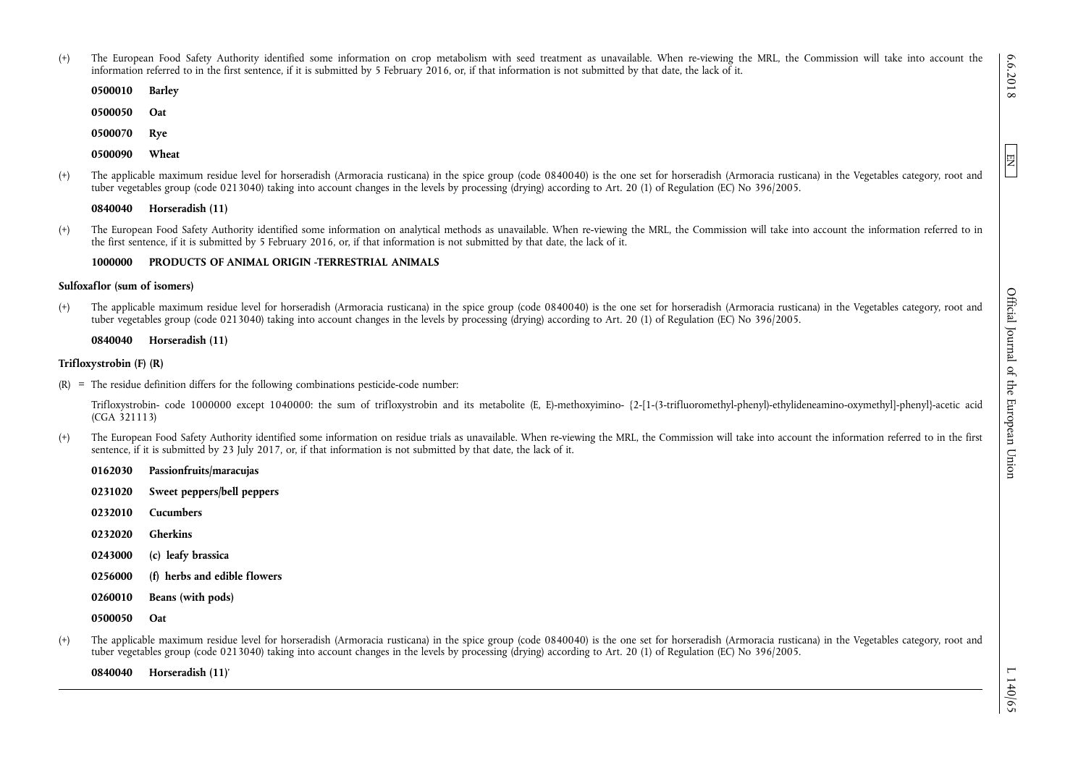- (+) The European Food Safety Authority identified some information on crop metabolism with seed treatment as unavailable. When re-viewing the MRL, the Commission will take into account the information referred to in the first sentence, if it is submitted by 5 February 2016, or, if that information is not submitted by that date, the lack of it.
	- **0500010 Barley**
	- **0500050 Oat**
	- **0500070 Rye**
	- **0500090 Wheat**
- (+) The applicable maximum residue level for horseradish (Armoracia rusticana) in the spice group (code 0840040) is the one set for horseradish (Armoracia rusticana) in the Vegetables category, root and tuber vegetables group (code 0213040) taking into account changes in the levels by processing (drying) according to Art. 20 (1) of Regulation (EC) No 396/2005.

**0840040 Horseradish (11)** 

(+) The European Food Safety Authority identified some information on analytical methods as unavailable. When re-viewing the MRL, the Commission will take into account the information referred to in the first sentence, if it is submitted by 5 February 2016, or, if that information is not submitted by that date, the lack of it.

## **1000000 PRODUCTS OF ANIMAL ORIGIN -TERRESTRIAL ANIMALS**

### **Sulfoxaflor (sum of isomers)**

(+) The applicable maximum residue level for horseradish (Armoracia rusticana) in the spice group (code 0840040) is the one set for horseradish (Armoracia rusticana) in the Vegetables category, root and tuber vegetables group (code 0213040) taking into account changes in the levels by processing (drying) according to Art. 20 (1) of Regulation (EC) No 396/2005.

**0840040 Horseradish (11)** 

### **Trifloxystrobin (F) (R)**

 $(R)$  = The residue definition differs for the following combinations pesticide-code number:

Trifloxystrobin- code 1000000 except 1040000: the sum of trifloxystrobin and its metabolite (E, E)-methoxyimino- {2-[1-(3-trifluoromethyl-phenyl)-ethylideneamino-oxymethyl]-phenyl}-acetic acid (CGA 321113)

(+) The European Food Safety Authority identified some information on residue trials as unavailable. When re-viewing the MRL, the Commission will take into account the information referred to in the first sentence, if it is submitted by 23 July 2017, or, if that information is not submitted by that date, the lack of it.

| 0162030 | Passionfruits/maracujas      |
|---------|------------------------------|
| 0231020 | Sweet peppers/bell peppers   |
| 0232010 | <b>Cucumbers</b>             |
| 0232020 | Gherkins                     |
| 0243000 | (c) leafy brassica           |
| 0256000 | (f) herbs and edible flowers |
| 0260010 | Beans (with pods)            |
| 0500050 | 0at                          |
|         |                              |

(+) The applicable maximum residue level for horseradish (Armoracia rusticana) in the spice group (code 0840040) is the one set for horseradish (Armoracia rusticana) in the Vegetables category, root and tuber vegetables group (code 0213040) taking into account changes in the levels by processing (drying) according to Art. 20 (1) of Regulation (EC) No 396/2005.

**0840040 Horseradish (11)**'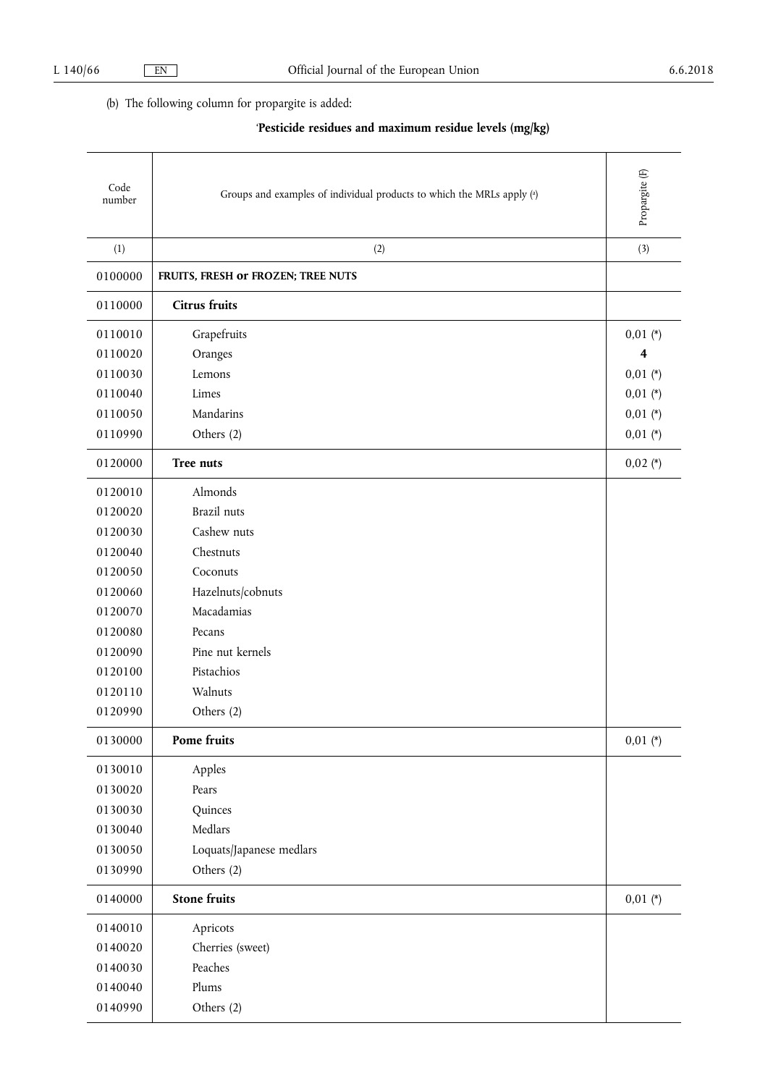# (b) The following column for propargite is added:

# '**Pesticide residues and maximum residue levels (mg/kg)**

| Code<br>number | Groups and examples of individual products to which the MRLs apply (a) | Propargite <sup>(F)</sup> |
|----------------|------------------------------------------------------------------------|---------------------------|
| (1)            | (2)                                                                    | (3)                       |
| 0100000        | FRUITS, FRESH or FROZEN; TREE NUTS                                     |                           |
| 0110000        | <b>Citrus fruits</b>                                                   |                           |
| 0110010        | Grapefruits                                                            | $0,01 (*)$                |
| 0110020        | Oranges                                                                | 4                         |
| 0110030        | Lemons                                                                 | $0,01 (*)$                |
| 0110040        | Limes                                                                  | $0,01$ (*)                |
| 0110050        | Mandarins                                                              | $0,01$ (*)                |
| 0110990        | Others (2)                                                             | $0,01$ (*)                |
| 0120000        | Tree nuts                                                              | $0,02$ (*)                |
| 0120010        | Almonds                                                                |                           |
| 0120020        | Brazil nuts                                                            |                           |
| 0120030        | Cashew nuts                                                            |                           |
| 0120040        | Chestnuts                                                              |                           |
| 0120050        | Coconuts                                                               |                           |
| 0120060        | Hazelnuts/cobnuts                                                      |                           |
| 0120070        | Macadamias                                                             |                           |
| 0120080        | Pecans                                                                 |                           |
| 0120090        | Pine nut kernels                                                       |                           |
| 0120100        | Pistachios                                                             |                           |
| 0120110        | Walnuts                                                                |                           |
| 0120990        | Others (2)                                                             |                           |
| 0130000        | Pome fruits                                                            | $0,01$ (*)                |
| 0130010        | Apples                                                                 |                           |
| 0130020        | Pears                                                                  |                           |
| 0130030        | Quinces                                                                |                           |
| 0130040        | Medlars                                                                |                           |
| 0130050        | Loquats/Japanese medlars                                               |                           |
| 0130990        | Others (2)                                                             |                           |
| 0140000        | <b>Stone fruits</b>                                                    | $0,01$ (*)                |
| 0140010        | Apricots                                                               |                           |
| 0140020        | Cherries (sweet)                                                       |                           |
| 0140030        | Peaches                                                                |                           |
| 0140040        | Plums                                                                  |                           |
| 0140990        | Others (2)                                                             |                           |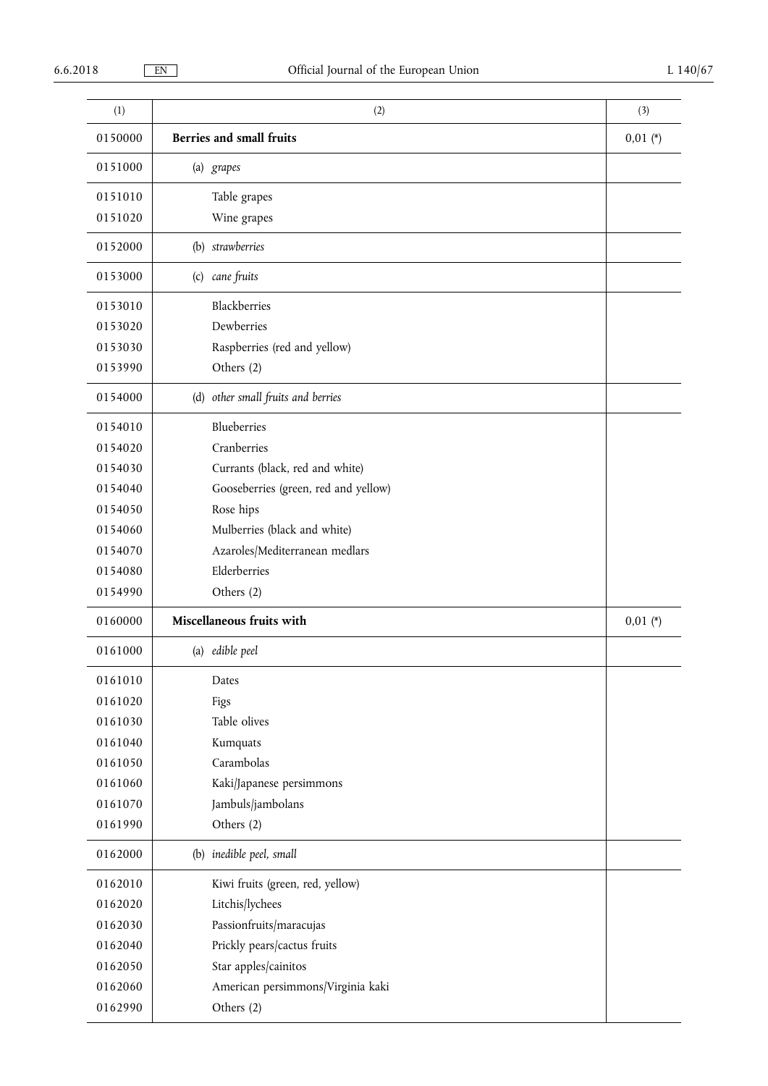| (1)     | (2)                                  | (3)        |  |  |  |  |
|---------|--------------------------------------|------------|--|--|--|--|
| 0150000 | <b>Berries and small fruits</b>      | $0,01$ (*) |  |  |  |  |
| 0151000 | (a) grapes                           |            |  |  |  |  |
| 0151010 | Table grapes                         |            |  |  |  |  |
| 0151020 | Wine grapes                          |            |  |  |  |  |
| 0152000 | (b) strawberries                     |            |  |  |  |  |
| 0153000 | (c) cane fruits                      |            |  |  |  |  |
| 0153010 | Blackberries                         |            |  |  |  |  |
| 0153020 | Dewberries                           |            |  |  |  |  |
| 0153030 | Raspberries (red and yellow)         |            |  |  |  |  |
| 0153990 | Others (2)                           |            |  |  |  |  |
| 0154000 | (d) other small fruits and berries   |            |  |  |  |  |
| 0154010 | Blueberries                          |            |  |  |  |  |
| 0154020 | Cranberries                          |            |  |  |  |  |
| 0154030 | Currants (black, red and white)      |            |  |  |  |  |
| 0154040 | Gooseberries (green, red and yellow) |            |  |  |  |  |
| 0154050 | Rose hips                            |            |  |  |  |  |
| 0154060 | Mulberries (black and white)         |            |  |  |  |  |
| 0154070 | Azaroles/Mediterranean medlars       |            |  |  |  |  |
| 0154080 | Elderberries                         |            |  |  |  |  |
| 0154990 | Others (2)                           |            |  |  |  |  |
| 0160000 | Miscellaneous fruits with            | $0,01$ (*) |  |  |  |  |
| 0161000 | (a) edible peel                      |            |  |  |  |  |
| 0161010 | Dates                                |            |  |  |  |  |
| 0161020 | Figs                                 |            |  |  |  |  |
| 0161030 | Table olives                         |            |  |  |  |  |
| 0161040 | Kumquats                             |            |  |  |  |  |
| 0161050 | Carambolas                           |            |  |  |  |  |
| 0161060 | Kaki/Japanese persimmons             |            |  |  |  |  |
| 0161070 | Jambuls/jambolans                    |            |  |  |  |  |
| 0161990 | Others (2)                           |            |  |  |  |  |
| 0162000 | (b) inedible peel, small             |            |  |  |  |  |
| 0162010 | Kiwi fruits (green, red, yellow)     |            |  |  |  |  |
| 0162020 | Litchis/lychees                      |            |  |  |  |  |
| 0162030 | Passionfruits/maracujas              |            |  |  |  |  |
| 0162040 | Prickly pears/cactus fruits          |            |  |  |  |  |
| 0162050 | Star apples/cainitos                 |            |  |  |  |  |
| 0162060 | American persimmons/Virginia kaki    |            |  |  |  |  |
| 0162990 | Others (2)                           |            |  |  |  |  |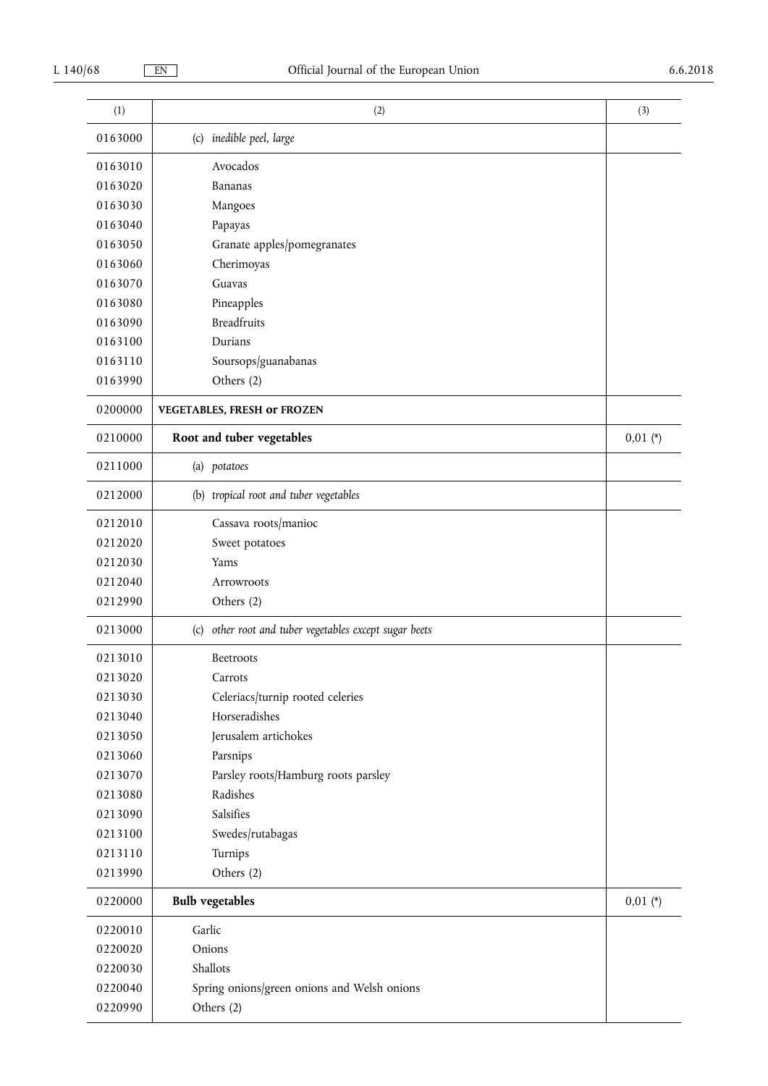| (1)     | (2)                                                       | (3)        |
|---------|-----------------------------------------------------------|------------|
| 0163000 | (c) inedible peel, large                                  |            |
| 0163010 | Avocados                                                  |            |
| 0163020 | Bananas                                                   |            |
| 0163030 | Mangoes                                                   |            |
| 0163040 | Papayas                                                   |            |
| 0163050 | Granate apples/pomegranates                               |            |
| 0163060 | Cherimoyas                                                |            |
| 0163070 | Guavas                                                    |            |
| 0163080 | Pineapples                                                |            |
| 0163090 | <b>Breadfruits</b>                                        |            |
| 0163100 | Durians                                                   |            |
| 0163110 | Soursops/guanabanas                                       |            |
| 0163990 | Others (2)                                                |            |
| 0200000 | <b>VEGETABLES, FRESH or FROZEN</b>                        |            |
| 0210000 | Root and tuber vegetables                                 | $0,01$ (*) |
| 0211000 | (a) potatoes                                              |            |
| 0212000 | (b) tropical root and tuber vegetables                    |            |
| 0212010 | Cassava roots/manioc                                      |            |
| 0212020 | Sweet potatoes                                            |            |
| 0212030 | Yams                                                      |            |
| 0212040 | Arrowroots                                                |            |
| 0212990 | Others (2)                                                |            |
| 0213000 | other root and tuber vegetables except sugar beets<br>(c) |            |
| 0213010 | Beetroots                                                 |            |
| 0213020 | Carrots                                                   |            |
| 0213030 | Celeriacs/turnip rooted celeries                          |            |
| 0213040 | Horseradishes                                             |            |
| 0213050 | Jerusalem artichokes                                      |            |
| 0213060 | Parsnips                                                  |            |
| 0213070 | Parsley roots/Hamburg roots parsley                       |            |
| 0213080 | Radishes                                                  |            |
| 0213090 | Salsifies                                                 |            |
| 0213100 | Swedes/rutabagas                                          |            |
| 0213110 | Turnips                                                   |            |
| 0213990 | Others (2)                                                |            |
| 0220000 | <b>Bulb</b> vegetables                                    | $0,01 (*)$ |
| 0220010 | Garlic                                                    |            |
| 0220020 | Onions                                                    |            |
| 0220030 | Shallots                                                  |            |
| 0220040 | Spring onions/green onions and Welsh onions               |            |
| 0220990 | Others (2)                                                |            |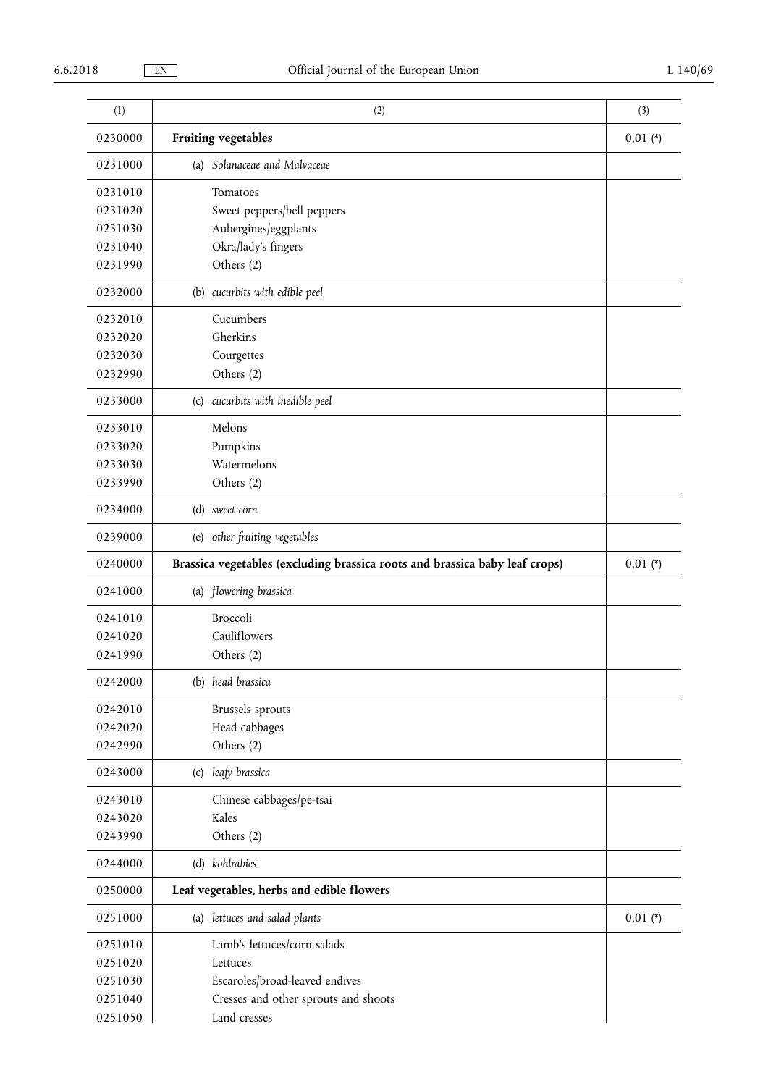| (1)     | (2)                                                                         | (3)        |
|---------|-----------------------------------------------------------------------------|------------|
| 0230000 | <b>Fruiting vegetables</b>                                                  | $0,01 (*)$ |
| 0231000 | (a) Solanaceae and Malvaceae                                                |            |
| 0231010 | Tomatoes                                                                    |            |
| 0231020 | Sweet peppers/bell peppers                                                  |            |
| 0231030 | Aubergines/eggplants                                                        |            |
| 0231040 | Okra/lady's fingers                                                         |            |
| 0231990 | Others (2)                                                                  |            |
| 0232000 | (b) cucurbits with edible peel                                              |            |
| 0232010 | Cucumbers                                                                   |            |
| 0232020 | Gherkins                                                                    |            |
| 0232030 | Courgettes                                                                  |            |
| 0232990 | Others (2)                                                                  |            |
| 0233000 | (c) cucurbits with inedible peel                                            |            |
| 0233010 | Melons                                                                      |            |
| 0233020 | Pumpkins                                                                    |            |
| 0233030 | Watermelons                                                                 |            |
| 0233990 | Others (2)                                                                  |            |
| 0234000 | (d) sweet corn                                                              |            |
| 0239000 | (e) other fruiting vegetables                                               |            |
| 0240000 | Brassica vegetables (excluding brassica roots and brassica baby leaf crops) | $0,01 (*)$ |
| 0241000 | (a) flowering brassica                                                      |            |
| 0241010 | Broccoli                                                                    |            |
| 0241020 | Cauliflowers                                                                |            |
| 0241990 | Others (2)                                                                  |            |
| 0242000 | (b) head brassica                                                           |            |
| 0242010 | Brussels sprouts                                                            |            |
| 0242020 | Head cabbages                                                               |            |
| 0242990 | Others (2)                                                                  |            |
| 0243000 | (c) leafy brassica                                                          |            |
| 0243010 | Chinese cabbages/pe-tsai                                                    |            |
| 0243020 | Kales                                                                       |            |
| 0243990 | Others (2)                                                                  |            |
| 0244000 | (d) kohlrabies                                                              |            |
| 0250000 | Leaf vegetables, herbs and edible flowers                                   |            |
| 0251000 | (a) lettuces and salad plants                                               | $0,01 (*)$ |
| 0251010 | Lamb's lettuces/corn salads                                                 |            |
| 0251020 | Lettuces                                                                    |            |
| 0251030 | Escaroles/broad-leaved endives                                              |            |
| 0251040 | Cresses and other sprouts and shoots                                        |            |
| 0251050 | Land cresses                                                                |            |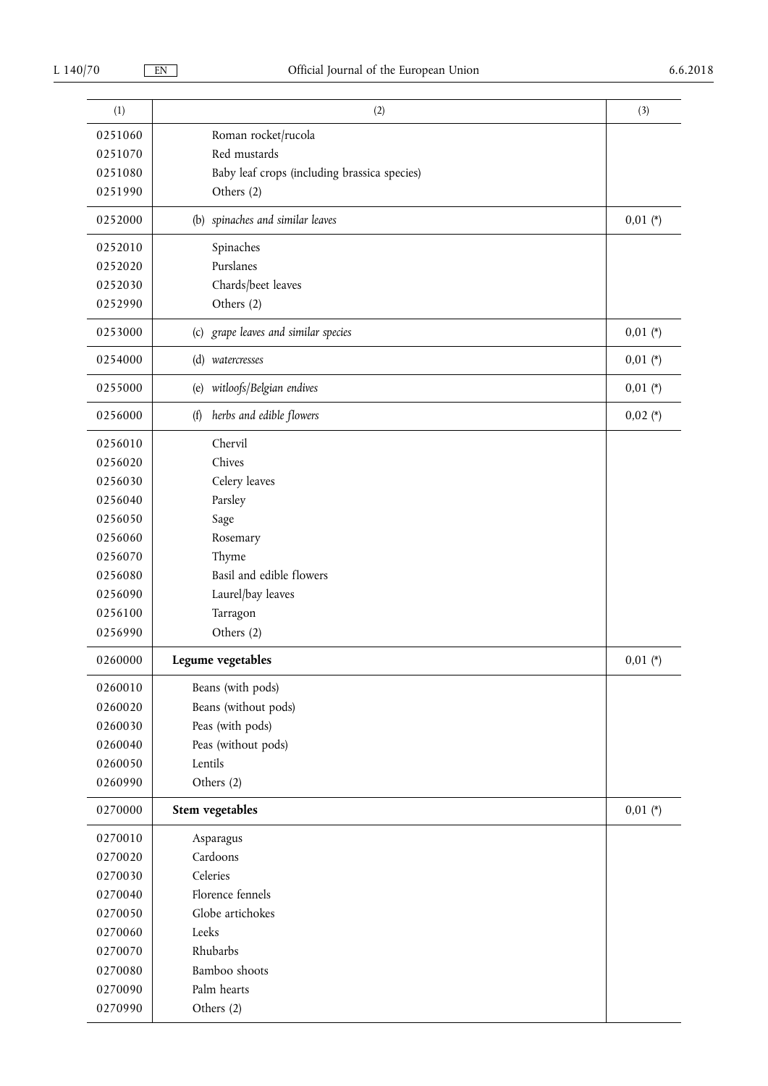| (1)     | (2)                                          | (3)        |
|---------|----------------------------------------------|------------|
| 0251060 | Roman rocket/rucola                          |            |
| 0251070 | Red mustards                                 |            |
| 0251080 | Baby leaf crops (including brassica species) |            |
| 0251990 | Others (2)                                   |            |
| 0252000 | (b) spinaches and similar leaves             | $0,01 (*)$ |
| 0252010 | Spinaches                                    |            |
| 0252020 | Purslanes                                    |            |
| 0252030 | Chards/beet leaves                           |            |
| 0252990 | Others (2)                                   |            |
| 0253000 | (c) grape leaves and similar species         | $0,01$ (*) |
| 0254000 | (d) watercresses                             | $0,01$ (*) |
| 0255000 | (e) witloofs/Belgian endives                 | $0,01$ (*) |
| 0256000 | herbs and edible flowers<br>(f)              | $0,02$ (*) |
| 0256010 | Chervil                                      |            |
| 0256020 | Chives                                       |            |
| 0256030 | Celery leaves                                |            |
| 0256040 | Parsley                                      |            |
| 0256050 | Sage                                         |            |
| 0256060 | Rosemary                                     |            |
| 0256070 | Thyme                                        |            |
| 0256080 | Basil and edible flowers                     |            |
| 0256090 | Laurel/bay leaves                            |            |
| 0256100 | Tarragon                                     |            |
| 0256990 | Others (2)                                   |            |
| 0260000 | Legume vegetables                            | $0,01 (*)$ |
| 0260010 | Beans (with pods)                            |            |
| 0260020 | Beans (without pods)                         |            |
| 0260030 | Peas (with pods)                             |            |
| 0260040 | Peas (without pods)                          |            |
| 0260050 | Lentils                                      |            |
| 0260990 | Others (2)                                   |            |
| 0270000 | Stem vegetables                              | $0,01 (*)$ |
| 0270010 | Asparagus                                    |            |
| 0270020 | Cardoons                                     |            |
| 0270030 | Celeries                                     |            |
| 0270040 | Florence fennels                             |            |
| 0270050 | Globe artichokes                             |            |
| 0270060 | Leeks                                        |            |
| 0270070 | Rhubarbs                                     |            |
| 0270080 | Bamboo shoots                                |            |
| 0270090 | Palm hearts                                  |            |
| 0270990 | Others (2)                                   |            |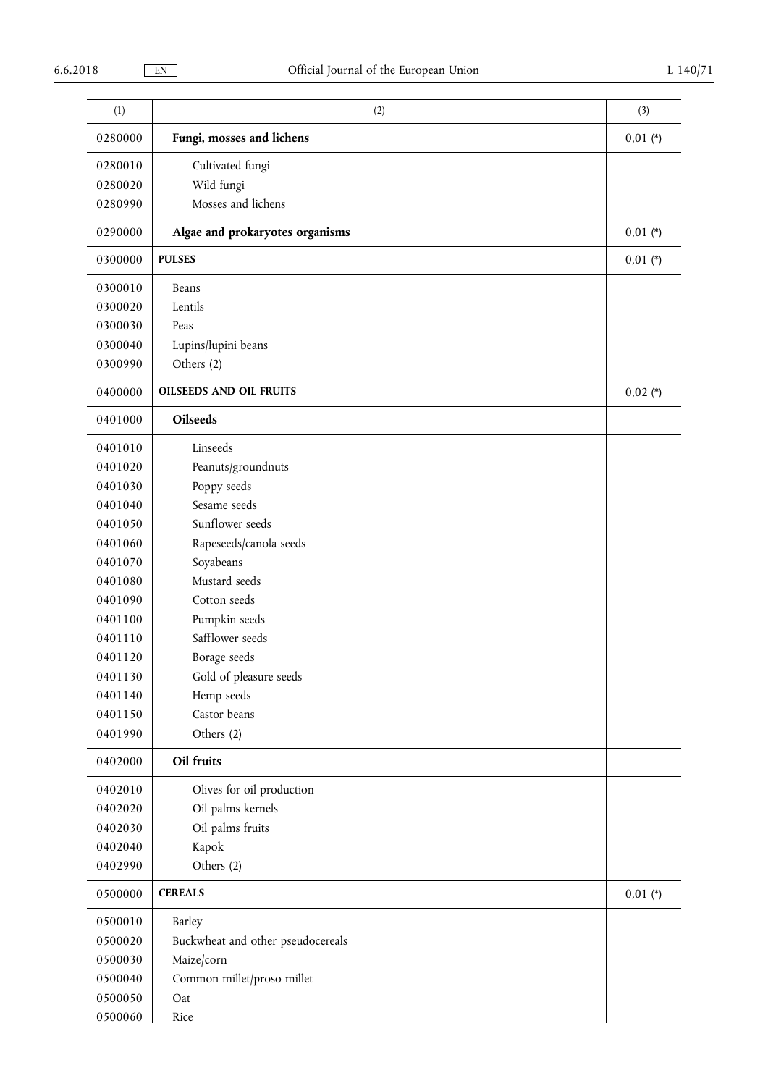| (1)     | (2)                               | (3)        |
|---------|-----------------------------------|------------|
| 0280000 | Fungi, mosses and lichens         | $0,01$ (*) |
| 0280010 | Cultivated fungi                  |            |
| 0280020 | Wild fungi                        |            |
| 0280990 | Mosses and lichens                |            |
| 0290000 | Algae and prokaryotes organisms   | $0,01 (*)$ |
| 0300000 | <b>PULSES</b>                     | $0,01 (*)$ |
| 0300010 | Beans                             |            |
| 0300020 | Lentils                           |            |
| 0300030 | Peas                              |            |
| 0300040 | Lupins/lupini beans               |            |
| 0300990 | Others (2)                        |            |
| 0400000 | <b>OILSEEDS AND OIL FRUITS</b>    | $0,02$ (*) |
| 0401000 | <b>Oilseeds</b>                   |            |
| 0401010 | Linseeds                          |            |
| 0401020 | Peanuts/groundnuts                |            |
| 0401030 | Poppy seeds                       |            |
| 0401040 | Sesame seeds                      |            |
| 0401050 | Sunflower seeds                   |            |
| 0401060 | Rapeseeds/canola seeds            |            |
| 0401070 | Soyabeans                         |            |
| 0401080 | Mustard seeds                     |            |
| 0401090 | Cotton seeds                      |            |
| 0401100 | Pumpkin seeds                     |            |
| 0401110 | Safflower seeds                   |            |
| 0401120 | Borage seeds                      |            |
| 0401130 | Gold of pleasure seeds            |            |
| 0401140 | Hemp seeds                        |            |
| 0401150 | Castor beans                      |            |
| 0401990 | Others (2)                        |            |
| 0402000 | Oil fruits                        |            |
| 0402010 | Olives for oil production         |            |
| 0402020 | Oil palms kernels                 |            |
| 0402030 | Oil palms fruits                  |            |
| 0402040 | Kapok                             |            |
| 0402990 | Others (2)                        |            |
| 0500000 | <b>CEREALS</b>                    | $0,01 (*)$ |
| 0500010 | Barley                            |            |
| 0500020 | Buckwheat and other pseudocereals |            |
| 0500030 | Maize/corn                        |            |
| 0500040 | Common millet/proso millet        |            |
| 0500050 | Oat                               |            |
| 0500060 | Rice                              |            |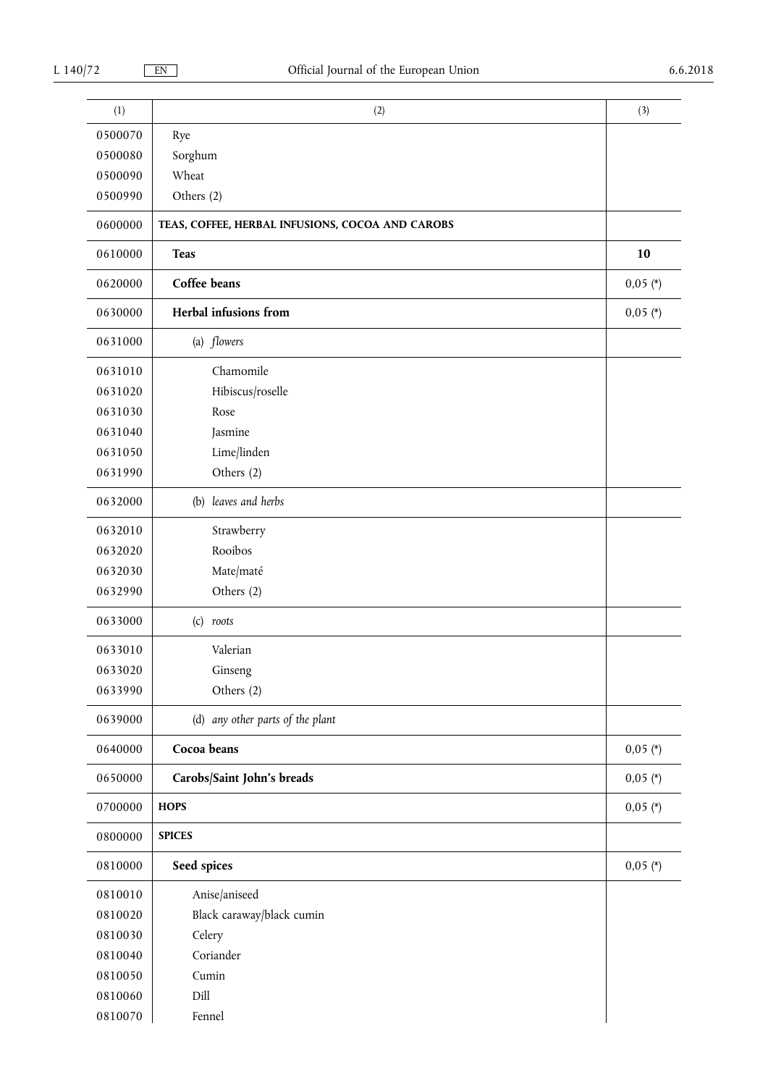| (1)     | (2)                                              | (3)        |
|---------|--------------------------------------------------|------------|
| 0500070 | Rye                                              |            |
| 0500080 | Sorghum                                          |            |
| 0500090 | Wheat                                            |            |
| 0500990 | Others (2)                                       |            |
| 0600000 | TEAS, COFFEE, HERBAL INFUSIONS, COCOA AND CAROBS |            |
| 0610000 | <b>Teas</b>                                      | 10         |
| 0620000 | Coffee beans                                     | $0,05$ (*) |
| 0630000 | Herbal infusions from                            | $0,05$ (*) |
| 0631000 | (a) flowers                                      |            |
| 0631010 | Chamomile                                        |            |
| 0631020 | Hibiscus/roselle                                 |            |
| 0631030 | Rose                                             |            |
| 0631040 | Jasmine                                          |            |
| 0631050 | Lime/linden                                      |            |
| 0631990 | Others (2)                                       |            |
| 0632000 | (b) leaves and herbs                             |            |
| 0632010 | Strawberry                                       |            |
| 0632020 | Rooibos                                          |            |
| 0632030 | Mate/maté                                        |            |
| 0632990 | Others (2)                                       |            |
| 0633000 | $(c)$ roots                                      |            |
| 0633010 | Valerian                                         |            |
| 0633020 | Ginseng                                          |            |
| 0633990 | Others (2)                                       |            |
| 0639000 | (d) any other parts of the plant                 |            |
| 0640000 | Cocoa beans                                      | $0,05$ (*) |
| 0650000 | Carobs/Saint John's breads                       | $0,05$ (*) |
| 0700000 | <b>HOPS</b>                                      | $0,05$ (*) |
| 0800000 | <b>SPICES</b>                                    |            |
| 0810000 | Seed spices                                      | $0,05$ (*) |
| 0810010 | Anise/aniseed                                    |            |
| 0810020 | Black caraway/black cumin                        |            |
| 0810030 | Celery                                           |            |
| 0810040 | Coriander                                        |            |
| 0810050 | Cumin                                            |            |
| 0810060 | Dill                                             |            |
| 0810070 | Fennel                                           |            |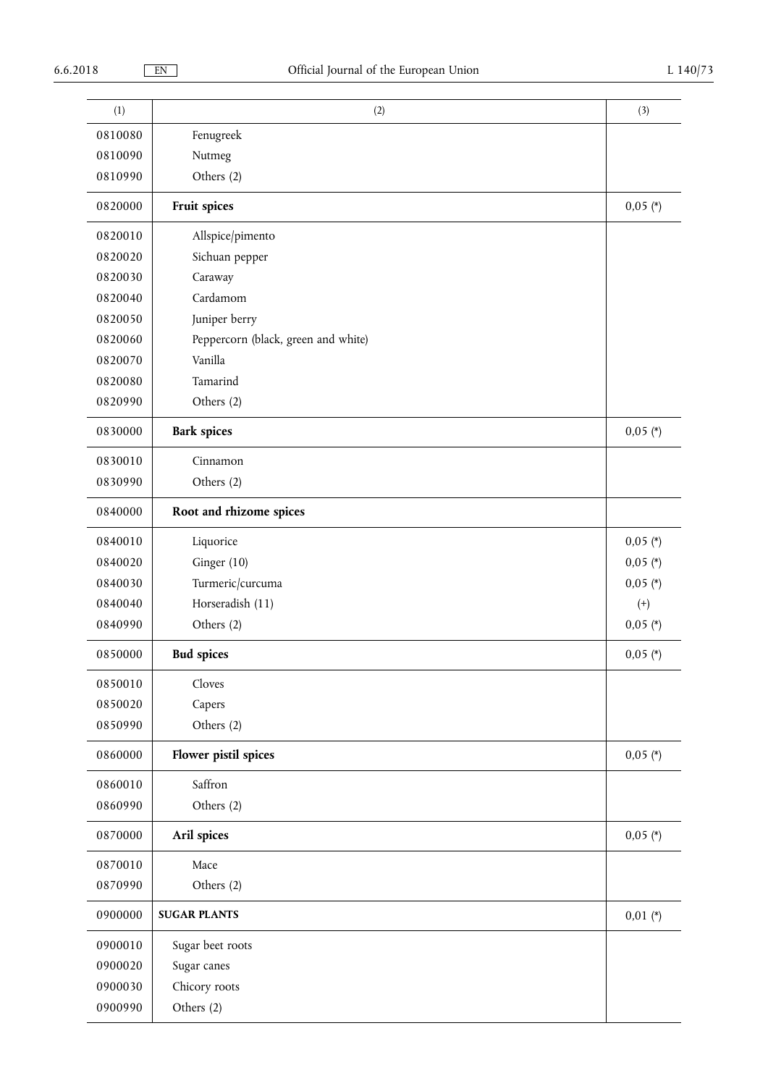| (1)     | (2)                                 | (3)        |
|---------|-------------------------------------|------------|
| 0810080 | Fenugreek                           |            |
| 0810090 | Nutmeg                              |            |
| 0810990 | Others (2)                          |            |
| 0820000 | Fruit spices                        | $0,05$ (*) |
| 0820010 | Allspice/pimento                    |            |
| 0820020 | Sichuan pepper                      |            |
| 0820030 | Caraway                             |            |
| 0820040 | Cardamom                            |            |
| 0820050 | Juniper berry                       |            |
| 0820060 | Peppercorn (black, green and white) |            |
| 0820070 | Vanilla                             |            |
| 0820080 | Tamarind                            |            |
| 0820990 | Others (2)                          |            |
| 0830000 | <b>Bark spices</b>                  | $0,05$ (*) |
| 0830010 | Cinnamon                            |            |
| 0830990 | Others (2)                          |            |
| 0840000 | Root and rhizome spices             |            |
| 0840010 | Liquorice                           | $0,05$ (*) |
| 0840020 | Ginger (10)                         | $0,05$ (*) |
| 0840030 | Turmeric/curcuma                    | $0,05$ (*) |
| 0840040 | Horseradish (11)                    | $^{(+)}$   |
| 0840990 | Others (2)                          | $0,05$ (*) |
| 0850000 | <b>Bud spices</b>                   | $0,05$ (*) |
| 0850010 | Cloves                              |            |
| 0850020 | Capers                              |            |
| 0850990 | Others (2)                          |            |
| 0860000 | Flower pistil spices                | $0,05$ (*) |
| 0860010 | Saffron                             |            |
| 0860990 | Others (2)                          |            |
| 0870000 | Aril spices                         | $0,05$ (*) |
| 0870010 | Mace                                |            |
| 0870990 | Others (2)                          |            |
| 0900000 | <b>SUGAR PLANTS</b>                 | $0,01 (*)$ |
| 0900010 | Sugar beet roots                    |            |
| 0900020 | Sugar canes                         |            |
| 0900030 | Chicory roots                       |            |
| 0900990 | Others (2)                          |            |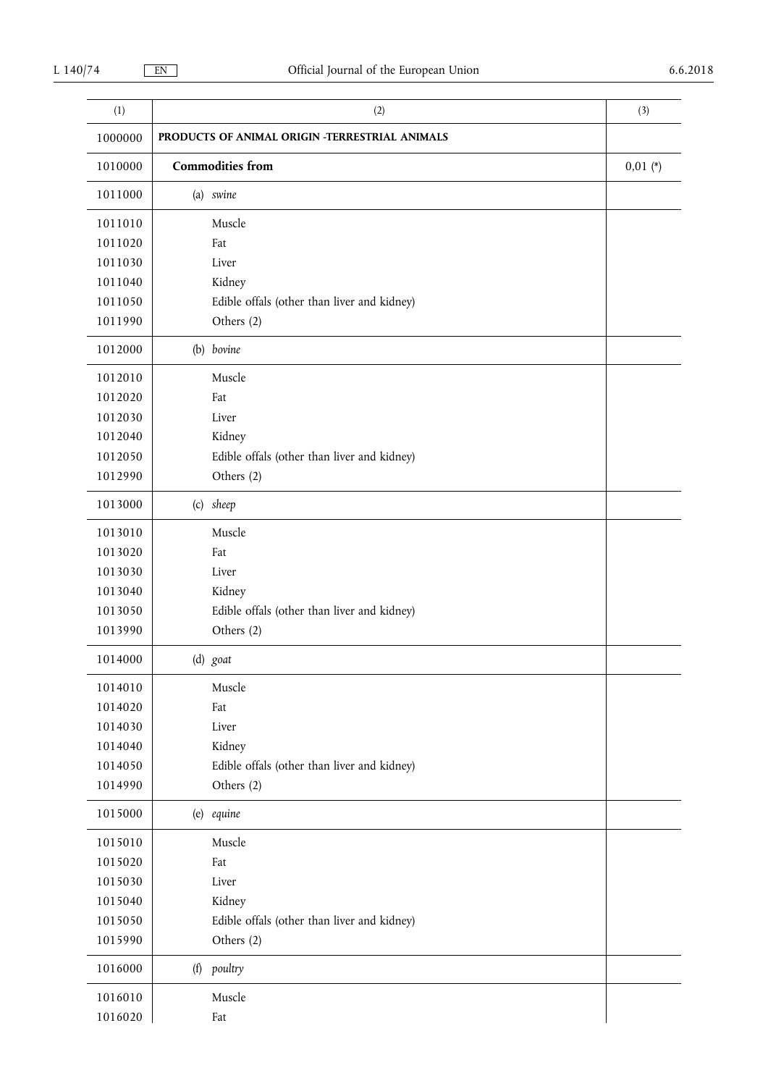| (1)     | (2)                                            | (3)        |
|---------|------------------------------------------------|------------|
| 1000000 | PRODUCTS OF ANIMAL ORIGIN -TERRESTRIAL ANIMALS |            |
| 1010000 | <b>Commodities</b> from                        | $0,01 (*)$ |
| 1011000 | (a) swine                                      |            |
| 1011010 | Muscle                                         |            |
| 1011020 | Fat                                            |            |
| 1011030 | Liver                                          |            |
| 1011040 | Kidney                                         |            |
| 1011050 | Edible offals (other than liver and kidney)    |            |
| 1011990 | Others (2)                                     |            |
| 1012000 | (b) bovine                                     |            |
| 1012010 | Muscle                                         |            |
| 1012020 | Fat                                            |            |
| 1012030 | Liver                                          |            |
| 1012040 | Kidney                                         |            |
| 1012050 | Edible offals (other than liver and kidney)    |            |
| 1012990 | Others (2)                                     |            |
| 1013000 | (c) sheep                                      |            |
| 1013010 | Muscle                                         |            |
| 1013020 | Fat                                            |            |
| 1013030 | Liver                                          |            |
| 1013040 | Kidney                                         |            |
| 1013050 | Edible offals (other than liver and kidney)    |            |
| 1013990 | Others (2)                                     |            |
| 1014000 | (d) goat                                       |            |
| 1014010 | Muscle                                         |            |
| 1014020 | Fat                                            |            |
| 1014030 | Liver                                          |            |
| 1014040 | Kidney                                         |            |
| 1014050 | Edible offals (other than liver and kidney)    |            |
| 1014990 | Others (2)                                     |            |
| 1015000 | (e) equine                                     |            |
| 1015010 | Muscle                                         |            |
| 1015020 | Fat                                            |            |
| 1015030 | Liver                                          |            |
| 1015040 | Kidney                                         |            |
| 1015050 | Edible offals (other than liver and kidney)    |            |
| 1015990 | Others (2)                                     |            |
| 1016000 | (f) poultry                                    |            |
| 1016010 | Muscle                                         |            |
| 1016020 | Fat                                            |            |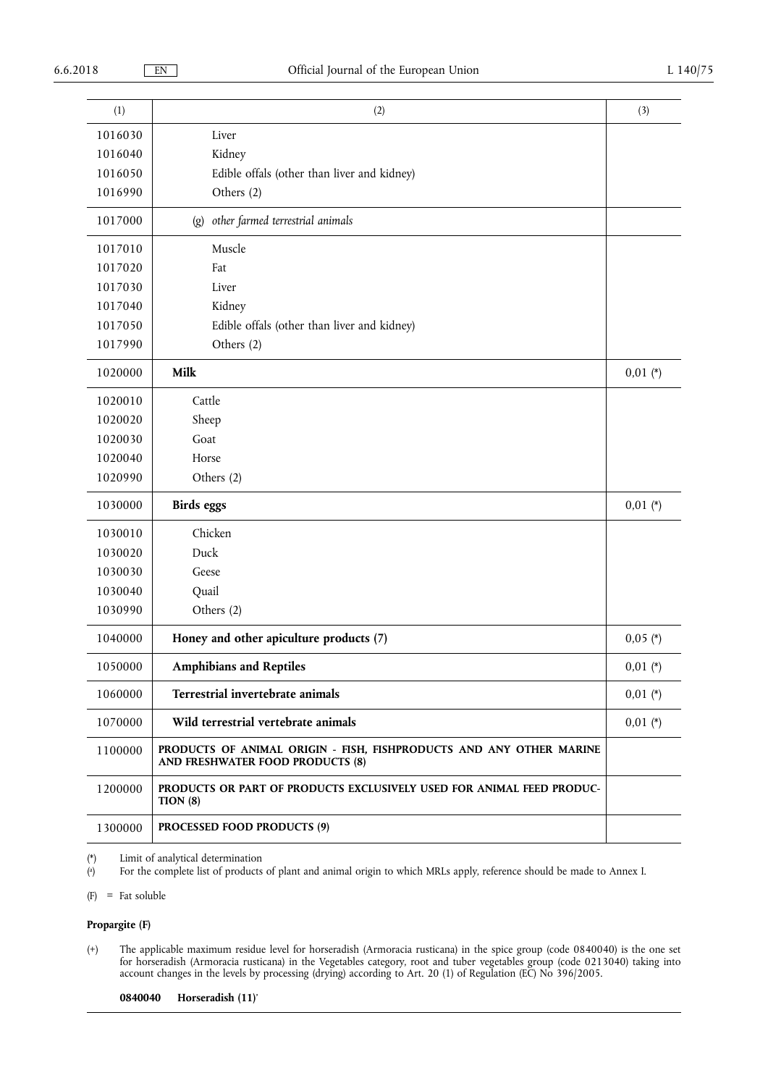| (1)     | (2)                                                                                                     | (3)        |
|---------|---------------------------------------------------------------------------------------------------------|------------|
| 1016030 | Liver                                                                                                   |            |
| 1016040 | Kidney                                                                                                  |            |
| 1016050 | Edible offals (other than liver and kidney)                                                             |            |
| 1016990 | Others (2)                                                                                              |            |
| 1017000 | other farmed terrestrial animals<br>$\left( g\right)$                                                   |            |
| 1017010 | Muscle                                                                                                  |            |
| 1017020 | Fat                                                                                                     |            |
| 1017030 | Liver                                                                                                   |            |
| 1017040 | Kidney                                                                                                  |            |
| 1017050 | Edible offals (other than liver and kidney)                                                             |            |
| 1017990 | Others (2)                                                                                              |            |
| 1020000 | Milk                                                                                                    | $0,01 (*)$ |
| 1020010 | Cattle                                                                                                  |            |
| 1020020 | Sheep                                                                                                   |            |
| 1020030 | Goat                                                                                                    |            |
| 1020040 | Horse                                                                                                   |            |
| 1020990 | Others (2)                                                                                              |            |
| 1030000 | <b>Birds</b> eggs                                                                                       | $0,01 (*)$ |
| 1030010 | Chicken                                                                                                 |            |
| 1030020 | Duck                                                                                                    |            |
| 1030030 | Geese                                                                                                   |            |
| 1030040 | Quail                                                                                                   |            |
| 1030990 | Others (2)                                                                                              |            |
| 1040000 | Honey and other apiculture products (7)                                                                 | $0,05$ (*) |
| 1050000 | <b>Amphibians and Reptiles</b>                                                                          | $0,01$ (*) |
| 1060000 | Terrestrial invertebrate animals                                                                        | $0,01$ (*) |
| 1070000 | Wild terrestrial vertebrate animals                                                                     | $0,01$ (*) |
| 1100000 | PRODUCTS OF ANIMAL ORIGIN - FISH, FISHPRODUCTS AND ANY OTHER MARINE<br>AND FRESHWATER FOOD PRODUCTS (8) |            |
| 1200000 | PRODUCTS OR PART OF PRODUCTS EXCLUSIVELY USED FOR ANIMAL FEED PRODUC-<br>TION(8)                        |            |
| 1300000 | <b>PROCESSED FOOD PRODUCTS (9)</b>                                                                      |            |

(\*) Limit of analytical determination

( a ) For the complete list of products of plant and animal origin to which MRLs apply, reference should be made to Annex I.

(F) = Fat soluble

# **Propargite (F)**

(+) The applicable maximum residue level for horseradish (Armoracia rusticana) in the spice group (code 0840040) is the one set for horseradish (Armoracia rusticana) in the Vegetables category, root and tuber vegetables group (code 0213040) taking into account changes in the levels by processing (drying) according to Art. 20 (1) of Regulation (EC) No 396/2005.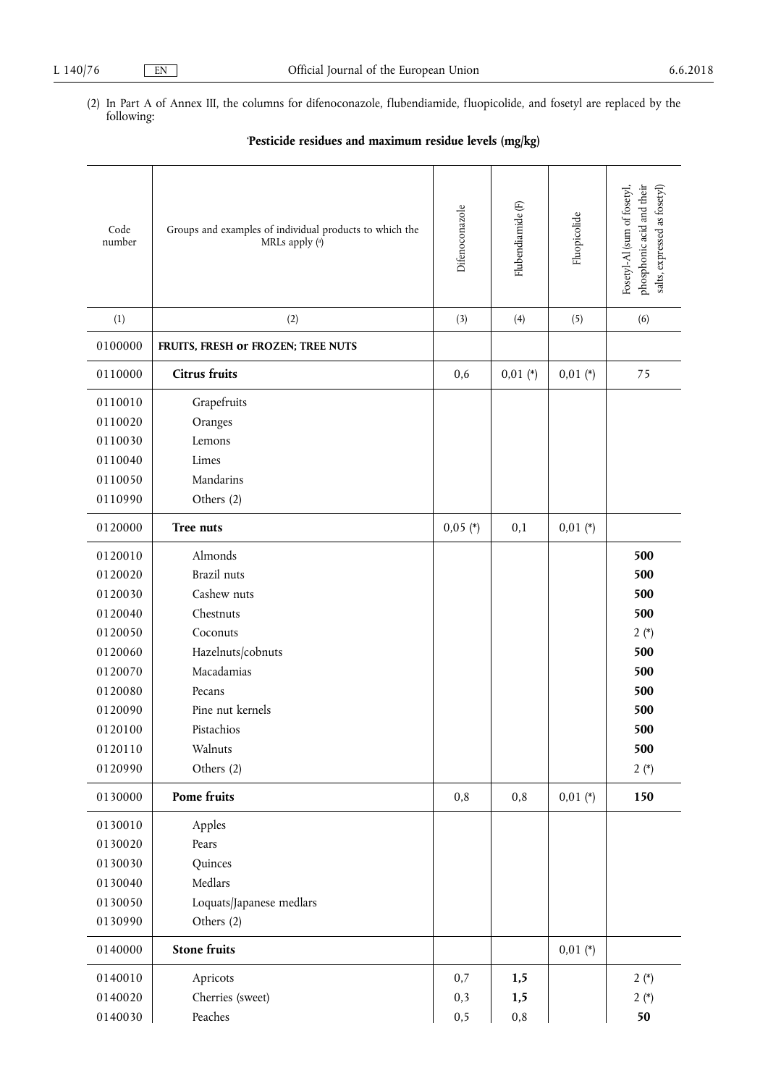(2) In Part A of Annex III, the columns for difenoconazole, flubendiamide, fluopicolide, and fosetyl are replaced by the following:

|  | 'Pesticide residues and maximum residue levels (mg/kg) |  |  |
|--|--------------------------------------------------------|--|--|
|  |                                                        |  |  |

| Code<br>number                                                                                                                   | Groups and examples of individual products to which the<br>MRLs apply (a)                                                                                              | Difenoconazole     | Flubendiamide <sup>(F)</sup> | Fluopicolide | phosphonic acid and their<br>Fosetyl-Al (sum of fosetyl,<br>salts, expressed as fosetyl) |
|----------------------------------------------------------------------------------------------------------------------------------|------------------------------------------------------------------------------------------------------------------------------------------------------------------------|--------------------|------------------------------|--------------|------------------------------------------------------------------------------------------|
| (1)                                                                                                                              | (2)                                                                                                                                                                    | (3)                | (4)                          | (5)          | (6)                                                                                      |
| 0100000                                                                                                                          | FRUITS, FRESH or FROZEN; TREE NUTS                                                                                                                                     |                    |                              |              |                                                                                          |
| 0110000                                                                                                                          | <b>Citrus fruits</b>                                                                                                                                                   | 0,6                | $0,01 (*)$                   | $0,01$ (*)   | 75                                                                                       |
| 0110010<br>0110020<br>0110030<br>0110040<br>0110050<br>0110990                                                                   | Grapefruits<br>Oranges<br>Lemons<br>Limes<br>Mandarins<br>Others (2)                                                                                                   |                    |                              |              |                                                                                          |
| 0120000                                                                                                                          | Tree nuts                                                                                                                                                              | $0,05$ (*)         | 0,1                          | $0,01$ (*)   |                                                                                          |
| 0120010<br>0120020<br>0120030<br>0120040<br>0120050<br>0120060<br>0120070<br>0120080<br>0120090<br>0120100<br>0120110<br>0120990 | Almonds<br>Brazil nuts<br>Cashew nuts<br>Chestnuts<br>Coconuts<br>Hazelnuts/cobnuts<br>Macadamias<br>Pecans<br>Pine nut kernels<br>Pistachios<br>Walnuts<br>Others (2) |                    |                              |              | 500<br>500<br>500<br>500<br>$2(*)$<br>500<br>500<br>500<br>500<br>500<br>500<br>$2(*)$   |
| 0130000                                                                                                                          | Pome fruits                                                                                                                                                            | 0,8                | 0,8                          | $0,01$ (*)   | 150                                                                                      |
| 0130010<br>0130020<br>0130030<br>0130040<br>0130050<br>0130990                                                                   | Apples<br>Pears<br>Quinces<br>Medlars<br>Loquats/Japanese medlars<br>Others (2)                                                                                        |                    |                              |              |                                                                                          |
| 0140000                                                                                                                          | <b>Stone fruits</b>                                                                                                                                                    |                    |                              | $0,01$ (*)   |                                                                                          |
| 0140010<br>0140020<br>0140030                                                                                                    | Apricots<br>Cherries (sweet)<br>Peaches                                                                                                                                | 0,7<br>0,3<br>0, 5 | 1,5<br>1,5<br>$\rm 0,8$      |              | $2(*)$<br>$2(*)$<br>50                                                                   |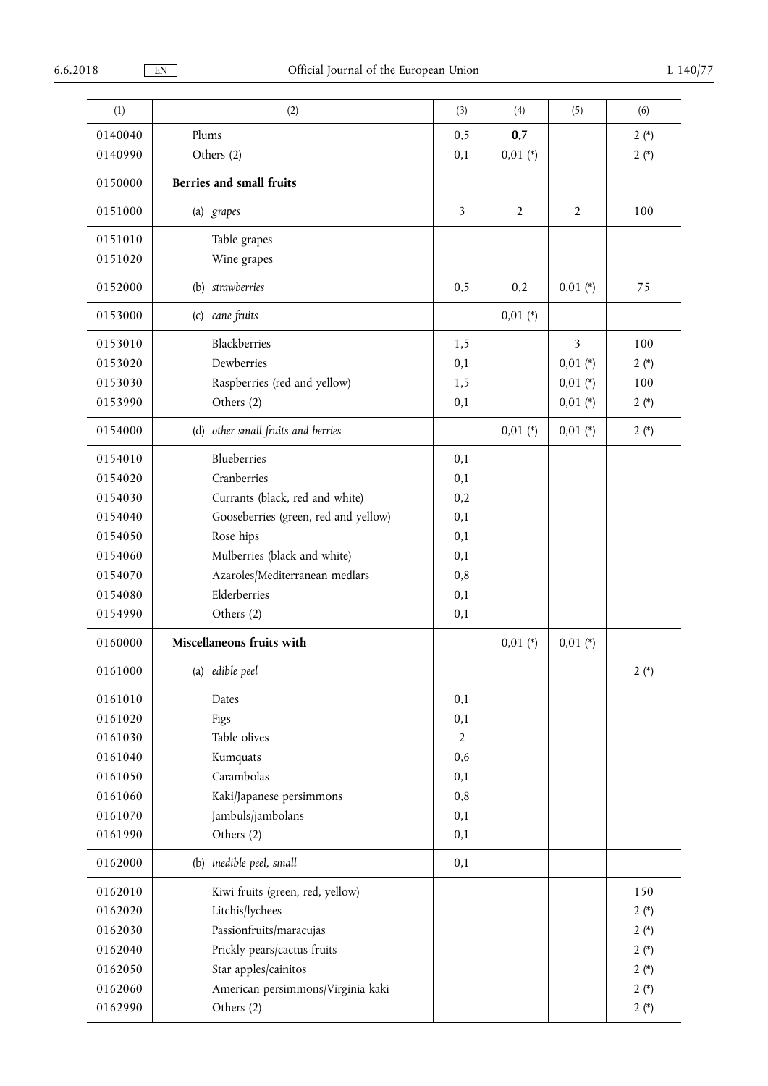| (1)     | (2)                                  | (3)                     | (4)            | (5)            | (6)    |
|---------|--------------------------------------|-------------------------|----------------|----------------|--------|
| 0140040 | Plums                                | 0, 5                    | 0,7            |                | $2(*)$ |
| 0140990 | Others (2)                           | 0,1                     | $0,01$ (*)     |                | $2(*)$ |
| 0150000 | Berries and small fruits             |                         |                |                |        |
| 0151000 | (a) grapes                           | $\overline{\mathbf{3}}$ | $\overline{2}$ | $\overline{2}$ | 100    |
| 0151010 | Table grapes                         |                         |                |                |        |
| 0151020 | Wine grapes                          |                         |                |                |        |
| 0152000 | (b) strawberries                     | 0,5                     | 0,2            | $0,01$ (*)     | 75     |
| 0153000 | (c) cane fruits                      |                         | $0,01$ (*)     |                |        |
| 0153010 | Blackberries                         | 1,5                     |                | 3              | 100    |
| 0153020 | Dewberries                           | 0,1                     |                | $0,01$ (*)     | $2(*)$ |
| 0153030 | Raspberries (red and yellow)         | 1,5                     |                | $0,01$ (*)     | 100    |
| 0153990 | Others (2)                           | 0,1                     |                | $0,01$ (*)     | $2(*)$ |
| 0154000 | (d) other small fruits and berries   |                         | $0,01$ (*)     | $0,01 (*)$     | $2(*)$ |
| 0154010 | Blueberries                          | 0,1                     |                |                |        |
| 0154020 | Cranberries                          | 0,1                     |                |                |        |
| 0154030 | Currants (black, red and white)      | 0,2                     |                |                |        |
| 0154040 | Gooseberries (green, red and yellow) | 0,1                     |                |                |        |
| 0154050 | Rose hips                            | 0,1                     |                |                |        |
| 0154060 | Mulberries (black and white)         | 0,1                     |                |                |        |
| 0154070 | Azaroles/Mediterranean medlars       | 0,8                     |                |                |        |
| 0154080 | Elderberries                         | 0,1                     |                |                |        |
| 0154990 | Others (2)                           | 0,1                     |                |                |        |
| 0160000 | Miscellaneous fruits with            |                         | $0,01 (*)$     | $0,01$ (*)     |        |
| 0161000 | (a) edible peel                      |                         |                |                | $2(*)$ |
| 0161010 | Dates                                | 0,1                     |                |                |        |
| 0161020 | Figs                                 | 0,1                     |                |                |        |
| 0161030 | Table olives                         | $\sqrt{2}$              |                |                |        |
| 0161040 | Kumquats                             | 0,6                     |                |                |        |
| 0161050 | Carambolas                           | 0,1                     |                |                |        |
| 0161060 | Kaki/Japanese persimmons             | 0,8                     |                |                |        |
| 0161070 | Jambuls/jambolans                    | 0,1                     |                |                |        |
| 0161990 | Others (2)                           | 0,1                     |                |                |        |
| 0162000 | (b) inedible peel, small             | 0,1                     |                |                |        |
| 0162010 | Kiwi fruits (green, red, yellow)     |                         |                |                | 150    |
| 0162020 | Litchis/lychees                      |                         |                |                | $2(*)$ |
| 0162030 | Passionfruits/maracujas              |                         |                |                | $2(*)$ |
| 0162040 | Prickly pears/cactus fruits          |                         |                |                | $2(*)$ |
| 0162050 | Star apples/cainitos                 |                         |                |                | $2(*)$ |
| 0162060 | American persimmons/Virginia kaki    |                         |                |                | $2(*)$ |
| 0162990 | Others (2)                           |                         |                |                | $2(*)$ |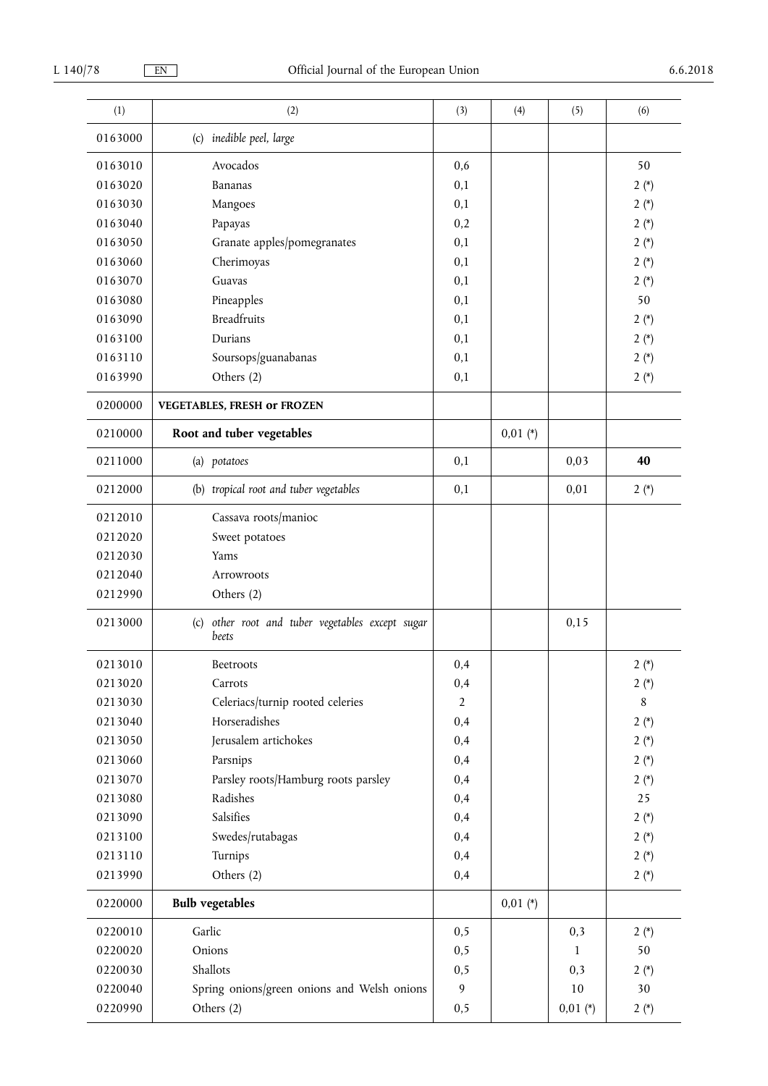| (1)     | (2)                                                       | (3)            | (4)        | (5)        | (6)    |
|---------|-----------------------------------------------------------|----------------|------------|------------|--------|
| 0163000 | (c) inedible peel, large                                  |                |            |            |        |
| 0163010 | Avocados                                                  | 0,6            |            |            | 50     |
| 0163020 | Bananas                                                   | 0,1            |            |            | $2(*)$ |
| 0163030 | Mangoes                                                   | 0,1            |            |            | $2(*)$ |
| 0163040 | Papayas                                                   | 0,2            |            |            | $2(*)$ |
| 0163050 | Granate apples/pomegranates                               | 0,1            |            |            | $2(*)$ |
| 0163060 | Cherimoyas                                                | 0,1            |            |            | $2(*)$ |
| 0163070 | Guavas                                                    | 0,1            |            |            | $2(*)$ |
| 0163080 | Pineapples                                                | 0,1            |            |            | 50     |
| 0163090 | <b>Breadfruits</b>                                        | 0,1            |            |            | $2(*)$ |
| 0163100 | Durians                                                   | 0,1            |            |            | $2(*)$ |
| 0163110 | Soursops/guanabanas                                       | 0,1            |            |            | $2(*)$ |
| 0163990 | Others (2)                                                | 0,1            |            |            | $2(*)$ |
| 0200000 | <b>VEGETABLES, FRESH or FROZEN</b>                        |                |            |            |        |
| 0210000 | Root and tuber vegetables                                 |                | $0,01$ (*) |            |        |
| 0211000 | (a) potatoes                                              | 0,1            |            | 0,03       | 40     |
| 0212000 | (b) tropical root and tuber vegetables                    | 0,1            |            | 0,01       | $2(*)$ |
| 0212010 | Cassava roots/manioc                                      |                |            |            |        |
| 0212020 | Sweet potatoes                                            |                |            |            |        |
| 0212030 | Yams                                                      |                |            |            |        |
| 0212040 | Arrowroots                                                |                |            |            |        |
| 0212990 | Others (2)                                                |                |            |            |        |
| 0213000 | (c) other root and tuber vegetables except sugar<br>beets |                |            | 0,15       |        |
| 0213010 | Beetroots                                                 | 0,4            |            |            | $2(*)$ |
| 0213020 | Carrots                                                   | 0,4            |            |            | $2(*)$ |
| 0213030 | Celeriacs/turnip rooted celeries                          | $\overline{2}$ |            |            | 8      |
| 0213040 | Horseradishes                                             | 0,4            |            |            | $2(*)$ |
| 0213050 | Jerusalem artichokes                                      | 0,4            |            |            | $2(*)$ |
| 0213060 | Parsnips                                                  | 0,4            |            |            | $2(*)$ |
| 0213070 | Parsley roots/Hamburg roots parsley                       | 0,4            |            |            | $2(*)$ |
| 0213080 | Radishes                                                  | 0,4            |            |            | 25     |
| 0213090 | Salsifies                                                 | 0,4            |            |            | $2(*)$ |
| 0213100 | Swedes/rutabagas                                          | 0,4            |            |            | $2(*)$ |
| 0213110 | Turnips                                                   | 0,4            |            |            | $2(*)$ |
| 0213990 | Others (2)                                                | 0,4            |            |            | $2(*)$ |
| 0220000 | <b>Bulb</b> vegetables                                    |                | $0,01 (*)$ |            |        |
| 0220010 | Garlic                                                    | 0,5            |            | 0,3        | $2(*)$ |
| 0220020 | Onions                                                    | 0,5            |            | 1          | 50     |
| 0220030 | Shallots                                                  | 0,5            |            | 0,3        | $2(*)$ |
| 0220040 | Spring onions/green onions and Welsh onions               | 9              |            | 10         | 30     |
| 0220990 | Others (2)                                                | 0, 5           |            | $0,01$ (*) | $2(*)$ |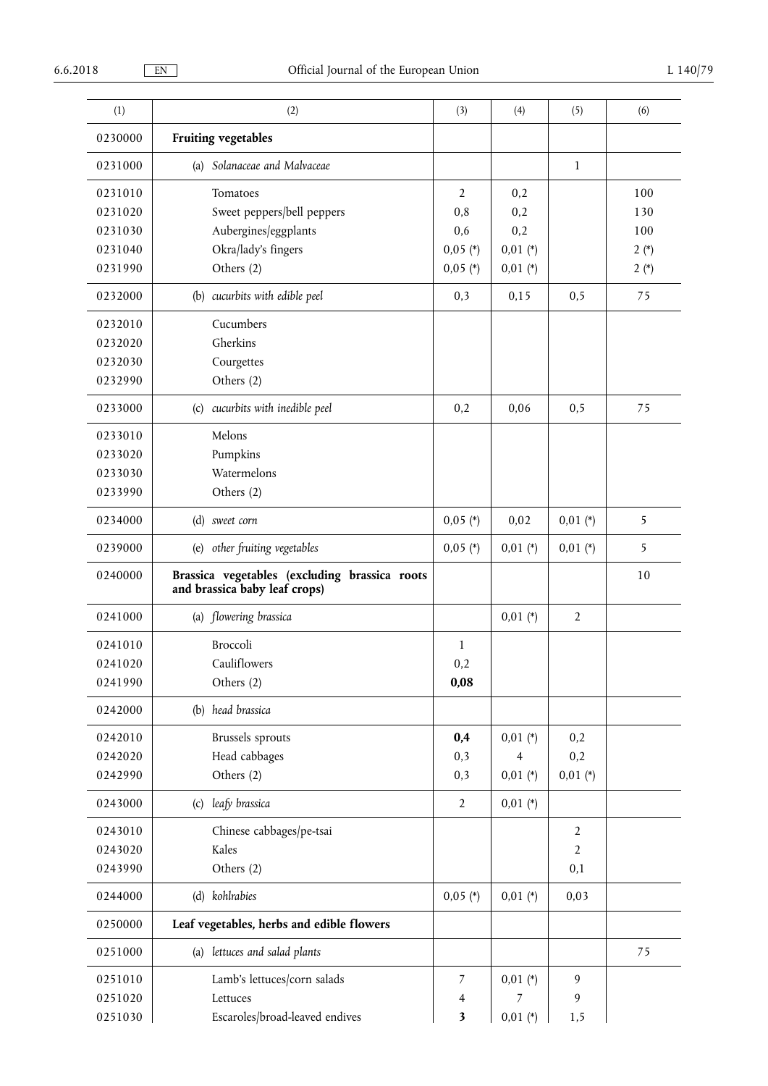| (1)     | (2)                                                                            | (3)            | (4)             | (5)               | (6)    |
|---------|--------------------------------------------------------------------------------|----------------|-----------------|-------------------|--------|
| 0230000 | <b>Fruiting vegetables</b>                                                     |                |                 |                   |        |
| 0231000 | (a) Solanaceae and Malvaceae                                                   |                |                 | $\mathbf{1}$      |        |
| 0231010 | Tomatoes                                                                       | $\overline{2}$ | 0,2             |                   | 100    |
| 0231020 | Sweet peppers/bell peppers                                                     | 0,8            | 0,2             |                   | 130    |
| 0231030 | Aubergines/eggplants                                                           | 0,6            | 0,2             |                   | 100    |
| 0231040 | Okra/lady's fingers                                                            | $0,05$ (*)     | $0,01$ (*)      |                   | $2(*)$ |
| 0231990 | Others (2)                                                                     | $0,05$ (*)     | $0,01$ (*)      |                   | $2(*)$ |
| 0232000 | (b) cucurbits with edible peel                                                 | 0,3            | 0,15            | 0, 5              | 75     |
| 0232010 | Cucumbers                                                                      |                |                 |                   |        |
| 0232020 | Gherkins                                                                       |                |                 |                   |        |
| 0232030 | Courgettes                                                                     |                |                 |                   |        |
| 0232990 | Others (2)                                                                     |                |                 |                   |        |
| 0233000 | (c) cucurbits with inedible peel                                               | 0,2            | 0,06            | 0, 5              | 75     |
| 0233010 | Melons                                                                         |                |                 |                   |        |
| 0233020 | Pumpkins                                                                       |                |                 |                   |        |
| 0233030 | Watermelons                                                                    |                |                 |                   |        |
| 0233990 | Others (2)                                                                     |                |                 |                   |        |
| 0234000 | (d) sweet corn                                                                 | $0,05$ (*)     | 0,02            | $0,01$ (*)        | 5      |
| 0239000 | (e) other fruiting vegetables                                                  | $0,05$ (*)     | $0,01$ (*)      | $0,01$ (*)        | 5      |
|         |                                                                                |                |                 |                   |        |
| 0240000 | Brassica vegetables (excluding brassica roots<br>and brassica baby leaf crops) |                |                 |                   | 10     |
| 0241000 | (a) flowering brassica                                                         |                | $0,01$ (*)      | $\overline{2}$    |        |
| 0241010 | Broccoli                                                                       | $\mathbf{1}$   |                 |                   |        |
| 0241020 | Cauliflowers                                                                   | 0,2            |                 |                   |        |
| 0241990 | Others (2)                                                                     | 0,08           |                 |                   |        |
| 0242000 | (b) head brassica                                                              |                |                 |                   |        |
| 0242010 |                                                                                |                |                 |                   |        |
| 0242020 | <b>Brussels</b> sprouts                                                        | 0,4            | $0,01$ (*)<br>4 | 0,2               |        |
| 0242990 | Head cabbages<br>Others (2)                                                    | 0,3<br>0,3     | $0,01$ (*)      | 0,2<br>$0,01$ (*) |        |
| 0243000 | (c) leafy brassica                                                             | $\overline{2}$ | $0,01 (*)$      |                   |        |
| 0243010 | Chinese cabbages/pe-tsai                                                       |                |                 | $\overline{2}$    |        |
| 0243020 | Kales                                                                          |                |                 | $\overline{2}$    |        |
| 0243990 | Others (2)                                                                     |                |                 | 0,1               |        |
| 0244000 | (d) kohlrabies                                                                 | $0,05$ (*)     | $0,01$ (*)      | 0,03              |        |
| 0250000 | Leaf vegetables, herbs and edible flowers                                      |                |                 |                   |        |
| 0251000 | (a) lettuces and salad plants                                                  |                |                 |                   | 75     |
| 0251010 | Lamb's lettuces/corn salads                                                    | 7              | $0,01$ (*)      | 9                 |        |
| 0251020 | Lettuces                                                                       | 4              | 7               | 9                 |        |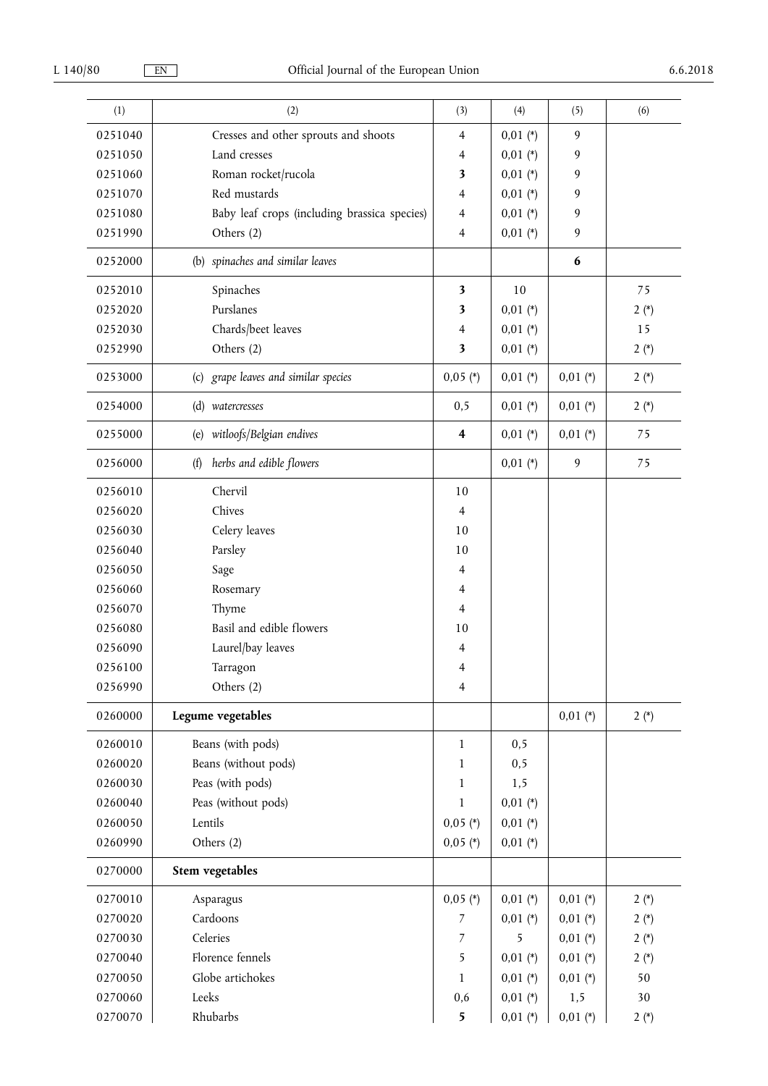| (1)     | (2)                                          | (3)                     | (4)        | (5)              | (6)    |
|---------|----------------------------------------------|-------------------------|------------|------------------|--------|
| 0251040 | Cresses and other sprouts and shoots         | 4                       | $0,01$ (*) | 9                |        |
| 0251050 | Land cresses                                 | $\overline{4}$          | $0,01$ (*) | 9                |        |
| 0251060 | Roman rocket/rucola                          | $\overline{\mathbf{3}}$ | $0,01$ (*) | 9                |        |
| 0251070 | Red mustards                                 | 4                       | $0,01$ (*) | 9                |        |
| 0251080 | Baby leaf crops (including brassica species) | $\overline{4}$          | $0,01$ (*) | 9                |        |
| 0251990 | Others (2)                                   | $\overline{4}$          | $0,01$ (*) | 9                |        |
| 0252000 | (b) spinaches and similar leaves             |                         |            | $\boldsymbol{6}$ |        |
| 0252010 | Spinaches                                    | $\overline{\mathbf{3}}$ | 10         |                  | 75     |
| 0252020 | Purslanes                                    | 3                       | $0,01$ (*) |                  | $2(*)$ |
| 0252030 | Chards/beet leaves                           | $\overline{4}$          | $0,01$ (*) |                  | 15     |
| 0252990 | Others (2)                                   | $\overline{\mathbf{3}}$ | $0,01$ (*) |                  | $2(*)$ |
| 0253000 | (c) grape leaves and similar species         | $0,05$ (*)              | $0,01 (*)$ | $0,01 (*)$       | $2(*)$ |
| 0254000 | (d) watercresses                             | 0,5                     | $0,01 (*)$ | $0,01$ (*)       | $2(*)$ |
| 0255000 | witloofs/Belgian endives<br>(e)              | $\overline{\mathbf{4}}$ | $0,01$ (*) | $0,01$ (*)       | 75     |
| 0256000 | herbs and edible flowers<br>(f)              |                         | $0,01$ (*) | 9                | 75     |
| 0256010 | Chervil                                      | 10                      |            |                  |        |
| 0256020 | Chives                                       | $\overline{4}$          |            |                  |        |
| 0256030 | Celery leaves                                | 10                      |            |                  |        |
| 0256040 | Parsley                                      | 10                      |            |                  |        |
| 0256050 | Sage                                         | $\overline{4}$          |            |                  |        |
| 0256060 | Rosemary                                     | 4                       |            |                  |        |
| 0256070 | Thyme                                        | $\overline{4}$          |            |                  |        |
| 0256080 | Basil and edible flowers                     | 10                      |            |                  |        |
| 0256090 | Laurel/bay leaves                            | 4                       |            |                  |        |
| 0256100 | Tarragon                                     | 4                       |            |                  |        |
| 0256990 | Others (2)                                   | $\overline{4}$          |            |                  |        |
| 0260000 | Legume vegetables                            |                         |            | $0,01$ (*)       | $2(*)$ |
| 0260010 | Beans (with pods)                            | 1                       | 0, 5       |                  |        |
| 0260020 | Beans (without pods)                         | $\mathbf{1}$            | 0, 5       |                  |        |
| 0260030 | Peas (with pods)                             | $\mathbf{1}$            | 1,5        |                  |        |
| 0260040 | Peas (without pods)                          | $\mathbf{1}$            | $0,01$ (*) |                  |        |
| 0260050 | Lentils                                      | $0,05$ (*)              | $0,01$ (*) |                  |        |
| 0260990 | Others (2)                                   | $0,05$ (*)              | $0,01$ (*) |                  |        |
| 0270000 | <b>Stem vegetables</b>                       |                         |            |                  |        |
| 0270010 | Asparagus                                    | $0,05$ (*)              | $0,01$ (*) | $0,01 (*)$       | $2(*)$ |
| 0270020 | Cardoons                                     | $\overline{7}$          | $0,01$ (*) | $0,01$ (*)       | $2(*)$ |
| 0270030 | Celeries                                     | $\overline{7}$          | 5          | $0,01$ (*)       | $2(*)$ |
| 0270040 | Florence fennels                             | 5                       | $0,01$ (*) | $0,01$ (*)       | $2(*)$ |
| 0270050 | Globe artichokes                             | $\mathbf{1}$            | $0,01$ (*) | $0,01$ (*)       | 50     |
| 0270060 | Leeks                                        | 0,6                     | $0,01$ (*) | 1,5              | 30     |
| 0270070 | Rhubarbs                                     | 5                       | $0,01$ (*) | $0,01 (*)$       | $2(*)$ |
|         |                                              |                         |            |                  |        |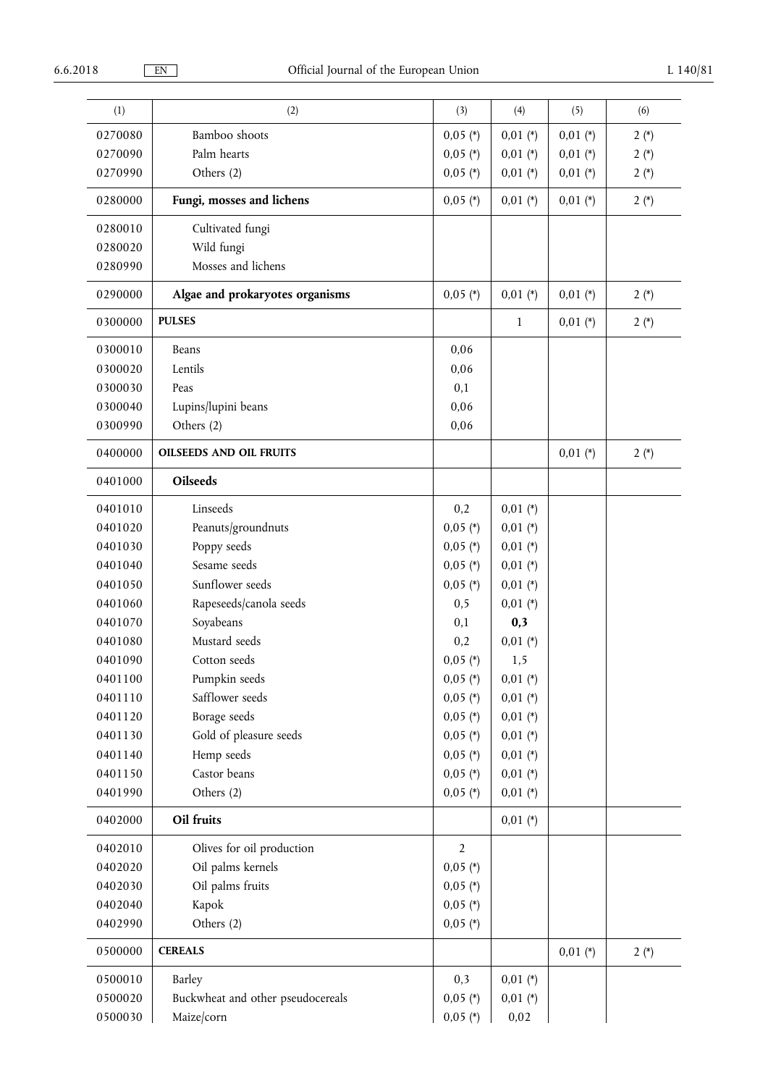| (1)     | (2)                               | (3)            | (4)          | (5)        | (6)    |
|---------|-----------------------------------|----------------|--------------|------------|--------|
| 0270080 | Bamboo shoots                     | $0,05$ (*)     | $0,01$ (*)   | $0,01$ (*) | $2(*)$ |
| 0270090 | Palm hearts                       | $0,05$ (*)     | $0,01$ (*)   | $0,01$ (*) | $2(*)$ |
| 0270990 | Others (2)                        | $0,05$ (*)     | $0,01$ (*)   | $0,01$ (*) | $2(*)$ |
| 0280000 | Fungi, mosses and lichens         | $0,05$ (*)     | $0,01$ (*)   | $0,01$ (*) | $2(*)$ |
| 0280010 | Cultivated fungi                  |                |              |            |        |
| 0280020 | Wild fungi                        |                |              |            |        |
| 0280990 | Mosses and lichens                |                |              |            |        |
| 0290000 | Algae and prokaryotes organisms   | $0,05$ (*)     | $0,01$ (*)   | $0,01$ (*) | $2(*)$ |
| 0300000 | <b>PULSES</b>                     |                | $\mathbf{1}$ | $0,01$ (*) | $2(*)$ |
| 0300010 | Beans                             | 0,06           |              |            |        |
| 0300020 | Lentils                           | 0,06           |              |            |        |
| 0300030 | Peas                              | 0,1            |              |            |        |
| 0300040 | Lupins/lupini beans               | 0,06           |              |            |        |
| 0300990 | Others (2)                        | 0,06           |              |            |        |
| 0400000 | <b>OILSEEDS AND OIL FRUITS</b>    |                |              | $0,01$ (*) | $2(*)$ |
| 0401000 | <b>Oilseeds</b>                   |                |              |            |        |
| 0401010 | Linseeds                          | 0,2            | $0,01$ (*)   |            |        |
| 0401020 | Peanuts/groundnuts                | $0,05$ (*)     | $0,01$ (*)   |            |        |
| 0401030 | Poppy seeds                       | $0,05$ (*)     | $0,01$ (*)   |            |        |
| 0401040 | Sesame seeds                      | $0,05$ (*)     | $0,01$ (*)   |            |        |
| 0401050 | Sunflower seeds                   | $0,05$ (*)     | $0,01$ (*)   |            |        |
| 0401060 | Rapeseeds/canola seeds            | 0,5            | $0,01$ (*)   |            |        |
| 0401070 | Soyabeans                         | 0,1            | 0,3          |            |        |
| 0401080 | Mustard seeds                     | 0,2            | $0,01$ (*)   |            |        |
| 0401090 | Cotton seeds                      | $0,05$ (*)     | 1,5          |            |        |
| 0401100 | Pumpkin seeds                     | $0,05$ (*)     | $0,01$ (*)   |            |        |
| 0401110 | Safflower seeds                   | $0,05$ (*)     | $0,01$ (*)   |            |        |
| 0401120 | Borage seeds                      | $0,05$ (*)     | $0,01$ (*)   |            |        |
| 0401130 | Gold of pleasure seeds            | $0,05$ (*)     | $0,01$ (*)   |            |        |
| 0401140 | Hemp seeds                        | $0,05$ (*)     | $0,01$ (*)   |            |        |
| 0401150 | Castor beans                      | $0,05$ (*)     | $0,01$ (*)   |            |        |
| 0401990 | Others (2)                        | $0,05$ (*)     | $0,01 (*)$   |            |        |
| 0402000 | Oil fruits                        |                | $0,01$ (*)   |            |        |
| 0402010 | Olives for oil production         | $\overline{2}$ |              |            |        |
| 0402020 | Oil palms kernels                 | $0,05$ (*)     |              |            |        |
| 0402030 | Oil palms fruits                  | $0,05$ (*)     |              |            |        |
| 0402040 | Kapok                             | $0,05$ (*)     |              |            |        |
| 0402990 | Others (2)                        | $0,05$ (*)     |              |            |        |
| 0500000 | <b>CEREALS</b>                    |                |              | $0,01$ (*) | $2(*)$ |
| 0500010 | Barley                            | 0,3            | $0,01$ (*)   |            |        |
| 0500020 | Buckwheat and other pseudocereals | $0,05$ (*)     | $0,01$ (*)   |            |        |
| 0500030 | Maize/corn                        | $0,05$ (*)     | 0,02         |            |        |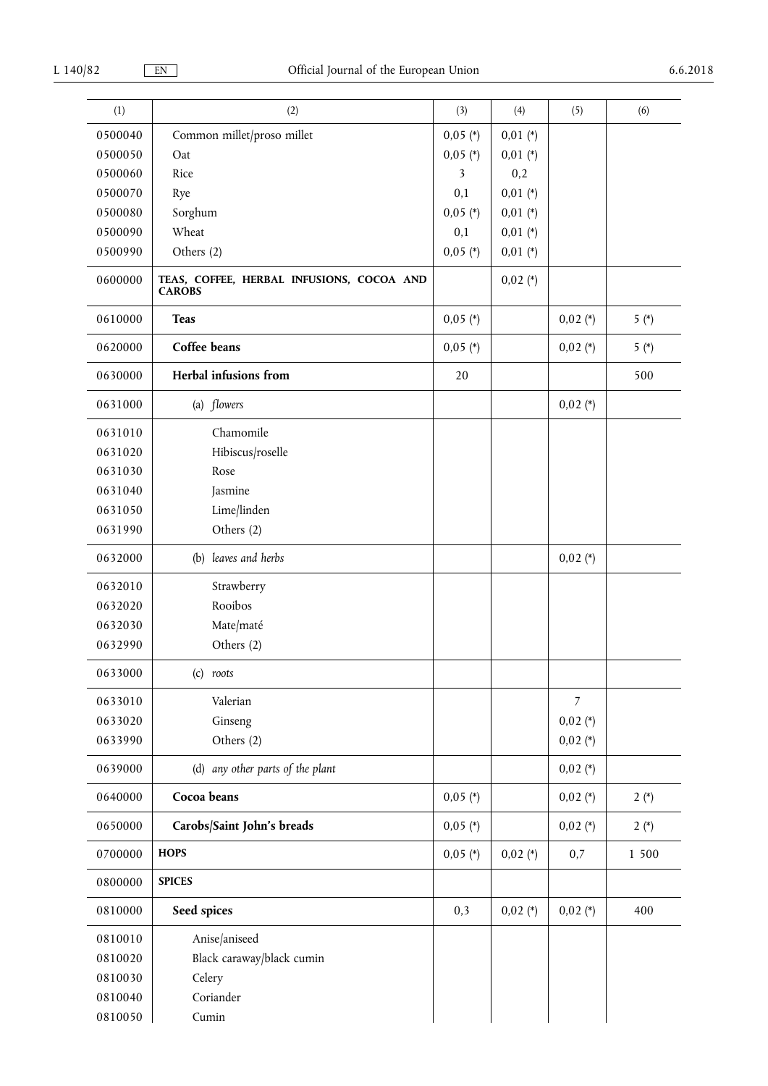| (1)                | (2)                                                        | (3)                      | (4)                      | (5)            | (6)    |
|--------------------|------------------------------------------------------------|--------------------------|--------------------------|----------------|--------|
|                    |                                                            |                          |                          |                |        |
| 0500040<br>0500050 | Common millet/proso millet<br>Oat                          | $0,05$ (*)<br>$0,05$ (*) | $0,01$ (*)<br>$0,01$ (*) |                |        |
| 0500060            | Rice                                                       | 3                        | 0,2                      |                |        |
| 0500070            | Rye                                                        | 0,1                      | $0,01$ (*)               |                |        |
| 0500080            | Sorghum                                                    | $0,05$ (*)               | $0,01$ (*)               |                |        |
| 0500090            | Wheat                                                      | 0,1                      | $0,01$ (*)               |                |        |
| 0500990            | Others (2)                                                 | $0,05$ (*)               | $0,01 (*)$               |                |        |
| 0600000            | TEAS, COFFEE, HERBAL INFUSIONS, COCOA AND<br><b>CAROBS</b> |                          | $0,02$ (*)               |                |        |
| 0610000            | <b>Teas</b>                                                | $0,05$ (*)               |                          | $0,02$ (*)     | $5(*)$ |
| 0620000            | Coffee beans                                               | $0,05$ (*)               |                          | $0,02$ (*)     | $5(*)$ |
| 0630000            | Herbal infusions from                                      | 20                       |                          |                | 500    |
| 0631000            | (a) flowers                                                |                          |                          | $0,02$ (*)     |        |
| 0631010            | Chamomile                                                  |                          |                          |                |        |
| 0631020            | Hibiscus/roselle                                           |                          |                          |                |        |
| 0631030            | Rose                                                       |                          |                          |                |        |
| 0631040            | Jasmine                                                    |                          |                          |                |        |
| 0631050            | Lime/linden                                                |                          |                          |                |        |
| 0631990            | Others (2)                                                 |                          |                          |                |        |
| 0632000            | (b) leaves and herbs                                       |                          |                          | $0,02$ (*)     |        |
| 0632010            | Strawberry                                                 |                          |                          |                |        |
| 0632020            | Rooibos                                                    |                          |                          |                |        |
| 0632030            | Mate/maté                                                  |                          |                          |                |        |
| 0632990            | Others (2)                                                 |                          |                          |                |        |
| 0633000            | (c) roots                                                  |                          |                          |                |        |
| 0633010            | Valerian                                                   |                          |                          | $\overline{7}$ |        |
| 0633020            | Ginseng                                                    |                          |                          | $0,02$ (*)     |        |
| 0633990            | Others (2)                                                 |                          |                          | $0,02$ (*)     |        |
| 0639000            | (d) any other parts of the plant                           |                          |                          | $0,02$ (*)     |        |
| 0640000            | Cocoa beans                                                | $0,05$ (*)               |                          | $0,02$ (*)     | $2(*)$ |
| 0650000            | Carobs/Saint John's breads                                 | $0,05$ (*)               |                          | $0,02$ (*)     | $2(*)$ |
| 0700000            | <b>HOPS</b>                                                | $0,05$ (*)               | $0,02 (*)$               | 0,7            | 1 500  |
| 0800000            | <b>SPICES</b>                                              |                          |                          |                |        |
| 0810000            | Seed spices                                                | 0,3                      | $0,02$ (*)               | $0,02$ (*)     | 400    |
| 0810010            | Anise/aniseed                                              |                          |                          |                |        |
| 0810020            | Black caraway/black cumin                                  |                          |                          |                |        |
| 0810030            | Celery                                                     |                          |                          |                |        |
| 0810040            | Coriander                                                  |                          |                          |                |        |
| 0810050            | Cumin                                                      |                          |                          |                |        |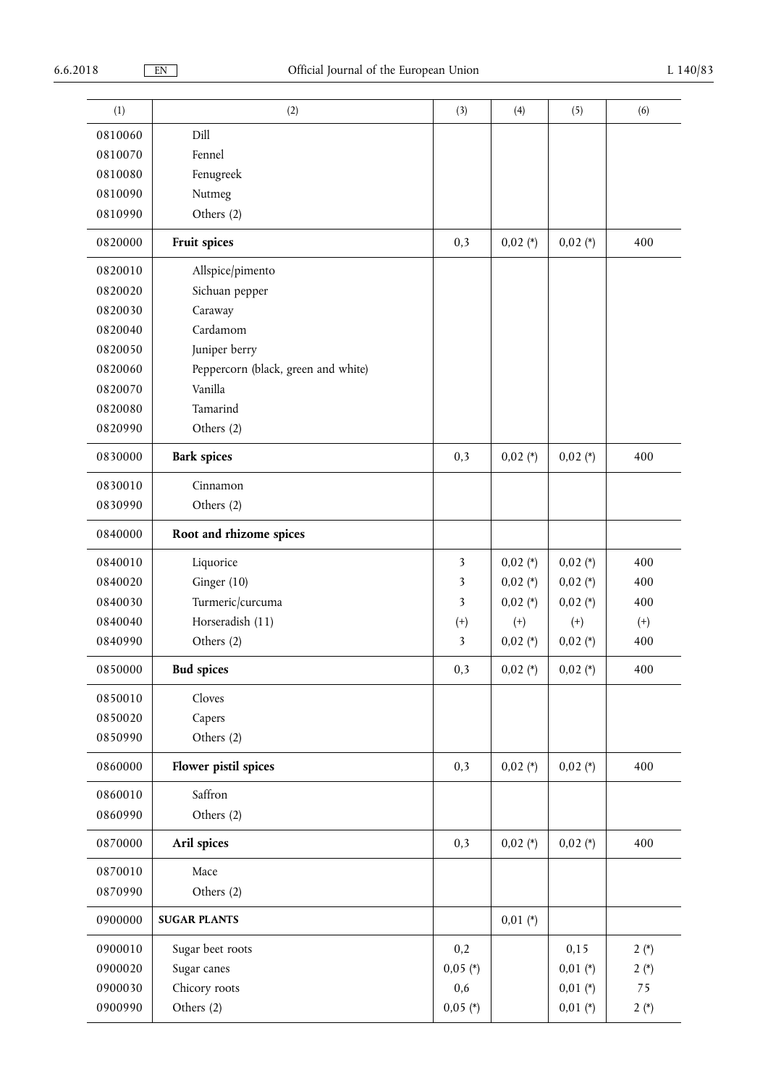| (1)     |                                     |                         |            |            | (6)      |
|---------|-------------------------------------|-------------------------|------------|------------|----------|
|         | (2)                                 | (3)                     | (4)        | (5)        |          |
| 0810060 | Dill                                |                         |            |            |          |
| 0810070 | Fennel                              |                         |            |            |          |
| 0810080 | Fenugreek                           |                         |            |            |          |
| 0810090 | Nutmeg                              |                         |            |            |          |
| 0810990 | Others (2)                          |                         |            |            |          |
| 0820000 | Fruit spices                        | 0,3                     | $0,02$ (*) | $0,02$ (*) | 400      |
| 0820010 | Allspice/pimento                    |                         |            |            |          |
| 0820020 | Sichuan pepper                      |                         |            |            |          |
| 0820030 | Caraway                             |                         |            |            |          |
| 0820040 | Cardamom                            |                         |            |            |          |
| 0820050 | Juniper berry                       |                         |            |            |          |
| 0820060 | Peppercorn (black, green and white) |                         |            |            |          |
| 0820070 | Vanilla                             |                         |            |            |          |
| 0820080 | Tamarind                            |                         |            |            |          |
| 0820990 | Others (2)                          |                         |            |            |          |
| 0830000 | <b>Bark spices</b>                  | 0,3                     | $0,02$ (*) | $0,02$ (*) | 400      |
| 0830010 | Cinnamon                            |                         |            |            |          |
| 0830990 | Others (2)                          |                         |            |            |          |
| 0840000 | Root and rhizome spices             |                         |            |            |          |
| 0840010 | Liquorice                           | 3                       | $0,02$ (*) | $0,02$ (*) | 400      |
| 0840020 | Ginger (10)                         | 3                       | $0,02$ (*) | $0,02$ (*) | 400      |
| 0840030 | Turmeric/curcuma                    | $\overline{\mathbf{3}}$ | $0,02$ (*) | $0,02 (*)$ | 400      |
| 0840040 | Horseradish (11)                    | $^{(+)}$                | $^{(+)}$   | $^{(+)}$   | $^{(+)}$ |
| 0840990 | Others (2)                          | 3                       | $0,02$ (*) | $0,02$ (*) | 400      |
| 0850000 | <b>Bud spices</b>                   | 0,3                     | $0,02 (*)$ | $0,02 (*)$ | 400      |
| 0850010 | Cloves                              |                         |            |            |          |
| 0850020 | Capers                              |                         |            |            |          |
| 0850990 | Others (2)                          |                         |            |            |          |
| 0860000 | Flower pistil spices                | 0,3                     | $0,02$ (*) | $0,02 (*)$ | 400      |
| 0860010 | Saffron                             |                         |            |            |          |
| 0860990 | Others (2)                          |                         |            |            |          |
| 0870000 | Aril spices                         | 0,3                     | $0,02$ (*) | $0,02$ (*) | 400      |
| 0870010 | Mace                                |                         |            |            |          |
| 0870990 | Others (2)                          |                         |            |            |          |
| 0900000 | <b>SUGAR PLANTS</b>                 |                         | $0,01$ (*) |            |          |
| 0900010 | Sugar beet roots                    | 0,2                     |            | 0,15       | $2(*)$   |
| 0900020 | Sugar canes                         | $0,05$ (*)              |            | $0,01$ (*) | $2(*)$   |
| 0900030 | Chicory roots                       | 0,6                     |            | $0,01$ (*) | 75       |
| 0900990 | Others (2)                          | $0,05$ (*)              |            | $0,01 (*)$ | $2(*)$   |
|         |                                     |                         |            |            |          |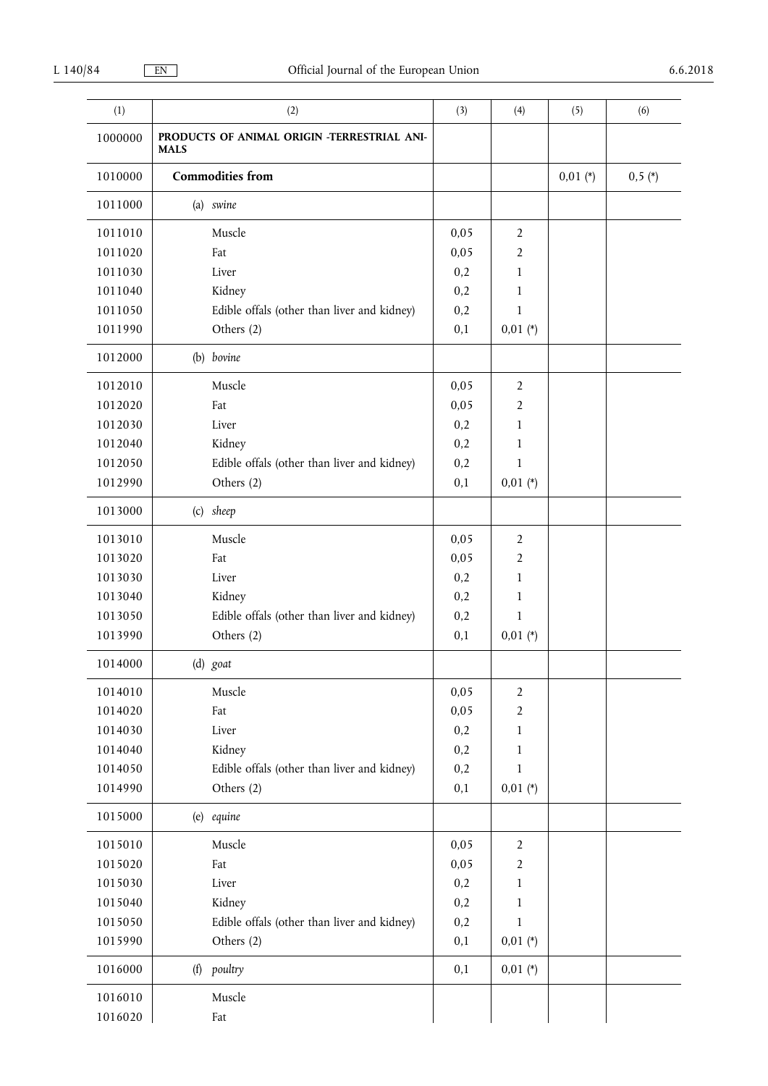| (1)     | (2)                                                        | (3)  | (4)            | (5)        | (6)      |
|---------|------------------------------------------------------------|------|----------------|------------|----------|
| 1000000 | PRODUCTS OF ANIMAL ORIGIN -TERRESTRIAL ANI-<br><b>MALS</b> |      |                |            |          |
| 1010000 | <b>Commodities from</b>                                    |      |                | $0,01 (*)$ | $0,5(*)$ |
| 1011000 | (a) swine                                                  |      |                |            |          |
| 1011010 | Muscle                                                     | 0,05 | 2              |            |          |
| 1011020 | Fat                                                        | 0,05 | $\overline{2}$ |            |          |
| 1011030 | Liver                                                      | 0,2  | 1              |            |          |
| 1011040 | Kidney                                                     | 0,2  | 1              |            |          |
| 1011050 | Edible offals (other than liver and kidney)                | 0,2  | $\mathbf{1}$   |            |          |
| 1011990 | Others (2)                                                 | 0,1  | $0,01$ (*)     |            |          |
| 1012000 | (b) bovine                                                 |      |                |            |          |
| 1012010 | Muscle                                                     | 0,05 | $\overline{2}$ |            |          |
| 1012020 | Fat                                                        | 0,05 | $\overline{2}$ |            |          |
| 1012030 | Liver                                                      | 0,2  | $\mathbf{1}$   |            |          |
| 1012040 | Kidney                                                     | 0,2  | 1              |            |          |
| 1012050 | Edible offals (other than liver and kidney)                | 0,2  | $\mathbf{1}$   |            |          |
| 1012990 | Others (2)                                                 | 0,1  | $0,01$ (*)     |            |          |
| 1013000 | (c) sheep                                                  |      |                |            |          |
| 1013010 | Muscle                                                     | 0,05 | $\overline{2}$ |            |          |
| 1013020 | Fat                                                        | 0,05 | $\overline{2}$ |            |          |
| 1013030 | Liver                                                      | 0,2  | 1              |            |          |
| 1013040 | Kidney                                                     | 0,2  | 1              |            |          |
| 1013050 | Edible offals (other than liver and kidney)                | 0,2  | 1              |            |          |
| 1013990 | Others (2)                                                 | 0,1  | $0,01 (*)$     |            |          |
| 1014000 | (d) goat                                                   |      |                |            |          |
| 1014010 | Muscle                                                     | 0,05 | $\overline{2}$ |            |          |
| 1014020 | Fat                                                        | 0,05 | $\overline{2}$ |            |          |
| 1014030 | Liver                                                      | 0,2  | $\mathbf{1}$   |            |          |
| 1014040 | Kidney                                                     | 0,2  | 1              |            |          |
| 1014050 | Edible offals (other than liver and kidney)                | 0,2  | $\mathbf{1}$   |            |          |
| 1014990 | Others (2)                                                 | 0,1  | $0,01 (*)$     |            |          |
| 1015000 | (e) equine                                                 |      |                |            |          |
| 1015010 | Muscle                                                     | 0,05 | $\overline{2}$ |            |          |
| 1015020 | Fat                                                        | 0,05 | $\overline{2}$ |            |          |
| 1015030 | Liver                                                      | 0,2  | 1              |            |          |
| 1015040 | Kidney                                                     | 0,2  | 1              |            |          |
| 1015050 | Edible offals (other than liver and kidney)                | 0,2  | $\mathbf{1}$   |            |          |
| 1015990 | Others (2)                                                 | 0,1  | $0,01 (*)$     |            |          |
| 1016000 | (f) poultry                                                | 0,1  | $0,01$ (*)     |            |          |
| 1016010 | Muscle                                                     |      |                |            |          |
| 1016020 | Fat                                                        |      |                |            |          |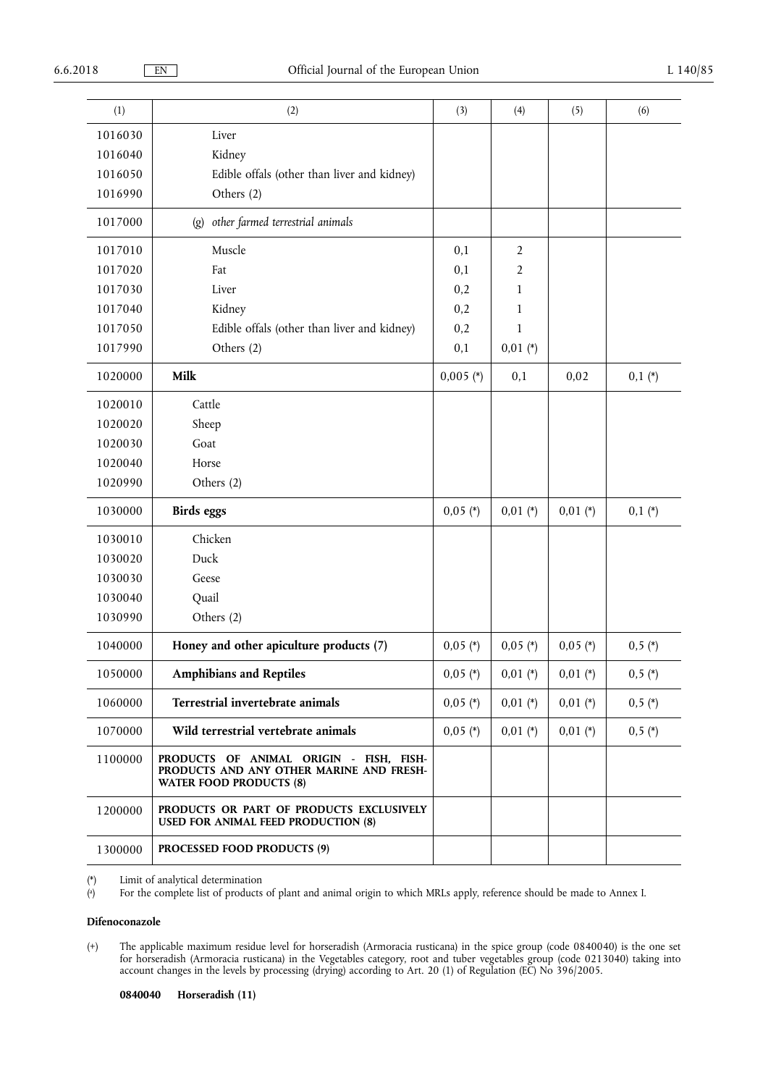| (1)     | (2)                                                                                                                   | (3)         | (4)            | (5)        | (6)      |
|---------|-----------------------------------------------------------------------------------------------------------------------|-------------|----------------|------------|----------|
| 1016030 | Liver                                                                                                                 |             |                |            |          |
| 1016040 | Kidney                                                                                                                |             |                |            |          |
| 1016050 | Edible offals (other than liver and kidney)                                                                           |             |                |            |          |
| 1016990 | Others (2)                                                                                                            |             |                |            |          |
| 1017000 | other farmed terrestrial animals<br>$\left( \mathbf{g} \right)$                                                       |             |                |            |          |
| 1017010 | Muscle                                                                                                                | 0,1         | $\overline{2}$ |            |          |
| 1017020 | Fat                                                                                                                   | 0,1         | $\overline{2}$ |            |          |
| 1017030 | Liver                                                                                                                 | 0,2         | 1              |            |          |
| 1017040 | Kidney                                                                                                                | 0,2         | 1              |            |          |
| 1017050 | Edible offals (other than liver and kidney)                                                                           | 0,2         | $\mathbf{1}$   |            |          |
| 1017990 | Others (2)                                                                                                            | 0,1         | $0,01 (*)$     |            |          |
| 1020000 | Milk                                                                                                                  | $0,005$ (*) | 0,1            | 0,02       | $0,1(*)$ |
| 1020010 | Cattle                                                                                                                |             |                |            |          |
| 1020020 | Sheep                                                                                                                 |             |                |            |          |
| 1020030 | Goat                                                                                                                  |             |                |            |          |
| 1020040 | Horse                                                                                                                 |             |                |            |          |
| 1020990 | Others (2)                                                                                                            |             |                |            |          |
| 1030000 | <b>Birds</b> eggs                                                                                                     | $0,05$ (*)  | $0,01$ (*)     | $0,01$ (*) | $0,1(*)$ |
| 1030010 | Chicken                                                                                                               |             |                |            |          |
| 1030020 | Duck                                                                                                                  |             |                |            |          |
| 1030030 | Geese                                                                                                                 |             |                |            |          |
| 1030040 | Quail                                                                                                                 |             |                |            |          |
| 1030990 | Others (2)                                                                                                            |             |                |            |          |
| 1040000 | Honey and other apiculture products (7)                                                                               | $0,05$ (*)  | $0,05$ (*)     | $0,05$ (*) | $0,5(*)$ |
| 1050000 | <b>Amphibians and Reptiles</b>                                                                                        | $0,05$ (*)  | $0,01 (*)$     | $0,01$ (*) | $0,5(*)$ |
| 1060000 | Terrestrial invertebrate animals                                                                                      | $0,05$ (*)  | $0,01$ (*)     | $0,01$ (*) | $0,5(*)$ |
| 1070000 | Wild terrestrial vertebrate animals                                                                                   | $0,05$ (*)  | $0,01 (*)$     | $0,01$ (*) | $0,5(*)$ |
| 1100000 | PRODUCTS OF ANIMAL ORIGIN - FISH, FISH-<br>PRODUCTS AND ANY OTHER MARINE AND FRESH-<br><b>WATER FOOD PRODUCTS (8)</b> |             |                |            |          |
| 1200000 | PRODUCTS OR PART OF PRODUCTS EXCLUSIVELY<br><b>USED FOR ANIMAL FEED PRODUCTION (8)</b>                                |             |                |            |          |
| 1300000 | PROCESSED FOOD PRODUCTS (9)                                                                                           |             |                |            |          |

(\*) Limit of analytical determination

( a ) For the complete list of products of plant and animal origin to which MRLs apply, reference should be made to Annex I.

## **Difenoconazole**

(+) The applicable maximum residue level for horseradish (Armoracia rusticana) in the spice group (code 0840040) is the one set for horseradish (Armoracia rusticana) in the Vegetables category, root and tuber vegetables group (code 0213040) taking into account changes in the levels by processing (drying) according to Art. 20 (1) of Regulation (EC) No 396/2005.

**0840040 Horseradish (11)**